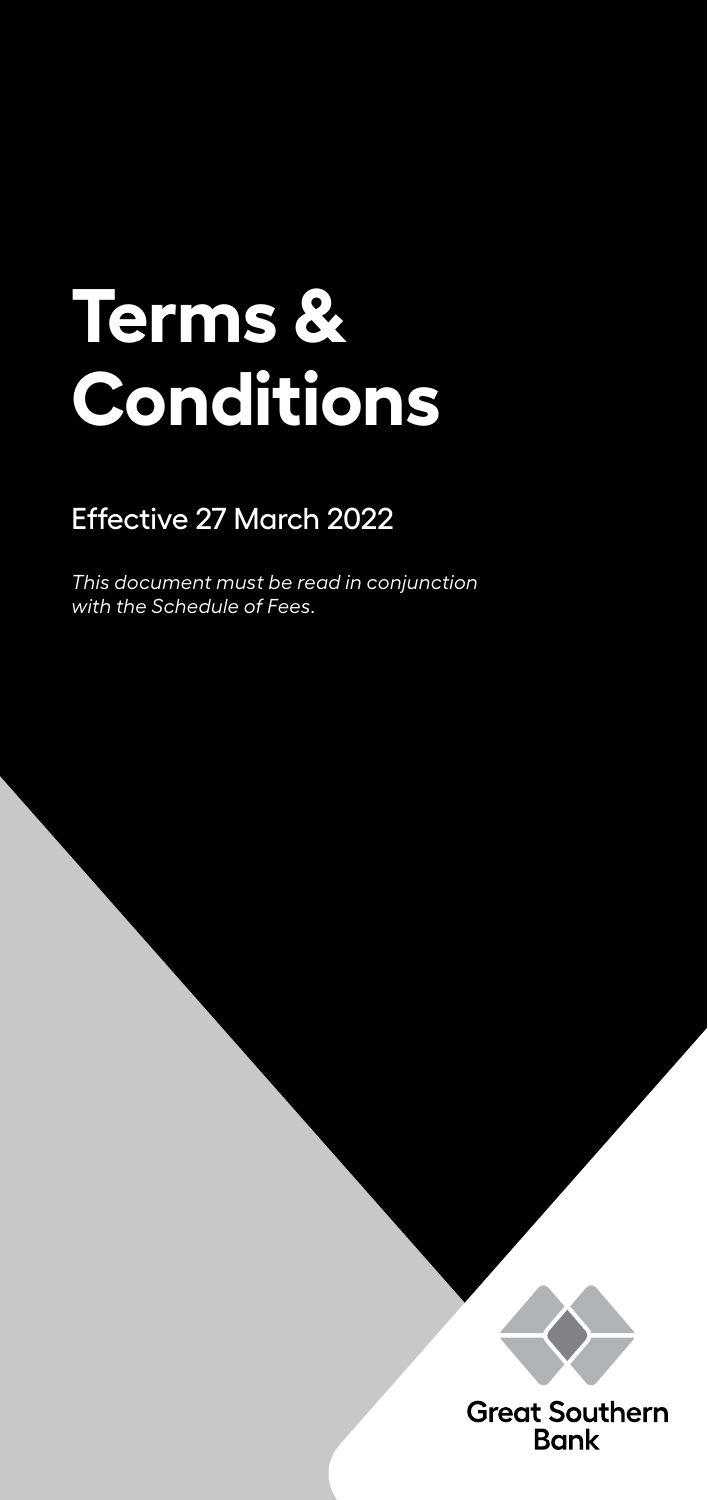# **Terms & Conditions**

# Effective 27 March 2022

*This document must be read in conjunction with the Schedule of Fees.*



**Great Southern Bank**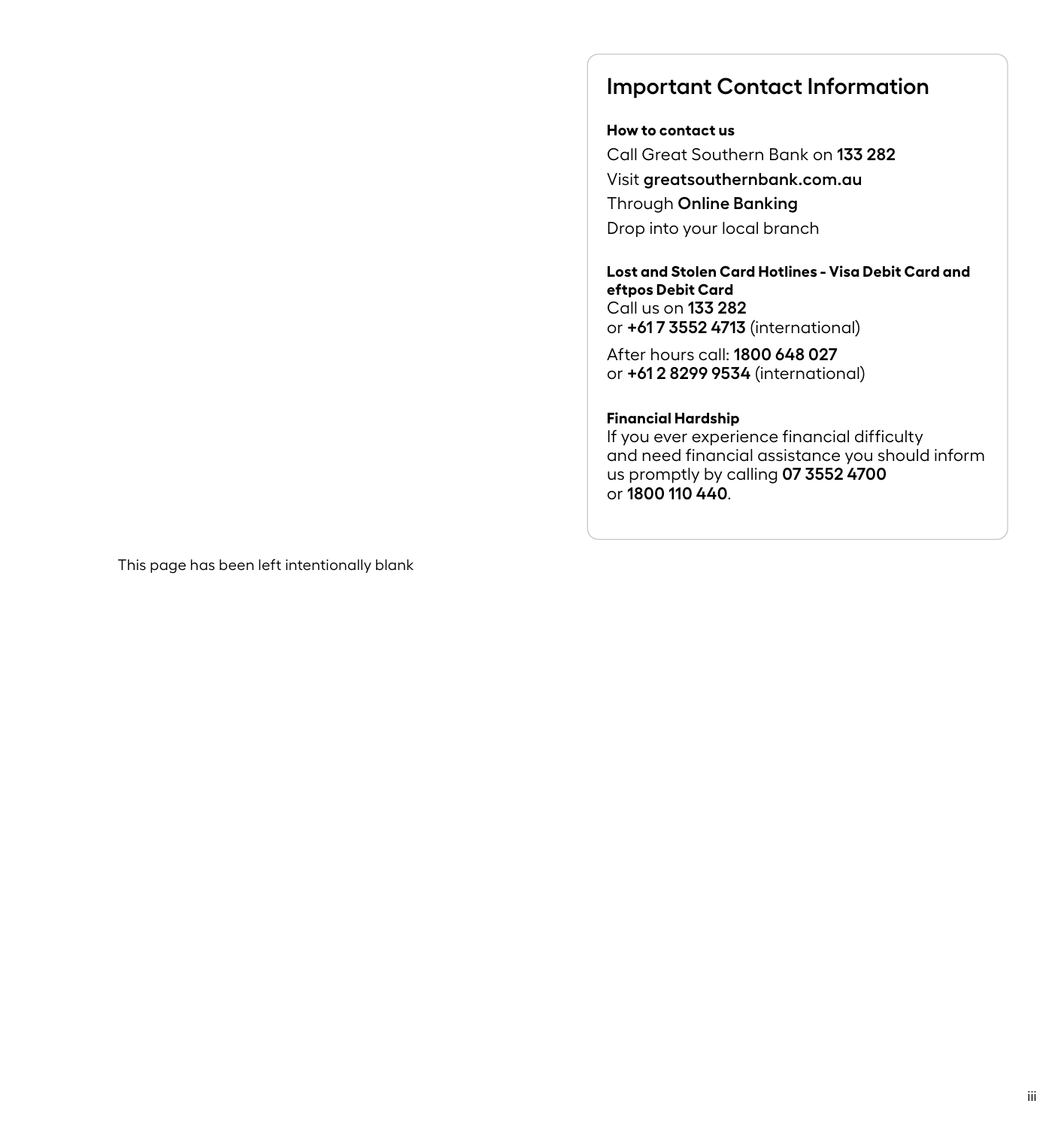# **Important Contact Information**

#### **How to contact us**

Call Great Southern Bank on **133 282** Visit **greatsouthernbank.com.au** Through **Online Banking** Drop into your local branch

### **Lost and Stolen Card Hotlines - Visa Debit Card and eftpos Debit Card** Call us on **133 282** or **+61 7 3552 4713** (international)

After hours call: **1800 648 027** or **+61 2 8299 9534** (international)

#### **Financial Hardship**

If you ever experience financial difficulty and need financial assistance you should inform us promptly by calling **07 3552 4700** or **1800 110 440**.

This page has been left intentionally blank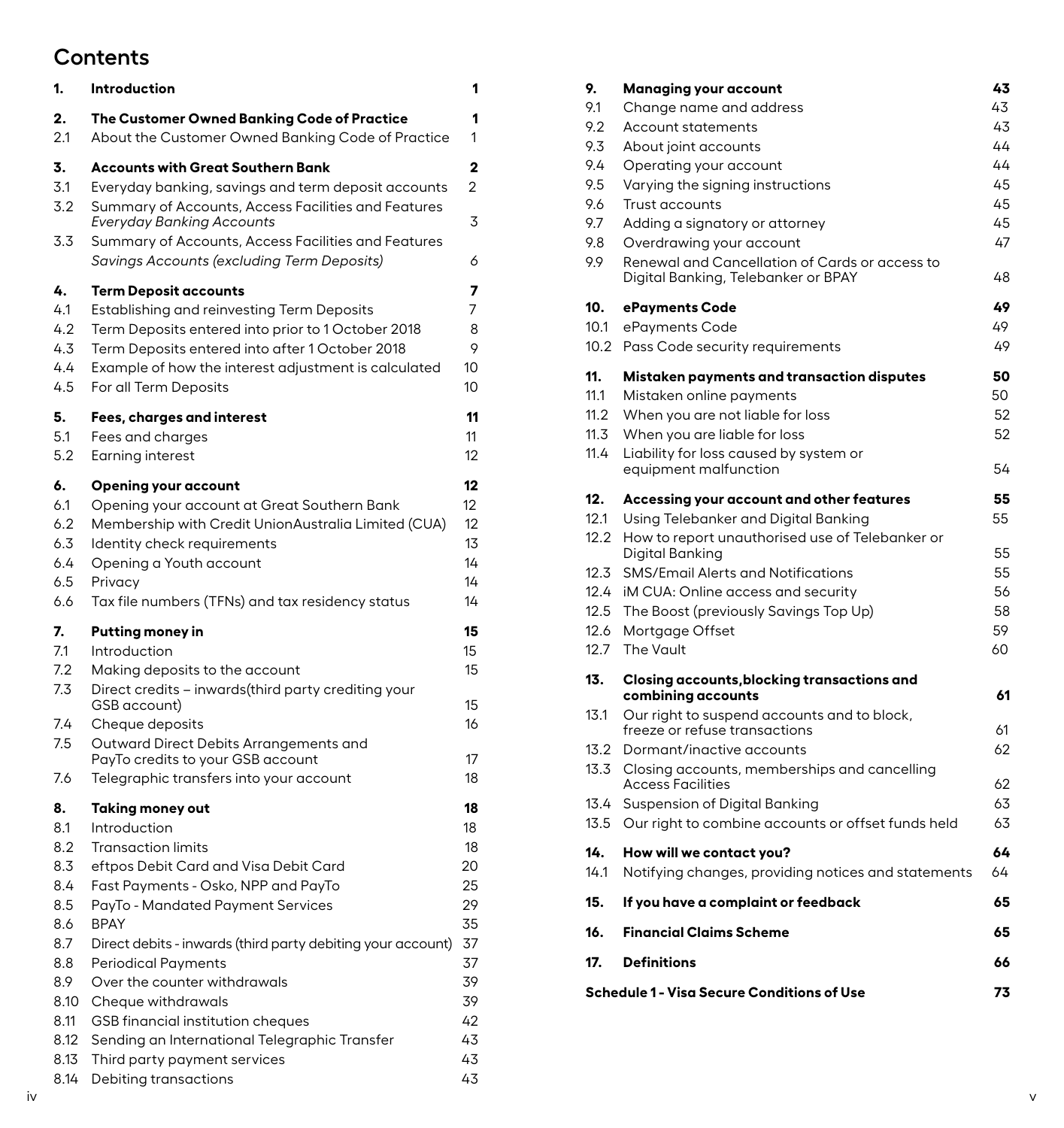# **Contents**

| 1.               | Introduction                                                                                                                                           |          |
|------------------|--------------------------------------------------------------------------------------------------------------------------------------------------------|----------|
| 2.               | The Customer Owned Banking Code of Practice                                                                                                            | 1        |
| 2.1              | About the Customer Owned Banking Code of Practice                                                                                                      | 1        |
| 3.<br>3.1<br>3.2 | <b>Accounts with Great Southern Bank</b><br>Everyday banking, savings and term deposit accounts<br>Summary of Accounts, Access Facilities and Features | 2<br>2   |
| 3.3              | Everyday Banking Accounts<br>Summary of Accounts, Access Facilities and Features<br>Savings Accounts (excluding Term Deposits)                         | 3<br>6   |
| 4.               | <b>Term Deposit accounts</b>                                                                                                                           | 7        |
| 4.1              | Establishing and reinvesting Term Deposits                                                                                                             | 7        |
| 4.2              | Term Deposits entered into prior to 1 October 2018                                                                                                     | 8        |
| 4.3              | Term Deposits entered into after 1 October 2018                                                                                                        | 9        |
| 4.4              | Example of how the interest adjustment is calculated                                                                                                   | 10       |
| 4.5              | For all Term Deposits                                                                                                                                  | 10       |
| 5.               | Fees, charges and interest                                                                                                                             | 11       |
| 5.1              | Fees and charges                                                                                                                                       | 11       |
| 5.2              | Earning interest                                                                                                                                       | 12       |
| 6.               | <b>Opening your account</b>                                                                                                                            | 12       |
| 6.1              | Opening your account at Great Southern Bank                                                                                                            | 12       |
| 6.2              | Membership with Credit UnionAustralia Limited (CUA)                                                                                                    | 12       |
| 6.3              | Identity check requirements                                                                                                                            | 13       |
| 6.4              | Opening a Youth account                                                                                                                                | 14       |
| 6.5              | Privacy                                                                                                                                                | 14       |
| 6.6              | Tax file numbers (TFNs) and tax residency status                                                                                                       | 14       |
| 7.               | Putting money in                                                                                                                                       | 15       |
| 7.1              | Introduction                                                                                                                                           | 15       |
| 7.2              | Making deposits to the account                                                                                                                         | 15       |
| 7.3              | Direct credits – inwards(third party crediting your                                                                                                    | 15       |
| 7.4<br>7.5       | GSB account)<br>Cheque deposits<br>Outward Direct Debits Arrangements and<br>PayTo credits to your GSB account                                         | 16<br>17 |
| 7.6              | Telegraphic transfers into your account                                                                                                                | 18       |
| 8.               | Taking money out                                                                                                                                       | 18       |
| 8.1              | Introduction                                                                                                                                           | 18       |
| 8.2              | <b>Transaction limits</b>                                                                                                                              | 18       |
| 8.3              | eftpos Debit Card and Visa Debit Card                                                                                                                  | 20       |
| 8.4              | Fast Payments - Osko, NPP and PayTo                                                                                                                    | 25       |
| 8.5              | PayTo - Mandated Payment Services                                                                                                                      | 29       |
| 8.6              | BPAY                                                                                                                                                   | 35       |
| 8.7              | Direct debits - inwards (third party debiting your account)                                                                                            | 37       |
| 8.8              | <b>Periodical Payments</b>                                                                                                                             | 37       |
| 8.9              | Over the counter withdrawals                                                                                                                           | 39       |
| 8.10             | Cheque withdrawals                                                                                                                                     | 39       |
| 8.11             | GSB financial institution cheques                                                                                                                      | 42       |
| 8.12             | Sending an International Telegraphic Transfer                                                                                                          | 43       |
| 8.13             | Third party payment services                                                                                                                           | 43       |
| 8.14             | Debiting transactions                                                                                                                                  | 43       |

| 9.   | Managing your account                                                                 | 43 |
|------|---------------------------------------------------------------------------------------|----|
| 9.1  | Change name and address                                                               | 43 |
| 9.2  | <b>Account statements</b>                                                             | 43 |
| 9.3  | About joint accounts                                                                  | 44 |
| 9.4  | Operating your account                                                                | 44 |
| 9.5  | Varying the signing instructions                                                      | 45 |
| 9.6  | <b>Trust accounts</b>                                                                 | 45 |
| 9.7  | Adding a signatory or attorney                                                        | 45 |
| 9.8  | Overdrawing your account                                                              | 47 |
| 9.9  | Renewal and Cancellation of Cards or access to<br>Digital Banking, Telebanker or BPAY | 48 |
| 10.  | ePayments Code                                                                        | 49 |
| 10.1 | ePayments Code                                                                        | 49 |
| 10.2 | Pass Code security requirements                                                       | 49 |
| 11.  | Mistaken payments and transaction disputes                                            | 50 |
| 11.1 | Mistaken online payments                                                              | 50 |
| 11.2 | When you are not liable for loss                                                      | 52 |
| 11.3 | When you are liable for loss                                                          | 52 |
| 11.4 | Liability for loss caused by system or<br>equipment malfunction                       | 54 |
| 12.  | Accessing your account and other features                                             | 55 |
| 12.1 | Using Telebanker and Digital Banking                                                  | 55 |
| 12.2 | How to report unauthorised use of Telebanker or<br>Digital Banking                    | 55 |
| 12.3 | SMS/Email Alerts and Notifications                                                    | 55 |
| 12.4 | iM CUA: Online access and security                                                    | 56 |
| 12.5 | The Boost (previously Savings Top Up)                                                 | 58 |
| 12.6 | Mortgage Offset                                                                       | 59 |
| 12.7 | The Vault                                                                             | 60 |
| 13.  | Closing accounts, blocking transactions and                                           |    |
|      | combining accounts                                                                    | 61 |
| 13.1 | Our right to suspend accounts and to block,<br>freeze or refuse transactions          | 61 |
| 13.2 | Dormant/inactive accounts                                                             | 62 |
| 13.3 | Closing accounts, memberships and cancelling                                          |    |
|      | <b>Access Facilities</b>                                                              | 62 |
| 13.4 | Suspension of Digital Banking                                                         | 63 |
| 13.5 | Our right to combine accounts or offset funds held                                    | 63 |
| 14.  | How will we contact you?                                                              | 64 |
| 14.1 | Notifying changes, providing notices and statements                                   | 64 |
| 15.  | If you have a complaint or feedback                                                   | 65 |
| 16.  | <b>Financial Claims Scheme</b>                                                        | 65 |
| 17.  | <b>Definitions</b>                                                                    | 66 |
|      | Schedule 1 - Visa Secure Conditions of Use                                            | 73 |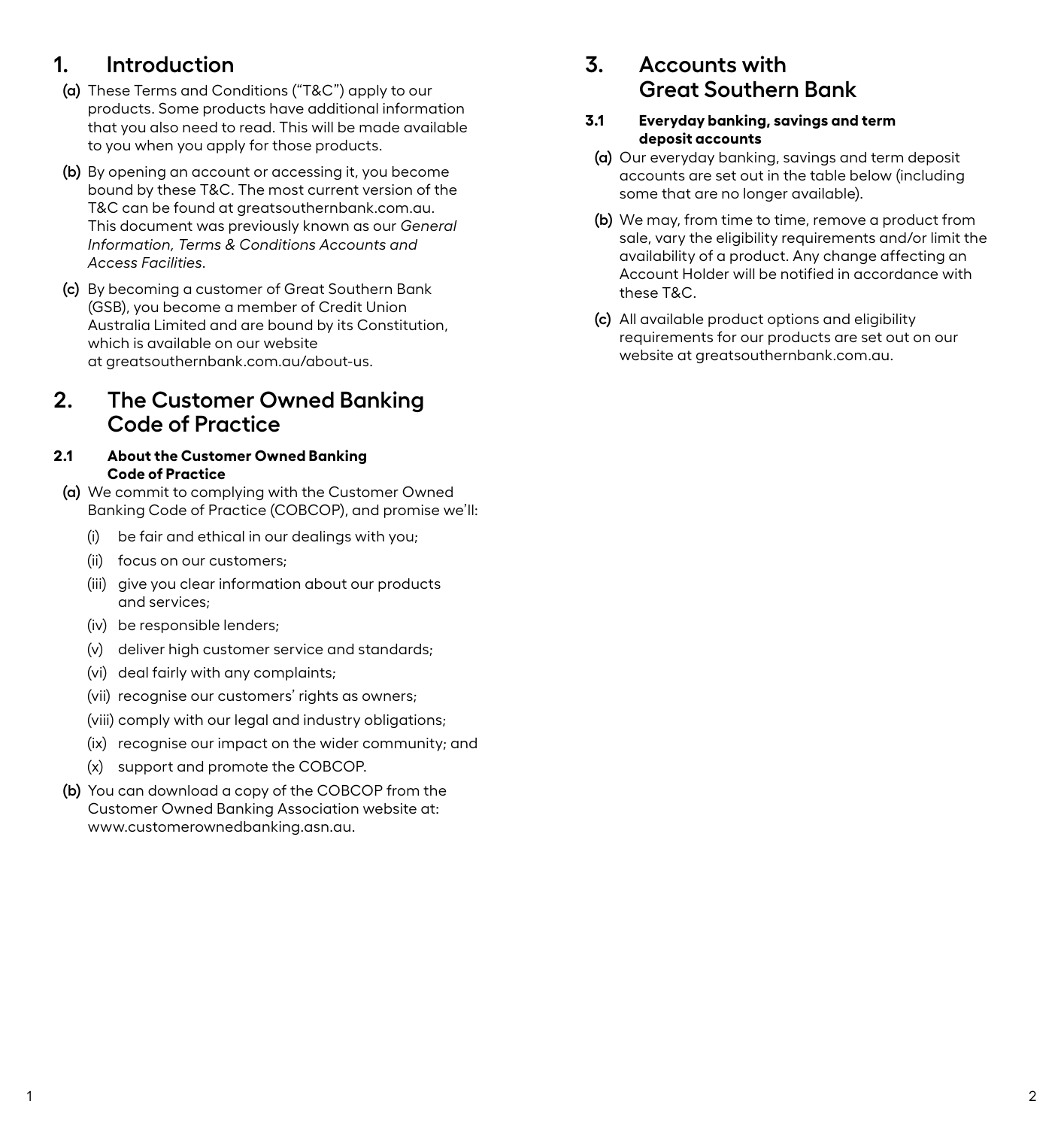# <span id="page-3-0"></span>**1. Introduction**

- **(a)** These Terms and Conditions ("T&C") apply to our products. Some products have additional information that you also need to read. This will be made available to you when you apply for those products.
- **(b)** By opening an account or accessing it, you become bound by these T&C. The most current version of the T&C can be found at greatsouthernbank.com.au. This document was previously known as our *General Information, Terms & Conditions Accounts and Access Facilities.*
- **(c)** By becoming a customer of Great Southern Bank (GSB), you become a member of Credit Union Australia Limited and are bound by its Constitution, which is available on our website at greatsouthernbank.com.au/about-us.

# **2. The Customer Owned Banking Code of Practice**

### **2.1 About the Customer Owned Banking Code of Practice**

- **(a)** We commit to complying with the Customer Owned Banking Code of Practice (COBCOP), and promise we'll:
	- (i) be fair and ethical in our dealings with you;
	- (ii) focus on our customers;
	- (iii) give you clear information about our products and services;
	- (iv) be responsible lenders;
	- (v) deliver high customer service and standards;
	- (vi) deal fairly with any complaints;
	- (vii) recognise our customers' rights as owners;
	- (viii) comply with our legal and industry obligations;
	- (ix) recognise our impact on the wider community; and
	- (x) support and promote the COBCOP.
- **(b)** You can download a copy of the COBCOP from the Customer Owned Banking Association website at: www.customerownedbanking.asn.au.

# **3. Accounts with Great Southern Bank**

#### **3.1 Everyday banking, savings and term deposit accounts**

- **(a)** Our everyday banking, savings and term deposit accounts are set out in the table below (including some that are no longer available).
- **(b)** We may, from time to time, remove a product from sale, vary the eligibility requirements and/or limit the availability of a product. Any change affecting an Account Holder will be notified in accordance with these T&C.
- **(c)** All available product options and eligibility requirements for our products are set out on our website at greatsouthernbank.com.au.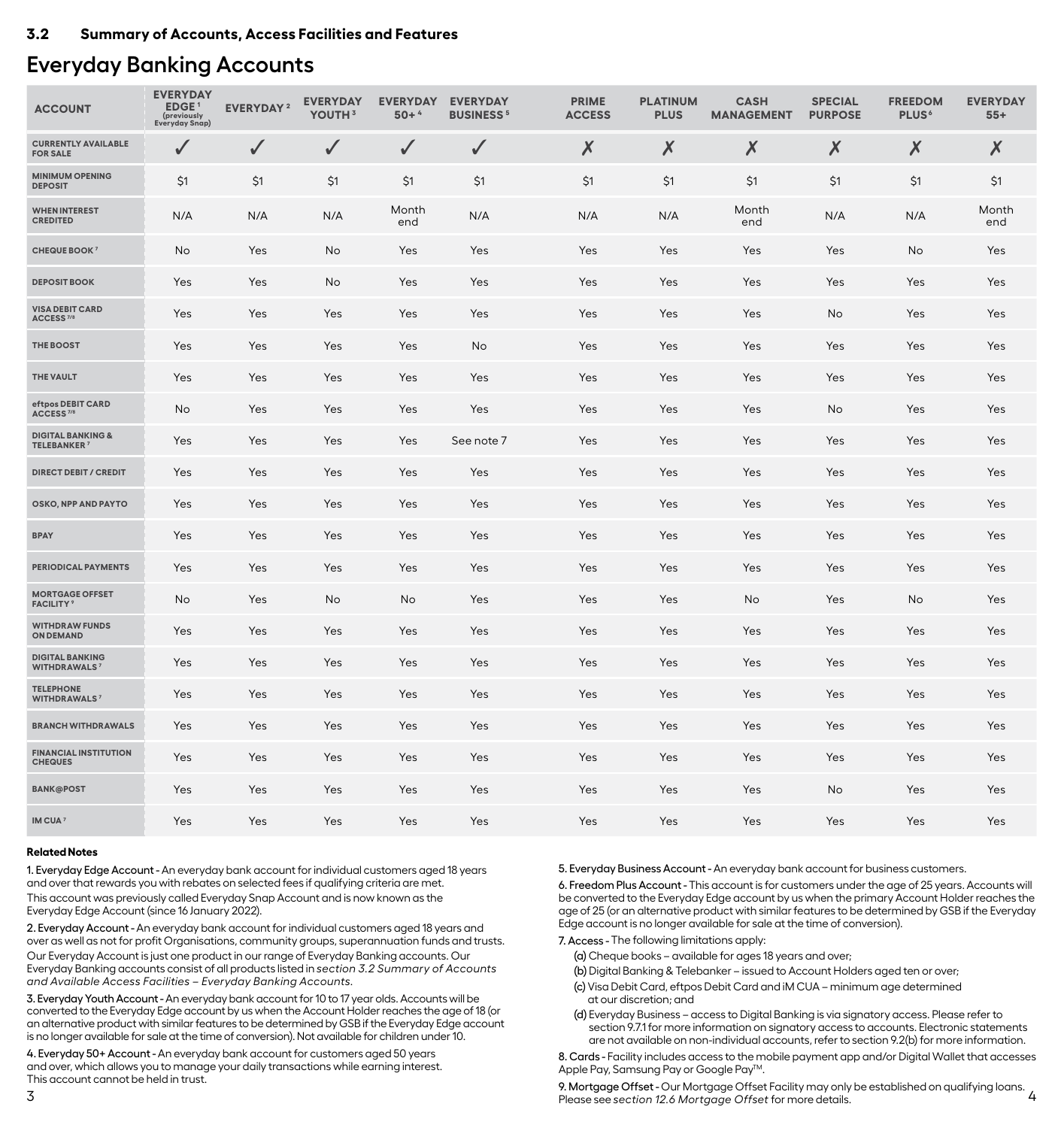# <span id="page-4-0"></span>**Everyday Banking Accounts**

| <b>ACCOUNT</b>                                                | <b>EVERYDAY</b><br>EDGE <sup>1</sup><br>(previously<br><b>Everyday Snap)</b> | <b>EVERYDAY</b> <sup>2</sup> | <b>EVERYDAY</b><br>YOUTH <sup>3</sup> | <b>EVERYDAY</b><br>$50+4$ | <b>EVERYDAY</b><br><b>BUSINESS<sup>5</sup></b> | <b>PRIME</b><br><b>ACCESS</b> | <b>PLATINUM</b><br><b>PLUS</b> | <b>CASH</b><br><b>MANAGEMENT</b> | <b>SPECIAL</b><br><b>PURPOSE</b> | <b>FREEDOM</b><br><b>PLUS</b> <sup>6</sup> | <b>EVERYDAY</b><br>$55+$ |
|---------------------------------------------------------------|------------------------------------------------------------------------------|------------------------------|---------------------------------------|---------------------------|------------------------------------------------|-------------------------------|--------------------------------|----------------------------------|----------------------------------|--------------------------------------------|--------------------------|
| <b>CURRENTLY AVAILABLE</b><br><b>FOR SALE</b>                 | ✓                                                                            | ✓                            | ✓                                     | ✓                         | $\sqrt{2}$                                     | X                             | Х                              | Х                                | Х                                | Х                                          | Х                        |
| <b>MINIMUM OPENING</b><br><b>DEPOSIT</b>                      | \$1                                                                          | \$1                          | \$1                                   | \$1                       | \$1                                            | \$1                           | \$1                            | \$1                              | \$1                              | \$1                                        | \$1                      |
| <b>WHEN INTEREST</b><br><b>CREDITED</b>                       | N/A                                                                          | N/A                          | N/A                                   | Month<br>end              | N/A                                            | N/A                           | N/A                            | Month<br>end                     | N/A                              | N/A                                        | Month<br>end             |
| <b>CHEQUE BOOK 7</b>                                          | No                                                                           | Yes                          | No                                    | Yes                       | Yes                                            | Yes                           | Yes                            | Yes                              | <b>Yes</b>                       | No                                         | Yes                      |
| <b>DEPOSIT BOOK</b>                                           | Yes                                                                          | Yes                          | No                                    | Yes                       | Yes                                            | Yes                           | Yes                            | Yes                              | Yes                              | Yes                                        | Yes                      |
| <b>VISA DEBIT CARD</b><br>ACCESS <sup>7/8</sup>               | Yes                                                                          | Yes                          | Yes                                   | Yes                       | Yes                                            | Yes                           | Yes                            | Yes                              | No                               | Yes                                        | Yes                      |
| <b>THE BOOST</b>                                              | Yes                                                                          | Yes                          | Yes                                   | Yes                       | No.                                            | Yes                           | Yes                            | Yes                              | Yes                              | <b>Yes</b>                                 | <b>Yes</b>               |
| THE VAULT                                                     | Yes                                                                          | Yes                          | Yes                                   | Yes                       | Yes                                            | Yes                           | Yes                            | Yes                              | Yes                              | Yes                                        | Yes                      |
| eftpos DEBIT CARD<br>ACCESS <sup>7/8</sup>                    | No                                                                           | Yes                          | Yes                                   | Yes                       | Yes                                            | Yes                           | Yes                            | Yes                              | No                               | Yes                                        | Yes                      |
| <b>DIGITAL BANKING &amp;</b><br><b>TELEBANKER<sup>7</sup></b> | Yes                                                                          | Yes                          | Yes                                   | Yes                       | See note 7                                     | Yes                           | Yes                            | Yes                              | Yes                              | Yes                                        | Yes                      |
| <b>DIRECT DEBIT / CREDIT</b>                                  | Yes                                                                          | Yes                          | Yes                                   | Yes                       | Yes                                            | Yes                           | Yes                            | Yes                              | Yes                              | Yes                                        | Yes                      |
| OSKO, NPP AND PAYTO                                           | Yes                                                                          | Yes                          | Yes                                   | Yes                       | Yes                                            | Yes                           | Yes                            | Yes                              | Yes                              | Yes                                        | Yes                      |
| <b>BPAY</b>                                                   | Yes                                                                          | Yes                          | Yes                                   | Yes                       | Yes                                            | Yes                           | Yes                            | Yes                              | Yes                              | Yes                                        | Yes                      |
| <b>PERIODICAL PAYMENTS</b>                                    | Yes                                                                          | Yes                          | Yes                                   | Yes                       | Yes                                            | Yes                           | Yes                            | Yes                              | Yes                              | Yes                                        | Yes                      |
| <b>MORTGAGE OFFSET</b><br><b>FACILITY</b> <sup>9</sup>        | No                                                                           | Yes                          | No                                    | No                        | Yes                                            | Yes                           | Yes                            | No                               | Yes                              | No                                         | Yes                      |
| <b>WITHDRAW FUNDS</b><br><b>ON DEMAND</b>                     | Yes                                                                          | Yes                          | Yes                                   | Yes                       | Yes                                            | Yes                           | Yes                            | Yes                              | Yes                              | Yes                                        | Yes                      |
| <b>DIGITAL BANKING</b><br><b>WITHDRAWALS7</b>                 | Yes                                                                          | Yes                          | Yes                                   | Yes                       | Yes                                            | Yes                           | Yes                            | Yes                              | Yes                              | Yes                                        | Yes                      |
| <b>TELEPHONE</b><br><b>WITHDRAWALS7</b>                       | Yes                                                                          | Yes                          | Yes                                   | Yes                       | Yes                                            | Yes                           | Yes                            | Yes                              | Yes                              | Yes                                        | Yes                      |
| <b>BRANCH WITHDRAWALS</b>                                     | Yes                                                                          | Yes                          | Yes                                   | Yes                       | Yes                                            | Yes                           | Yes                            | Yes                              | Yes                              | Yes                                        | Yes                      |
| <b>FINANCIAL INSTITUTION</b><br><b>CHEQUES</b>                | Yes                                                                          | Yes                          | Yes                                   | Yes                       | Yes                                            | Yes                           | Yes                            | Yes                              | Yes                              | Yes                                        | Yes                      |
| <b>BANK@POST</b>                                              | Yes                                                                          | Yes                          | Yes                                   | Yes                       | Yes                                            | Yes                           | Yes                            | Yes                              | No                               | Yes                                        | Yes                      |
| IM CUA <sup>7</sup>                                           | Yes                                                                          | Yes                          | Yes                                   | Yes                       | Yes                                            | Yes                           | Yes                            | Yes                              | Yes                              | Yes                                        | Yes                      |

#### **Related Notes**

1. Everyday Edge Account - An everyday bank account for individual customers aged 18 years and over that rewards you with rebates on selected fees if qualifying criteria are met. This account was previously called Everyday Snap Account and is now known as the Everyday Edge Account (since 16 January 2022).

2. Everyday Account - An everyday bank account for individual customers aged 18 years and over as well as not for profit Organisations, community groups, superannuation funds and trusts.

Our Everyday Account is just one product in our range of Everyday Banking accounts. Our Everyday Banking accounts consist of all products listed in *section 3.2 Summary of Accounts and Available Access Facilities – Everyday Banking Accounts.* 

3. Everyday Youth Account - An everyday bank account for 10 to 17 year olds. Accounts will be converted to the Everyday Edge account by us when the Account Holder reaches the age of 18 (or an alternative product with similar features to be determined by GSB if the Everyday Edge account is no longer available for sale at the time of conversion). Not available for children under 10.

4. Everyday 50+ Account - An everyday bank account for customers aged 50 years and over, which allows you to manage your daily transactions while earning interest. This account cannot be held in trust.

5. Everyday Business Account - An everyday bank account for business customers.

6. Freedom Plus Account - This account is for customers under the age of 25 years. Accounts will be converted to the Everyday Edge account by us when the primary Account Holder reaches the age of 25 (or an alternative product with similar features to be determined by GSB if the Everyday Edge account is no longer available for sale at the time of conversion).

7. Access - The following limitations apply:

- (a) Cheque books available for ages 18 years and over;
- (b) Digital Banking & Telebanker issued to Account Holders aged ten or over;
- (c) Visa Debit Card, eftpos Debit Card and iM CUA minimum age determined at our discretion; and
- (d) Everyday Business access to Digital Banking is via signatory access. Please refer to section 9.7.1 for more information on signatory access to accounts. Electronic statements are not available on non-individual accounts, refer to section 9.2(b) for more information.

8. Cards - Facility includes access to the mobile payment app and/or Digital Wallet that accesses Apple Pay, Samsung Pay or Google Pay™.

nis account cannot be not an about the model of the temperature of the temperature of the established on qualifying loans.<br>3 4 - Please see section 12.6 Mortagae Offset for more details. Please see *section 12.6 Mortgage Offset* for more details.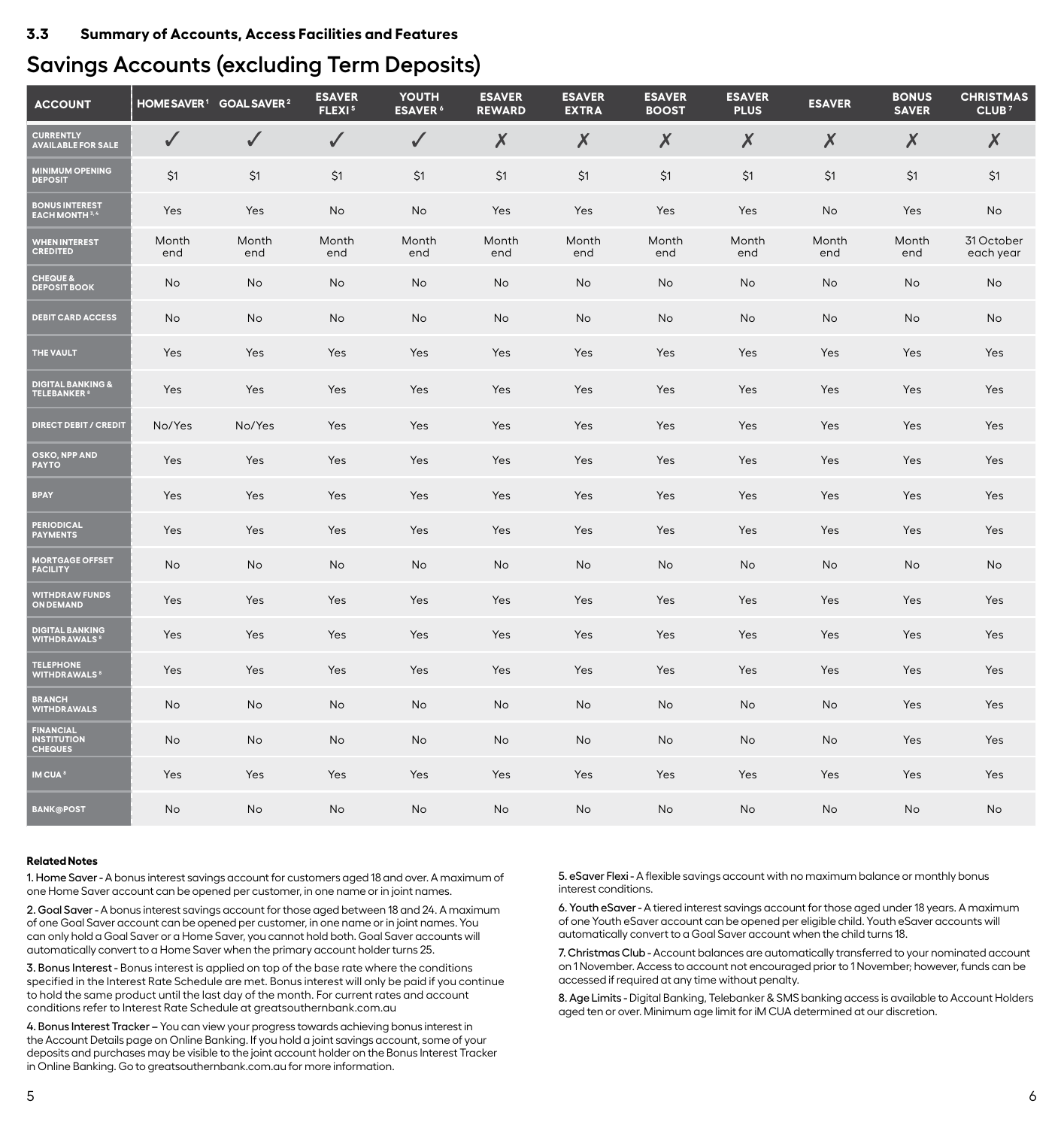#### <span id="page-5-0"></span>**3.3 Summary of Accounts, Access Facilities and Features**

# **Savings Accounts (excluding Term Deposits)**

| <b>ACCOUNT</b>                                            |              | HOME SAVER <sup>1</sup> GOAL SAVER <sup>2</sup> | <b>ESAVER</b><br>FLEXI <sup>5</sup> | YOUTH<br><b>ESAVER</b> <sup>6</sup> | <b>ESAVER</b><br><b>REWARD</b> | <b>ESAVER</b><br><b>EXTRA</b> | <b>ESAVER</b><br><b>BOOST</b> | <b>ESAVER</b><br><b>PLUS</b> | <b>ESAVER</b> | <b>BONUS</b><br><b>SAVER</b> | <b>CHRISTMAS</b><br>CLUB <sup>7</sup> |
|-----------------------------------------------------------|--------------|-------------------------------------------------|-------------------------------------|-------------------------------------|--------------------------------|-------------------------------|-------------------------------|------------------------------|---------------|------------------------------|---------------------------------------|
| <b>CURRENTLY</b><br><b>AVAILABLE FOR SALE</b>             | √            | J                                               | ✓                                   | ✓                                   | X                              | $\boldsymbol{X}$              | X                             | Х                            | X             | X                            | X                                     |
| <b>MINIMUM OPENING</b><br><b>DEPOSIT</b>                  | \$1          | \$1                                             | \$1                                 | \$1                                 | \$1                            | \$1                           | \$1                           | \$1                          | \$1           | \$1                          | \$1                                   |
| <b>BONUS INTEREST<br/>EACH MONTH 3.4</b>                  | Yes          | Yes                                             | No                                  | No                                  | Yes                            | Yes                           | Yes                           | Yes                          | No            | Yes                          | No                                    |
| <b>WHEN INTEREST</b><br><b>CREDITED</b>                   | Month<br>end | Month<br>end                                    | Month<br>end                        | Month<br>end                        | Month<br>end                   | Month<br>end                  | Month<br>end                  | Month<br>end                 | Month<br>end  | Month<br>end                 | 31 October<br>each year               |
| <b>CHEQUE &amp;</b><br><b>DEPOSIT BOOK</b>                | <b>No</b>    | <b>No</b>                                       | <b>No</b>                           | <b>No</b>                           | <b>No</b>                      | <b>No</b>                     | <b>No</b>                     | <b>No</b>                    | <b>No</b>     | <b>No</b>                    | No                                    |
| <b>DEBIT CARD ACCESS</b>                                  | No           | No                                              | No                                  | No                                  | No                             | No                            | No                            | No                           | No            | No                           | No                                    |
| THE VAULT                                                 | Yes          | Yes                                             | Yes                                 | Yes                                 | Yes                            | Yes                           | Yes                           | Yes                          | Yes           | Yes                          | Yes                                   |
| <b>DIGITAL BANKING &amp;<br/>TELEBANKER 8</b>             | Yes          | Yes                                             | Yes                                 | Yes                                 | Yes                            | Yes                           | Yes                           | Yes                          | Yes           | Yes                          | Yes                                   |
| <b>DIRECT DEBIT / CREDIT</b>                              | No/Yes       | No/Yes                                          | Yes                                 | Yes                                 | Yes                            | Yes                           | Yes                           | Yes                          | Yes           | Yes                          | Yes                                   |
| OSKO, NPP AND<br><b>PAYTO</b>                             | Yes          | Yes                                             | Yes                                 | Yes                                 | Yes                            | Yes                           | Yes                           | Yes                          | Yes           | Yes                          | Yes                                   |
| <b>BPAY</b>                                               | Yes          | Yes                                             | Yes                                 | Yes                                 | Yes                            | Yes                           | Yes                           | Yes                          | Yes           | Yes                          | Yes                                   |
| <b>PERIODICAL</b><br>PAYMENTS                             | Yes          | Yes                                             | Yes                                 | Yes                                 | Yes                            | Yes                           | Yes                           | Yes                          | Yes           | Yes                          | Yes                                   |
| <b>MORTGAGE OFFSET</b><br><b>FACILITY</b>                 | No           | No                                              | No                                  | No                                  | No                             | No                            | No                            | No                           | No            | No                           | No                                    |
| <b>WITHDRAW FUNDS</b><br><b>ON DEMAND</b>                 | Yes          | Yes                                             | Yes                                 | Yes                                 | Yes                            | Yes                           | Yes                           | Yes                          | Yes           | Yes                          | Yes                                   |
| <b>DIGITAL BANKING</b><br><b>WITHDRAWALS</b> <sup>8</sup> | Yes          | Yes                                             | Yes                                 | Yes                                 | Yes                            | Yes                           | Yes                           | Yes                          | Yes           | Yes                          | Yes                                   |
| <b>TELEPHONE</b><br><b>WITHDRAWALS<sup>8</sup></b>        | Yes          | Yes                                             | Yes                                 | Yes                                 | Yes                            | Yes                           | Yes                           | Yes                          | Yes           | Yes                          | Yes                                   |
| <b>BRANCH<br/>WITHDRAWALS</b>                             | No           | No                                              | No                                  | No                                  | No                             | No                            | No                            | No                           | No            | Yes                          | Yes                                   |
| <b>FINANCIAL</b><br><b>INSTITUTION</b><br>CHEQUES         | <b>No</b>    | No                                              | No                                  | No                                  | No                             | No                            | No                            | No                           | No            | Yes                          | Yes                                   |
| <b>IM CUA<sup>8</sup></b>                                 | Yes          | Yes                                             | Yes                                 | Yes                                 | Yes                            | Yes                           | Yes                           | Yes                          | Yes           | Yes                          | Yes                                   |
| <b>BANK@POST</b>                                          | No           | No                                              | No                                  | No                                  | No                             | No                            | No                            | No                           | No            | No                           | No                                    |

#### **Related Notes**

1. Home Saver - A bonus interest savings account for customers aged 18 and over. A maximum of one Home Saver account can be opened per customer, in one name or in joint names.

2. Goal Saver - A bonus interest savings account for those aged between 18 and 24. A maximum of one Goal Saver account can be opened per customer, in one name or in joint names. You can only hold a Goal Saver or a Home Saver, you cannot hold both. Goal Saver accounts will automatically convert to a Home Saver when the primary account holder turns 25.

3. Bonus Interest - Bonus interest is applied on top of the base rate where the conditions specified in the Interest Rate Schedule are met. Bonus interest will only be paid if you continue to hold the same product until the last day of the month. For current rates and account conditions refer to Interest Rate Schedule at greatsouthernbank.com.au

4. Bonus Interest Tracker – You can view your progress towards achieving bonus interest in the Account Details page on Online Banking. If you hold a joint savings account, some of your deposits and purchases may be visible to the joint account holder on the Bonus Interest Tracker in Online Banking. Go to greatsouthernbank.com.au for more information.

5. eSaver Flexi - A flexible savings account with no maximum balance or monthly bonus interest conditions.

6. Youth eSaver - A tiered interest savings account for those aged under 18 years. A maximum of one Youth eSaver account can be opened per eligible child. Youth eSaver accounts will automatically convert to a Goal Saver account when the child turns 18.

7. Christmas Club - Account balances are automatically transferred to your nominated account on 1 November. Access to account not encouraged prior to 1 November; however, funds can be accessed if required at any time without penalty.

8. Age Limits - Digital Banking, Telebanker & SMS banking access is available to Account Holders aged ten or over. Minimum age limit for iM CUA determined at our discretion.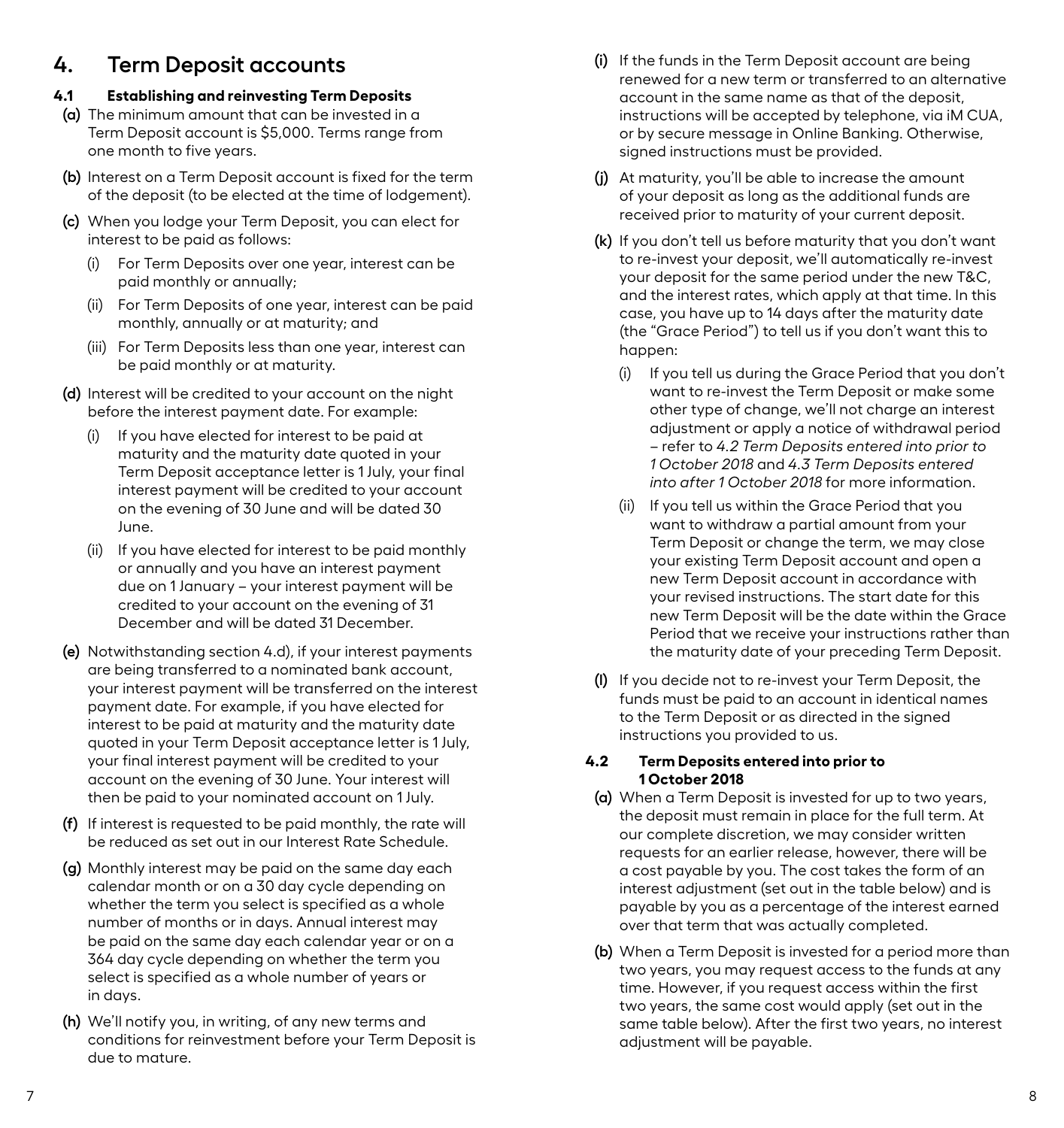# <span id="page-6-0"></span>**4. Term Deposit accounts**

# **4.1 Establishing and reinvesting Term Deposits**

- **(a)** The minimum amount that can be invested in a Term Deposit account is \$5,000. Terms range from one month to five years.
- **(b)** Interest on a Term Deposit account is fixed for the term of the deposit (to be elected at the time of lodgement).
- **(c)** When you lodge your Term Deposit, you can elect for interest to be paid as follows:
	- (i) For Term Deposits over one year, interest can be paid monthly or annually;
	- (ii) For Term Deposits of one year, interest can be paid monthly, annually or at maturity; and
	- (iii) For Term Deposits less than one year, interest can be paid monthly or at maturity.
- **(d)** Interest will be credited to your account on the night before the interest payment date. For example:
	- (i) If you have elected for interest to be paid at maturity and the maturity date quoted in your Term Deposit acceptance letter is 1 July, your final interest payment will be credited to your account on the evening of 30 June and will be dated 30 June.
	- (ii) If you have elected for interest to be paid monthly or annually and you have an interest payment due on 1 January – your interest payment will be credited to your account on the evening of 31 December and will be dated 31 December.
- **(e)** Notwithstanding section 4.d), if your interest payments are being transferred to a nominated bank account, your interest payment will be transferred on the interest payment date. For example, if you have elected for interest to be paid at maturity and the maturity date quoted in your Term Deposit acceptance letter is 1 July, your final interest payment will be credited to your account on the evening of 30 June. Your interest will then be paid to your nominated account on 1 July.
- **(f)** If interest is requested to be paid monthly, the rate will be reduced as set out in our Interest Rate Schedule.
- **(g)** Monthly interest may be paid on the same day each calendar month or on a 30 day cycle depending on whether the term you select is specified as a whole number of months or in days. Annual interest may be paid on the same day each calendar year or on a 364 day cycle depending on whether the term you select is specified as a whole number of years or in days.
- **(h)** We'll notify you, in writing, of any new terms and conditions for reinvestment before your Term Deposit is due to mature.
- **(i)** If the funds in the Term Deposit account are being renewed for a new term or transferred to an alternative account in the same name as that of the deposit, instructions will be accepted by telephone, via iM CUA, or by secure message in Online Banking. Otherwise, signed instructions must be provided.
- **(j)** At maturity, you'll be able to increase the amount of your deposit as long as the additional funds are received prior to maturity of your current deposit.
- **(k)** If you don't tell us before maturity that you don't want to re-invest your deposit, we'll automatically re-invest your deposit for the same period under the new T&C, and the interest rates, which apply at that time. In this case, you have up to 14 days after the maturity date (the "Grace Period") to tell us if you don't want this to happen:
	- (i) If you tell us during the Grace Period that you don't want to re-invest the Term Deposit or make some other type of change, we'll not charge an interest adjustment or apply a notice of withdrawal period – refer to *4.2 Term Deposits entered into prior to 1 October 2018* and *4.3 Term Deposits entered into after 1 October 2018* for more information.
	- (ii) If you tell us within the Grace Period that you want to withdraw a partial amount from your Term Deposit or change the term, we may close your existing Term Deposit account and open a new Term Deposit account in accordance with your revised instructions. The start date for this new Term Deposit will be the date within the Grace Period that we receive your instructions rather than the maturity date of your preceding Term Deposit.
- **(l)** If you decide not to re-invest your Term Deposit, the funds must be paid to an account in identical names to the Term Deposit or as directed in the signed instructions you provided to us.

#### **4.2 Term Deposits entered into prior to 1 October 2018**

- **(a)** When a Term Deposit is invested for up to two years, the deposit must remain in place for the full term. At our complete discretion, we may consider written requests for an earlier release, however, there will be a cost payable by you. The cost takes the form of an interest adjustment (set out in the table below) and is payable by you as a percentage of the interest earned over that term that was actually completed.
- **(b)** When a Term Deposit is invested for a period more than two years, you may request access to the funds at any time. However, if you request access within the first two years, the same cost would apply (set out in the same table below). After the first two years, no interest adjustment will be payable.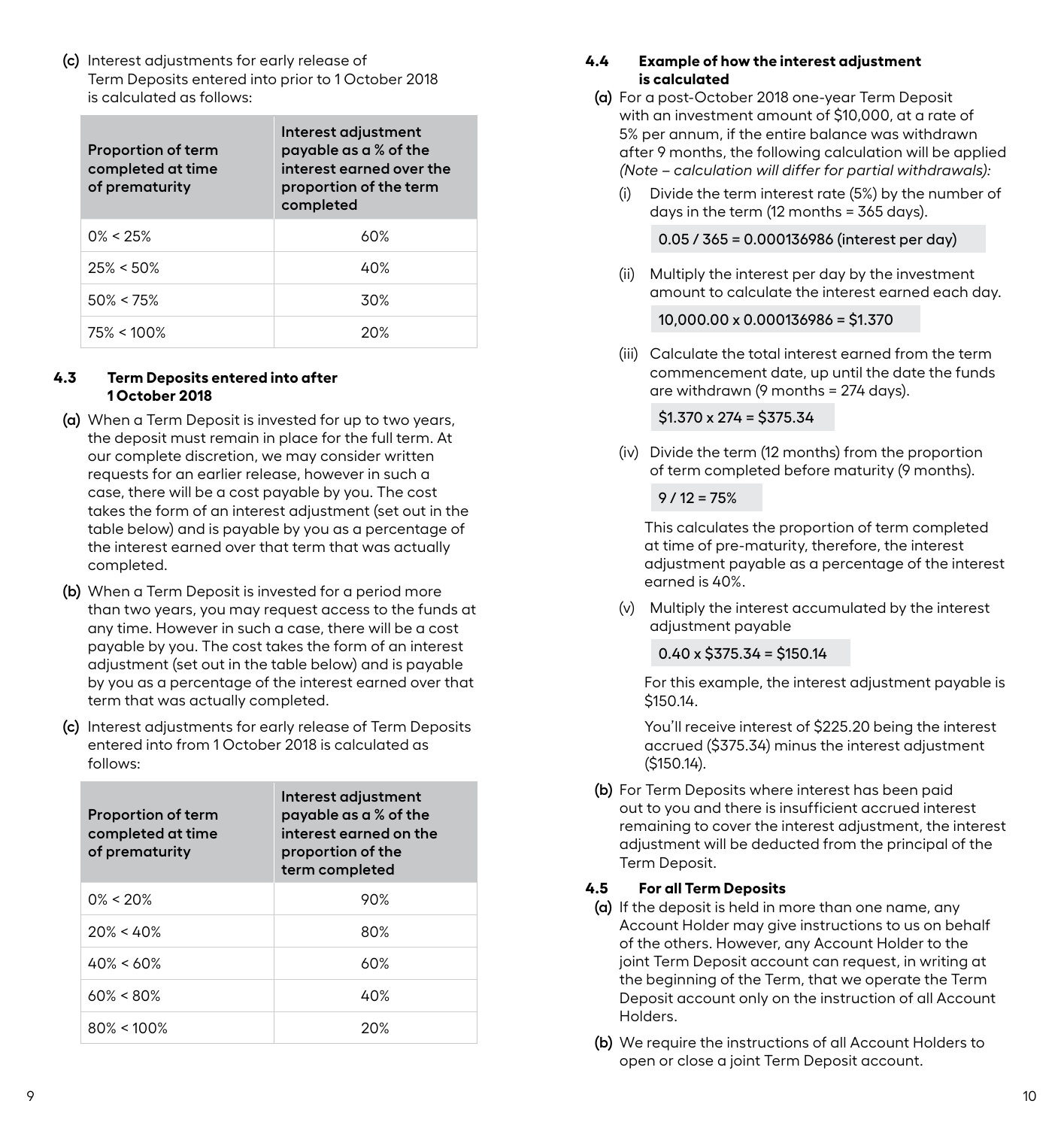<span id="page-7-0"></span>**(c)** Interest adjustments for early release of Term Deposits entered into prior to 1 October 2018 is calculated as follows:

| <b>Proportion of term</b><br>completed at time<br>of prematurity | Interest adjustment<br>payable as a % of the<br>interest earned over the<br>proportion of the term<br>completed |
|------------------------------------------------------------------|-----------------------------------------------------------------------------------------------------------------|
| $0\% < 25\%$                                                     | 60%                                                                                                             |
| $25\% < 50\%$                                                    | 40%                                                                                                             |
| $50\% < 75\%$                                                    | 30%                                                                                                             |
| $75\% < 100\%$                                                   | 20%                                                                                                             |

#### **4.3 Term Deposits entered into after 1 October 2018**

- **(a)** When a Term Deposit is invested for up to two years, the deposit must remain in place for the full term. At our complete discretion, we may consider written requests for an earlier release, however in such a case, there will be a cost payable by you. The cost takes the form of an interest adjustment (set out in the table below) and is payable by you as a percentage of the interest earned over that term that was actually completed.
- **(b)** When a Term Deposit is invested for a period more than two years, you may request access to the funds at any time. However in such a case, there will be a cost payable by you. The cost takes the form of an interest adjustment (set out in the table below) and is payable by you as a percentage of the interest earned over that term that was actually completed.
- **(c)** Interest adjustments for early release of Term Deposits entered into from 1 October 2018 is calculated as follows:

| <b>Proportion of term</b><br>completed at time<br>of prematurity | Interest adjustment<br>payable as a % of the<br>interest earned on the<br>proportion of the<br>term completed |
|------------------------------------------------------------------|---------------------------------------------------------------------------------------------------------------|
| $0\% < 20\%$                                                     | 90%                                                                                                           |
| $20\% < 40\%$                                                    | 80%                                                                                                           |
| $40\% < 60\%$                                                    | 60%                                                                                                           |
| $60\% < 80\%$                                                    | 40%                                                                                                           |
| $80\% < 100\%$                                                   | 20%                                                                                                           |

# **4.4 Example of how the interest adjustment is calculated**

- **(a)** For a post-October 2018 one-year Term Deposit with an investment amount of \$10,000, at a rate of 5% per annum, if the entire balance was withdrawn after 9 months, the following calculation will be applied *(Note – calculation will differ for partial withdrawals):* 
	- (i) Divide the term interest rate (5%) by the number of days in the term (12 months = 365 days).

0.05 / 365 = 0.000136986 (interest per day)

(ii) Multiply the interest per day by the investment amount to calculate the interest earned each day.

### 10,000.00 x 0.000136986 = \$1.370

(iii) Calculate the total interest earned from the term commencement date, up until the date the funds are withdrawn (9 months = 274 days).

#### $$1.370 \times 274 = $375.34$

(iv) Divide the term (12 months) from the proportion of term completed before maturity (9 months).

 $9/12 = 75%$ 

 This calculates the proportion of term completed at time of pre-maturity, therefore, the interest adjustment payable as a percentage of the interest earned is 40%.

(v) Multiply the interest accumulated by the interest adjustment payable

### $0.40 \times $375.34 = $150.14$

 For this example, the interest adjustment payable is \$150.14.

 You'll receive interest of \$225.20 being the interest accrued (\$375.34) minus the interest adjustment (\$150.14).

**(b)** For Term Deposits where interest has been paid out to you and there is insufficient accrued interest remaining to cover the interest adjustment, the interest adjustment will be deducted from the principal of the Term Deposit.

### **4.5 For all Term Deposits**

- **(a)** If the deposit is held in more than one name, any Account Holder may give instructions to us on behalf of the others. However, any Account Holder to the joint Term Deposit account can request, in writing at the beginning of the Term, that we operate the Term Deposit account only on the instruction of all Account Holders.
- **(b)** We require the instructions of all Account Holders to open or close a joint Term Deposit account.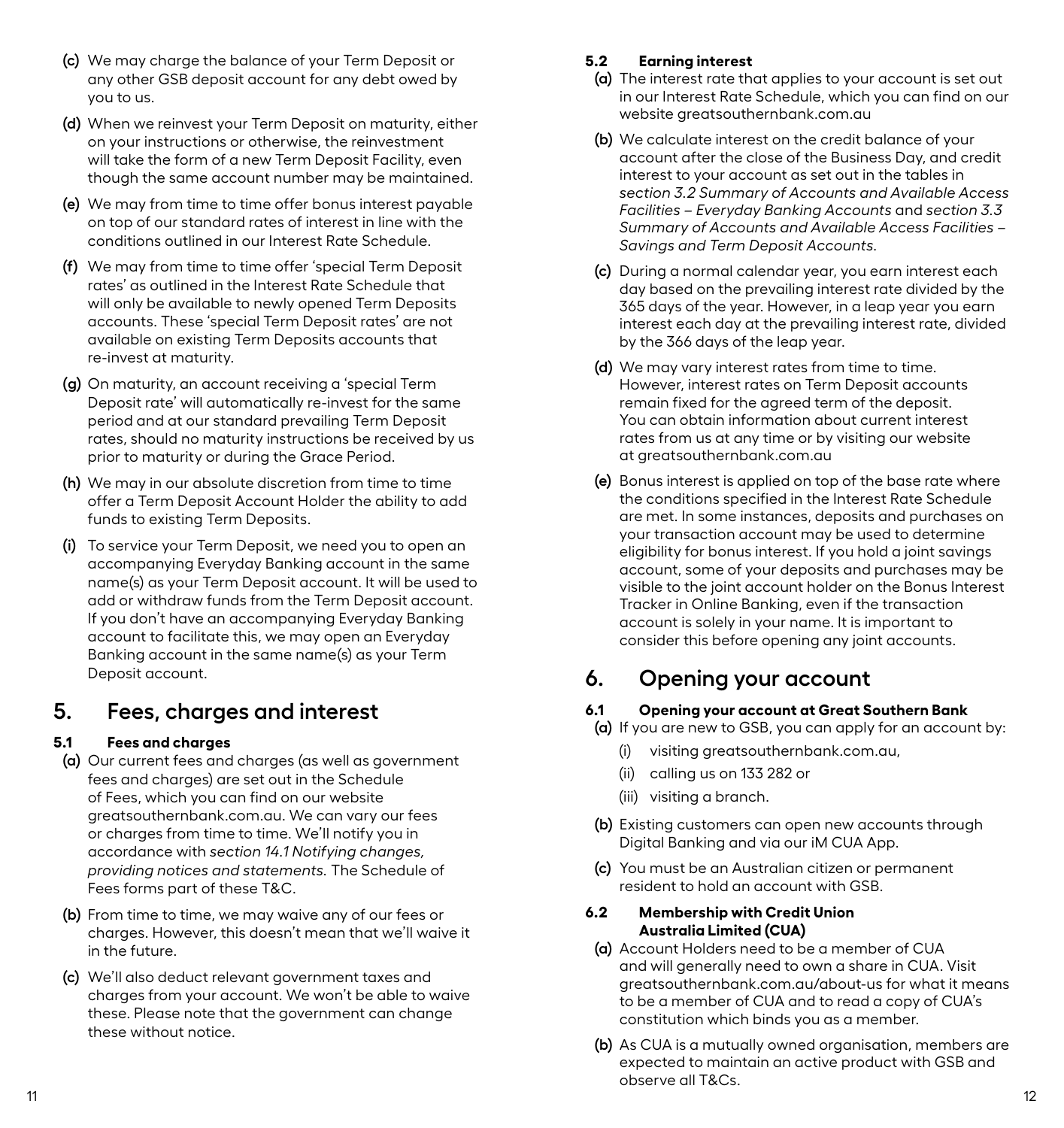- <span id="page-8-0"></span>**(c)** We may charge the balance of your Term Deposit or any other GSB deposit account for any debt owed by you to us.
- **(d)** When we reinvest your Term Deposit on maturity, either on your instructions or otherwise, the reinvestment will take the form of a new Term Deposit Facility, even though the same account number may be maintained.
- **(e)** We may from time to time offer bonus interest payable on top of our standard rates of interest in line with the conditions outlined in our Interest Rate Schedule.
- **(f)** We may from time to time offer 'special Term Deposit rates' as outlined in the Interest Rate Schedule that will only be available to newly opened Term Deposits accounts. These 'special Term Deposit rates' are not available on existing Term Deposits accounts that re-invest at maturity.
- **(g)** On maturity, an account receiving a 'special Term Deposit rate' will automatically re-invest for the same period and at our standard prevailing Term Deposit rates, should no maturity instructions be received by us prior to maturity or during the Grace Period.
- **(h)** We may in our absolute discretion from time to time offer a Term Deposit Account Holder the ability to add funds to existing Term Deposits.
- **(i)** To service your Term Deposit, we need you to open an accompanying Everyday Banking account in the same name(s) as your Term Deposit account. It will be used to add or withdraw funds from the Term Deposit account. If you don't have an accompanying Everyday Banking account to facilitate this, we may open an Everyday Banking account in the same name(s) as your Term Deposit account.

# **5. Fees, charges and interest**

# **5.1 Fees and charges**

- **(a)** Our current fees and charges (as well as government fees and charges) are set out in the Schedule of Fees, which you can find on our website greatsouthernbank.com.au. We can vary our fees or charges from time to time. We'll notify you in accordance with *section 14.1 Notifying changes, providing notices and statements.* The Schedule of Fees forms part of these T&C.
- **(b)** From time to time, we may waive any of our fees or charges. However, this doesn't mean that we'll waive it in the future.
- **(c)** We'll also deduct relevant government taxes and charges from your account. We won't be able to waive these. Please note that the government can change these without notice.

# **5.2 Earning interest**

- **(a)** The interest rate that applies to your account is set out in our Interest Rate Schedule, which you can find on our website greatsouthernbank.com.au
- **(b)** We calculate interest on the credit balance of your account after the close of the Business Day, and credit interest to your account as set out in the tables in *section 3.2 Summary of Accounts and Available Access Facilities – Everyday Banking Accounts* and *section 3.3 Summary of Accounts and Available Access Facilities – Savings and Term Deposit Accounts.*
- **(c)** During a normal calendar year, you earn interest each day based on the prevailing interest rate divided by the 365 days of the year. However, in a leap year you earn interest each day at the prevailing interest rate, divided by the 366 days of the leap year.
- **(d)** We may vary interest rates from time to time. However, interest rates on Term Deposit accounts remain fixed for the agreed term of the deposit. You can obtain information about current interest rates from us at any time or by visiting our website at greatsouthernbank.com.au
- **(e)** Bonus interest is applied on top of the base rate where the conditions specified in the Interest Rate Schedule are met. In some instances, deposits and purchases on your transaction account may be used to determine eligibility for bonus interest. If you hold a joint savings account, some of your deposits and purchases may be visible to the joint account holder on the Bonus Interest Tracker in Online Banking, even if the transaction account is solely in your name. It is important to consider this before opening any joint accounts.

# **6. Opening your account**

# **6.1 Opening your account at Great Southern Bank**

- **(a)** If you are new to GSB, you can apply for an account by:
	- (i) visiting greatsouthernbank.com.au,
	- (ii) calling us on 133 282 or
	- (iii) visiting a branch.
- **(b)** Existing customers can open new accounts through Digital Banking and via our iM CUA App.
- **(c)** You must be an Australian citizen or permanent resident to hold an account with GSB.

# **6.2 Membership with Credit Union Australia Limited (CUA)**

- **(a)** Account Holders need to be a member of CUA and will generally need to own a share in CUA. Visit greatsouthernbank.com.au/about-us for what it means to be a member of CUA and to read a copy of CUA's constitution which binds you as a member.
- **(b)** As CUA is a mutually owned organisation, members are expected to maintain an active product with GSB and observe all T&Cs.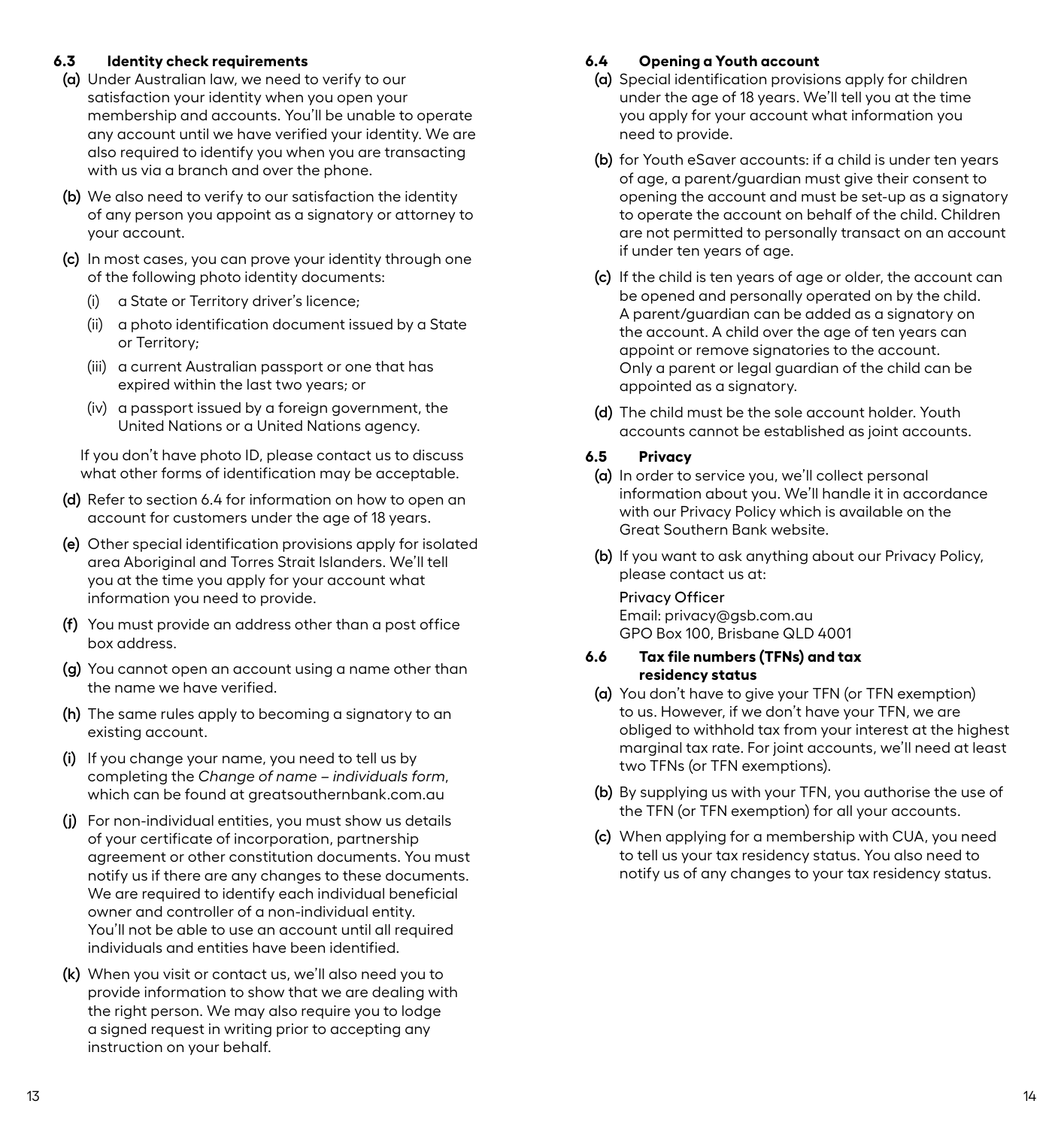### <span id="page-9-0"></span>**6.3 Identity check requirements**

- **(a)** Under Australian law, we need to verify to our satisfaction your identity when you open your membership and accounts. You'll be unable to operate any account until we have verified your identity. We are also required to identify you when you are transacting with us via a branch and over the phone.
- **(b)** We also need to verify to our satisfaction the identity of any person you appoint as a signatory or attorney to your account.
- **(c)** In most cases, you can prove your identity through one of the following photo identity documents:
	- (i) a State or Territory driver's licence;
	- (ii) a photo identification document issued by a State or Territory;
	- (iii) a current Australian passport or one that has expired within the last two years; or
	- (iv) a passport issued by a foreign government, the United Nations or a United Nations agency.

If you don't have photo ID, please contact us to discuss what other forms of identification may be acceptable.

- **(d)** Refer to section 6.4 for information on how to open an account for customers under the age of 18 years.
- **(e)** Other special identification provisions apply for isolated area Aboriginal and Torres Strait Islanders. We'll tell you at the time you apply for your account what information you need to provide.
- **(f)** You must provide an address other than a post office box address.
- **(g)** You cannot open an account using a name other than the name we have verified.
- **(h)** The same rules apply to becoming a signatory to an existing account.
- **(i)** If you change your name, you need to tell us by completing the *Change of name – individuals form*, which can be found at greatsouthernbank.com.au
- **(j)** For non-individual entities, you must show us details of your certificate of incorporation, partnership agreement or other constitution documents. You must notify us if there are any changes to these documents. We are required to identify each individual beneficial owner and controller of a non-individual entity. You'll not be able to use an account until all required individuals and entities have been identified.
- **(k)** When you visit or contact us, we'll also need you to provide information to show that we are dealing with the right person. We may also require you to lodge a signed request in writing prior to accepting any instruction on your behalf.

# **6.4 Opening a Youth account**

- **(a)** Special identification provisions apply for children under the age of 18 years. We'll tell you at the time you apply for your account what information you need to provide.
- **(b)** for Youth eSaver accounts: if a child is under ten years of age, a parent/guardian must give their consent to opening the account and must be set-up as a signatory to operate the account on behalf of the child. Children are not permitted to personally transact on an account if under ten years of age.
- **(c)** If the child is ten years of age or older, the account can be opened and personally operated on by the child. A parent/guardian can be added as a signatory on the account. A child over the age of ten years can appoint or remove signatories to the account. Only a parent or legal guardian of the child can be appointed as a signatory.
- **(d)** The child must be the sole account holder. Youth accounts cannot be established as joint accounts.

# **6.5 Privacy**

- **(a)** In order to service you, we'll collect personal information about you. We'll handle it in accordance with our Privacy Policy which is available on the Great Southern Bank website.
- **(b)** If you want to ask anything about our Privacy Policy, please contact us at:

# Privacy Officer

Email: privacy@gsb.com.au GPO Box 100, Brisbane QLD 4001

### **6.6 Tax file numbers (TFNs) and tax residency status**

- **(a)** You don't have to give your TFN (or TFN exemption) to us. However, if we don't have your TFN, we are obliged to withhold tax from your interest at the highest marginal tax rate. For joint accounts, we'll need at least two TFNs (or TFN exemptions).
- **(b)** By supplying us with your TFN, you authorise the use of the TFN (or TFN exemption) for all your accounts.
- **(c)** When applying for a membership with CUA, you need to tell us your tax residency status. You also need to notify us of any changes to your tax residency status.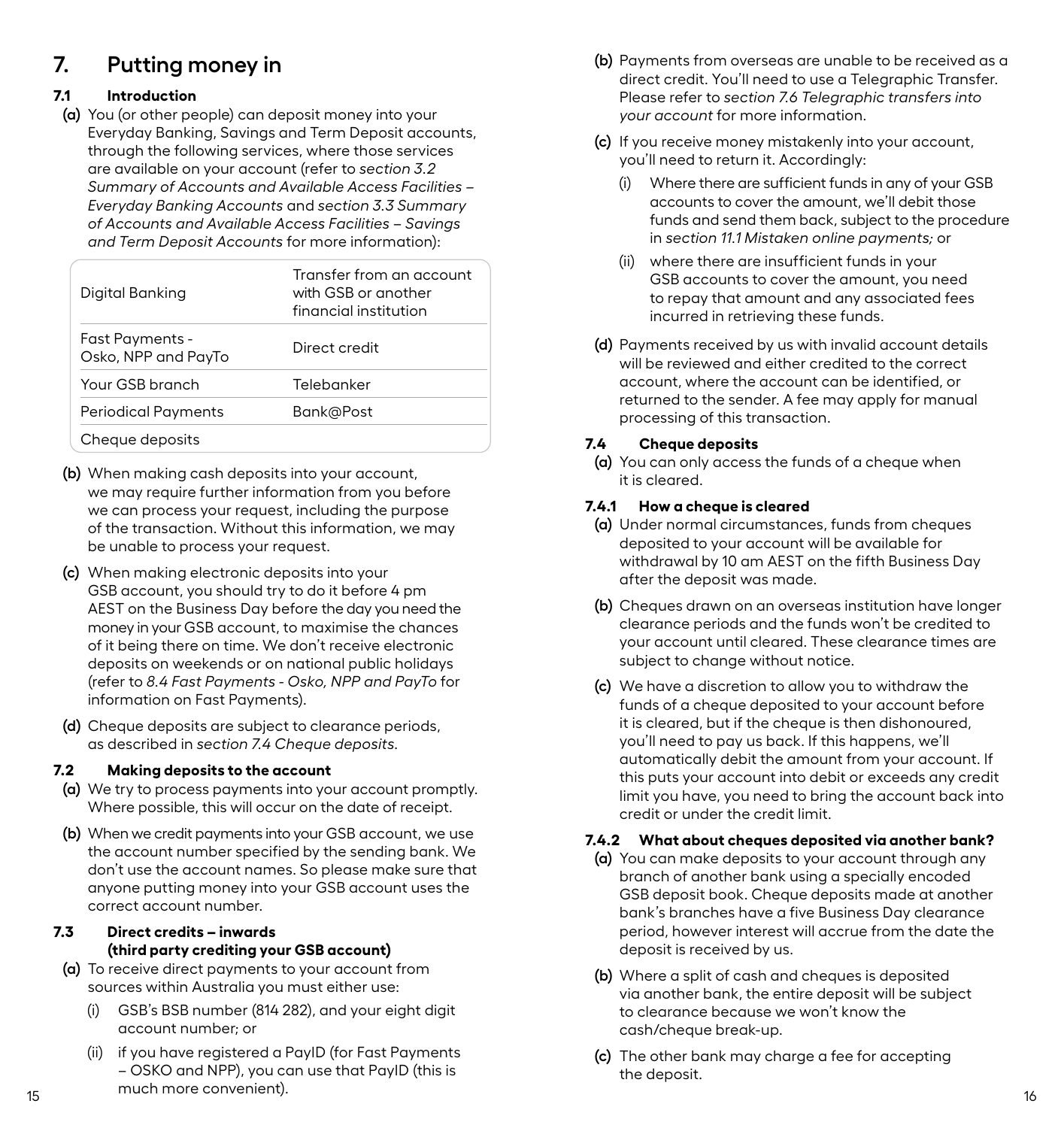# <span id="page-10-0"></span>**7. Putting money in**

# **7.1 Introduction**

**(a)** You (or other people) can deposit money into your Everyday Banking, Savings and Term Deposit accounts, through the following services, where those services are available on your account (refer to *section 3.2 Summary of Accounts and Available Access Facilities – Everyday Banking Accounts* and *section 3.3 Summary of Accounts and Available Access Facilities – Savings and Term Deposit Accounts* for more information):

| Digital Banking                        | Transfer from an account<br>with GSB or another<br>financial institution |
|----------------------------------------|--------------------------------------------------------------------------|
| Fast Payments -<br>Osko, NPP and PayTo | Direct credit                                                            |
| Your GSB branch                        | Telebanker                                                               |
| Periodical Payments                    | Bank@Post                                                                |
| Cheque deposits                        |                                                                          |

- **(b)** When making cash deposits into your account, we may require further information from you before we can process your request, including the purpose of the transaction. Without this information, we may be unable to process your request.
- **(c)** When making electronic deposits into your GSB account, you should try to do it before 4 pm AEST on the Business Day before the day you need the money in your GSB account, to maximise the chances of it being there on time. We don't receive electronic deposits on weekends or on national public holidays (refer to *8.4 Fast Payments - Osko, NPP and PayTo* for information on Fast Payments).
- **(d)** Cheque deposits are subject to clearance periods, as described in *section 7.4 Cheque deposits.*

### **7.2 Making deposits to the account**

- **(a)** We try to process payments into your account promptly. Where possible, this will occur on the date of receipt.
- **(b)** When we credit payments into your GSB account, we use the account number specified by the sending bank. We don't use the account names. So please make sure that anyone putting money into your GSB account uses the correct account number.

# **7.3 Direct credits – inwards (third party crediting your GSB account)**

- **(a)** To receive direct payments to your account from sources within Australia you must either use:
	- (i) GSB's BSB number (814 282), and your eight digit account number; or
- 15 16 (ii) if you have registered a PayID (for Fast Payments – OSKO and NPP), you can use that PayID (this is much more convenient).
- **(b)** Payments from overseas are unable to be received as a direct credit. You'll need to use a Telegraphic Transfer. Please refer to *section 7.6 Telegraphic transfers into your account* for more information.
- **(c)** If you receive money mistakenly into your account, you'll need to return it. Accordingly:
	- (i) Where there are sufficient funds in any of your GSB accounts to cover the amount, we'll debit those funds and send them back, subject to the procedure in *section 11.1 Mistaken online payments;* or
	- (ii) where there are insufficient funds in your GSB accounts to cover the amount, you need to repay that amount and any associated fees incurred in retrieving these funds.
- **(d)** Payments received by us with invalid account details will be reviewed and either credited to the correct account, where the account can be identified, or returned to the sender. A fee may apply for manual processing of this transaction.

# **7.4 Cheque deposits**

**(a)** You can only access the funds of a cheque when it is cleared.

# **7.4.1 How a cheque is cleared**

- **(a)** Under normal circumstances, funds from cheques deposited to your account will be available for withdrawal by 10 am AEST on the fifth Business Day after the deposit was made.
- **(b)** Cheques drawn on an overseas institution have longer clearance periods and the funds won't be credited to your account until cleared. These clearance times are subject to change without notice.
- **(c)** We have a discretion to allow you to withdraw the funds of a cheque deposited to your account before it is cleared, but if the cheque is then dishonoured, you'll need to pay us back. If this happens, we'll automatically debit the amount from your account. If this puts your account into debit or exceeds any credit limit you have, you need to bring the account back into credit or under the credit limit.

# **7.4.2 What about cheques deposited via another bank?**

- **(a)** You can make deposits to your account through any branch of another bank using a specially encoded GSB deposit book. Cheque deposits made at another bank's branches have a five Business Day clearance period, however interest will accrue from the date the deposit is received by us.
- **(b)** Where a split of cash and cheques is deposited via another bank, the entire deposit will be subject to clearance because we won't know the cash/cheque break-up.
- **(c)** The other bank may charge a fee for accepting the deposit.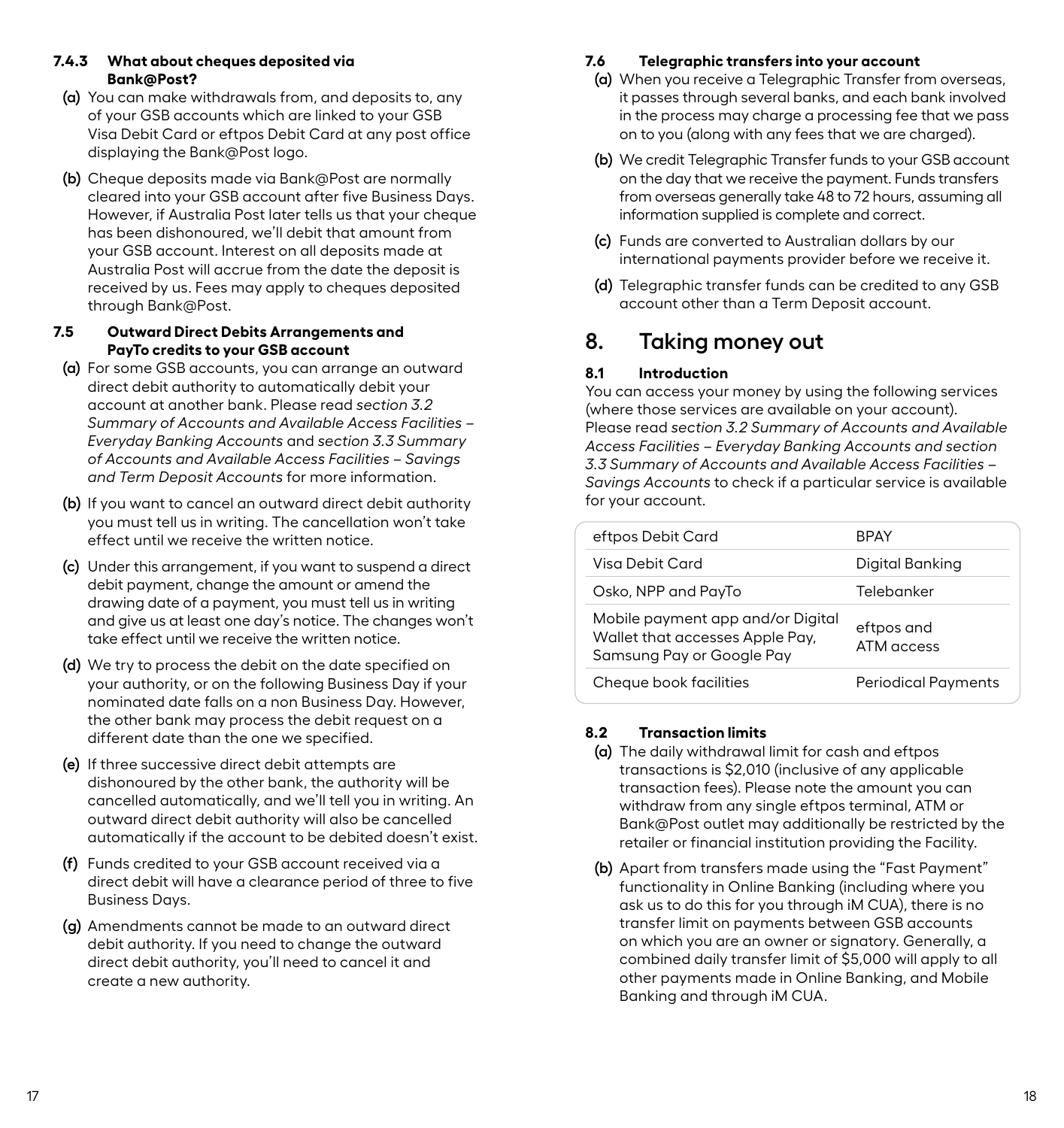#### <span id="page-11-0"></span>**7.4.3 What about cheques deposited via Bank@Post?**

- **(a)** You can make withdrawals from, and deposits to, any of your GSB accounts which are linked to your GSB Visa Debit Card or eftpos Debit Card at any post office displaying the Bank@Post logo.
- **(b)** Cheque deposits made via Bank@Post are normally cleared into your GSB account after five Business Days. However, if Australia Post later tells us that your cheque has been dishonoured, we'll debit that amount from your GSB account. Interest on all deposits made at Australia Post will accrue from the date the deposit is received by us. Fees may apply to cheques deposited through Bank@Post.

# **7.5 Outward Direct Debits Arrangements and PayTo credits to your GSB account**

- **(a)** For some GSB accounts, you can arrange an outward direct debit authority to automatically debit your account at another bank. Please read *section 3.2 Summary of Accounts and Available Access Facilities – Everyday Banking Accounts* and *section 3.3 Summary of Accounts and Available Access Facilities – Savings and Term Deposit Accounts* for more information.
- **(b)** If you want to cancel an outward direct debit authority you must tell us in writing. The cancellation won't take effect until we receive the written notice.
- **(c)** Under this arrangement, if you want to suspend a direct debit payment, change the amount or amend the drawing date of a payment, you must tell us in writing and give us at least one day's notice. The changes won't take effect until we receive the written notice.
- **(d)** We try to process the debit on the date specified on your authority, or on the following Business Day if your nominated date falls on a non Business Day. However, the other bank may process the debit request on a different date than the one we specified.
- **(e)** If three successive direct debit attempts are dishonoured by the other bank, the authority will be cancelled automatically, and we'll tell you in writing. An outward direct debit authority will also be cancelled automatically if the account to be debited doesn't exist.
- **(f)** Funds credited to your GSB account received via a direct debit will have a clearance period of three to five Business Days.
- **(g)** Amendments cannot be made to an outward direct debit authority. If you need to change the outward direct debit authority, you'll need to cancel it and create a new authority.

# **7.6 Telegraphic transfers into your account**

- **(a)** When you receive a Telegraphic Transfer from overseas, it passes through several banks, and each bank involved in the process may charge a processing fee that we pass on to you (along with any fees that we are charged).
- **(b)** We credit Telegraphic Transfer funds to your GSB account on the day that we receive the payment. Funds transfers from overseas generally take 48 to 72 hours, assuming all information supplied is complete and correct.
- **(c)** Funds are converted to Australian dollars by our international payments provider before we receive it.
- **(d)** Telegraphic transfer funds can be credited to any GSB account other than a Term Deposit account.

# **8. Taking money out**

# **8.1 Introduction**

You can access your money by using the following services (where those services are available on your account). Please read *section 3.2 Summary of Accounts and Available Access Facilities – Everyday Banking Accounts and section 3.3 Summary of Accounts and Available Access Facilities – Savings Accounts* to check if a particular service is available for your account.

| eftpos Debit Card                                                                                 | <b>BPAY</b>                |
|---------------------------------------------------------------------------------------------------|----------------------------|
| Visa Debit Card                                                                                   | Digital Banking            |
| Osko, NPP and PayTo                                                                               | Telebanker                 |
| Mobile payment app and/or Digital<br>Wallet that accesses Apple Pay,<br>Samsung Pay or Google Pay | eftpos and<br>ATM access   |
| Cheque book facilities                                                                            | <b>Periodical Payments</b> |

# **8.2 Transaction limits**

- **(a)** The daily withdrawal limit for cash and eftpos transactions is \$2,010 (inclusive of any applicable transaction fees). Please note the amount you can withdraw from any single eftpos terminal, ATM or Bank@Post outlet may additionally be restricted by the retailer or financial institution providing the Facility.
- **(b)** Apart from transfers made using the "Fast Payment" functionality in Online Banking (including where you ask us to do this for you through iM CUA), there is no transfer limit on payments between GSB accounts on which you are an owner or signatory. Generally, a combined daily transfer limit of \$5,000 will apply to all other payments made in Online Banking, and Mobile Banking and through iM CUA.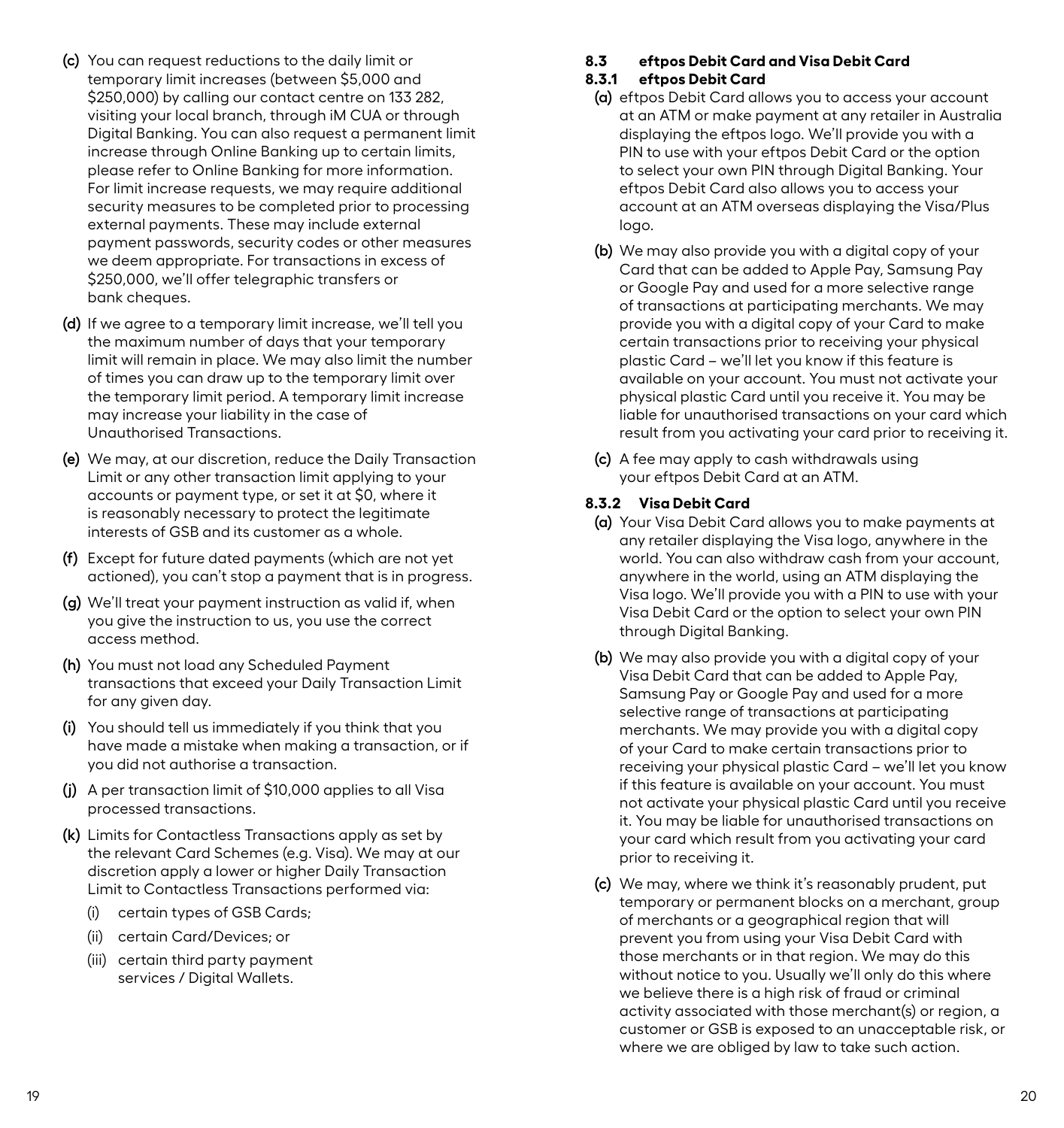- <span id="page-12-0"></span>**(c)** You can request reductions to the daily limit or temporary limit increases (between \$5,000 and \$250,000) by calling our contact centre on 133 282, visiting your local branch, through iM CUA or through Digital Banking. You can also request a permanent limit increase through Online Banking up to certain limits, please refer to Online Banking for more information. For limit increase requests, we may require additional security measures to be completed prior to processing external payments. These may include external payment passwords, security codes or other measures we deem appropriate. For transactions in excess of \$250,000, we'll offer telegraphic transfers or bank cheques.
- **(d)** If we agree to a temporary limit increase, we'll tell you the maximum number of days that your temporary limit will remain in place. We may also limit the number of times you can draw up to the temporary limit over the temporary limit period. A temporary limit increase may increase your liability in the case of Unauthorised Transactions.
- **(e)** We may, at our discretion, reduce the Daily Transaction Limit or any other transaction limit applying to your accounts or payment type, or set it at \$0, where it is reasonably necessary to protect the legitimate interests of GSB and its customer as a whole.
- **(f)** Except for future dated payments (which are not yet actioned), you can't stop a payment that is in progress.
- **(g)** We'll treat your payment instruction as valid if, when you give the instruction to us, you use the correct access method.
- **(h)** You must not load any Scheduled Payment transactions that exceed your Daily Transaction Limit for any given day.
- **(i)** You should tell us immediately if you think that you have made a mistake when making a transaction, or if you did not authorise a transaction.
- **(j)** A per transaction limit of \$10,000 applies to all Visa processed transactions.
- **(k)** Limits for Contactless Transactions apply as set by the relevant Card Schemes (e.g. Visa). We may at our discretion apply a lower or higher Daily Transaction Limit to Contactless Transactions performed via:
	- (i) certain types of GSB Cards;
	- (ii) certain Card/Devices; or
	- (iii) certain third party payment services / Digital Wallets.

# **8.3 eftpos Debit Card and Visa Debit Card**

# **8.3.1 eftpos Debit Card**

- **(a)** eftpos Debit Card allows you to access your account at an ATM or make payment at any retailer in Australia displaying the eftpos logo. We'll provide you with a PIN to use with your eftpos Debit Card or the option to select your own PIN through Digital Banking. Your eftpos Debit Card also allows you to access your account at an ATM overseas displaying the Visa/Plus logo.
- **(b)** We may also provide you with a digital copy of your Card that can be added to Apple Pay, Samsung Pay or Google Pay and used for a more selective range of transactions at participating merchants. We may provide you with a digital copy of your Card to make certain transactions prior to receiving your physical plastic Card – we'll let you know if this feature is available on your account. You must not activate your physical plastic Card until you receive it. You may be liable for unauthorised transactions on your card which result from you activating your card prior to receiving it.
- **(c)** A fee may apply to cash withdrawals using your eftpos Debit Card at an ATM.

# **8.3.2 Visa Debit Card**

- **(a)** Your Visa Debit Card allows you to make payments at any retailer displaying the Visa logo, anywhere in the world. You can also withdraw cash from your account, anywhere in the world, using an ATM displaying the Visa logo. We'll provide you with a PIN to use with your Visa Debit Card or the option to select your own PIN through Digital Banking.
- **(b)** We may also provide you with a digital copy of your Visa Debit Card that can be added to Apple Pay, Samsung Pay or Google Pay and used for a more selective range of transactions at participating merchants. We may provide you with a digital copy of your Card to make certain transactions prior to receiving your physical plastic Card – we'll let you know if this feature is available on your account. You must not activate your physical plastic Card until you receive it. You may be liable for unauthorised transactions on your card which result from you activating your card prior to receiving it.
- **(c)** We may, where we think it's reasonably prudent, put temporary or permanent blocks on a merchant, group of merchants or a geographical region that will prevent you from using your Visa Debit Card with those merchants or in that region. We may do this without notice to you. Usually we'll only do this where we believe there is a high risk of fraud or criminal activity associated with those merchant(s) or region, a customer or GSB is exposed to an unacceptable risk, or where we are obliged by law to take such action.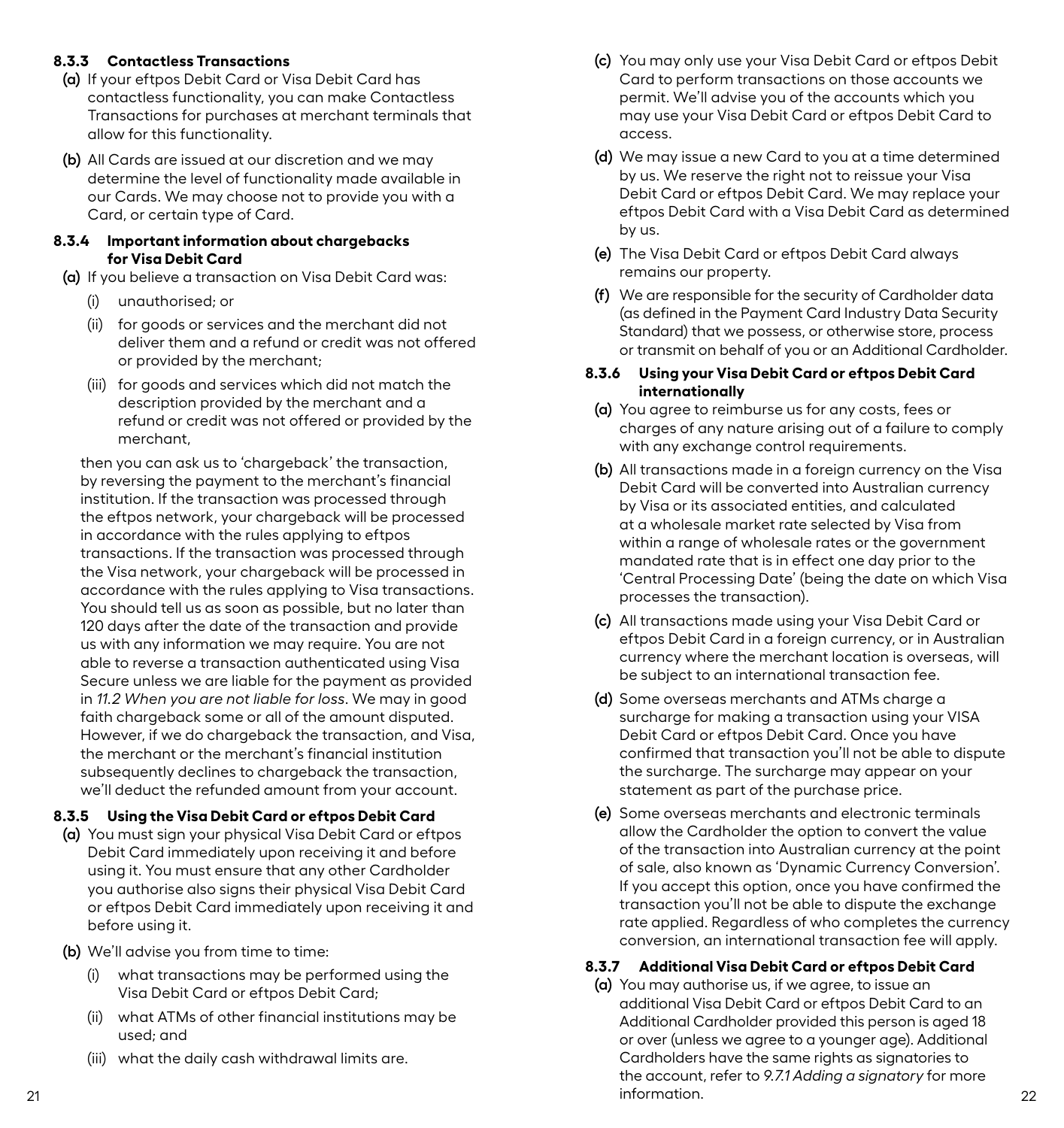### **8.3.3 Contactless Transactions**

- **(a)** If your eftpos Debit Card or Visa Debit Card has contactless functionality, you can make Contactless Transactions for purchases at merchant terminals that allow for this functionality.
- **(b)** All Cards are issued at our discretion and we may determine the level of functionality made available in our Cards. We may choose not to provide you with a Card, or certain type of Card.

#### **8.3.4 Important information about chargebacks for Visa Debit Card**

- **(a)** If you believe a transaction on Visa Debit Card was:
	- (i) unauthorised; or
	- (ii) for goods or services and the merchant did not deliver them and a refund or credit was not offered or provided by the merchant;
	- (iii) for goods and services which did not match the description provided by the merchant and a refund or credit was not offered or provided by the merchant,

then you can ask us to 'chargeback' the transaction, by reversing the payment to the merchant's financial institution. If the transaction was processed through the eftpos network, your chargeback will be processed in accordance with the rules applying to eftpos transactions. If the transaction was processed through the Visa network, your chargeback will be processed in accordance with the rules applying to Visa transactions. You should tell us as soon as possible, but no later than 120 days after the date of the transaction and provide us with any information we may require. You are not able to reverse a transaction authenticated using Visa Secure unless we are liable for the payment as provided in *11.2 When you are not liable for loss*. We may in good faith chargeback some or all of the amount disputed. However, if we do chargeback the transaction, and Visa, the merchant or the merchant's financial institution subsequently declines to chargeback the transaction, we'll deduct the refunded amount from your account.

### **8.3.5 Using the Visa Debit Card or eftpos Debit Card**

- **(a)** You must sign your physical Visa Debit Card or eftpos Debit Card immediately upon receiving it and before using it. You must ensure that any other Cardholder you authorise also signs their physical Visa Debit Card or eftpos Debit Card immediately upon receiving it and before using it.
- **(b)** We'll advise you from time to time:
	- (i) what transactions may be performed using the Visa Debit Card or eftpos Debit Card;
	- (ii) what ATMs of other financial institutions may be used; and
	- (iii) what the daily cash withdrawal limits are.
- **(c)** You may only use your Visa Debit Card or eftpos Debit Card to perform transactions on those accounts we permit. We'll advise you of the accounts which you may use your Visa Debit Card or eftpos Debit Card to access.
- **(d)** We may issue a new Card to you at a time determined by us. We reserve the right not to reissue your Visa Debit Card or eftpos Debit Card. We may replace your eftpos Debit Card with a Visa Debit Card as determined by us.
- **(e)** The Visa Debit Card or eftpos Debit Card always remains our property.
- **(f)** We are responsible for the security of Cardholder data (as defined in the Payment Card Industry Data Security Standard) that we possess, or otherwise store, process or transmit on behalf of you or an Additional Cardholder.

#### **8.3.6 Using your Visa Debit Card or eftpos Debit Card internationally**

- **(a)** You agree to reimburse us for any costs, fees or charges of any nature arising out of a failure to comply with any exchange control requirements.
- **(b)** All transactions made in a foreign currency on the Visa Debit Card will be converted into Australian currency by Visa or its associated entities, and calculated at a wholesale market rate selected by Visa from within a range of wholesale rates or the government mandated rate that is in effect one day prior to the 'Central Processing Date' (being the date on which Visa processes the transaction).
- **(c)** All transactions made using your Visa Debit Card or eftpos Debit Card in a foreign currency, or in Australian currency where the merchant location is overseas, will be subject to an international transaction fee.
- **(d)** Some overseas merchants and ATMs charge a surcharge for making a transaction using your VISA Debit Card or eftpos Debit Card. Once you have confirmed that transaction you'll not be able to dispute the surcharge. The surcharge may appear on your statement as part of the purchase price.
- **(e)** Some overseas merchants and electronic terminals allow the Cardholder the option to convert the value of the transaction into Australian currency at the point of sale, also known as 'Dynamic Currency Conversion'. If you accept this option, once you have confirmed the transaction you'll not be able to dispute the exchange rate applied. Regardless of who completes the currency conversion, an international transaction fee will apply.

### **8.3.7 Additional Visa Debit Card or eftpos Debit Card**

21 22 **(a)** You may authorise us, if we agree, to issue an additional Visa Debit Card or eftpos Debit Card to an Additional Cardholder provided this person is aged 18 or over (unless we agree to a younger age). Additional Cardholders have the same rights as signatories to the account, refer to *9.7.1 Adding a signatory* for more information.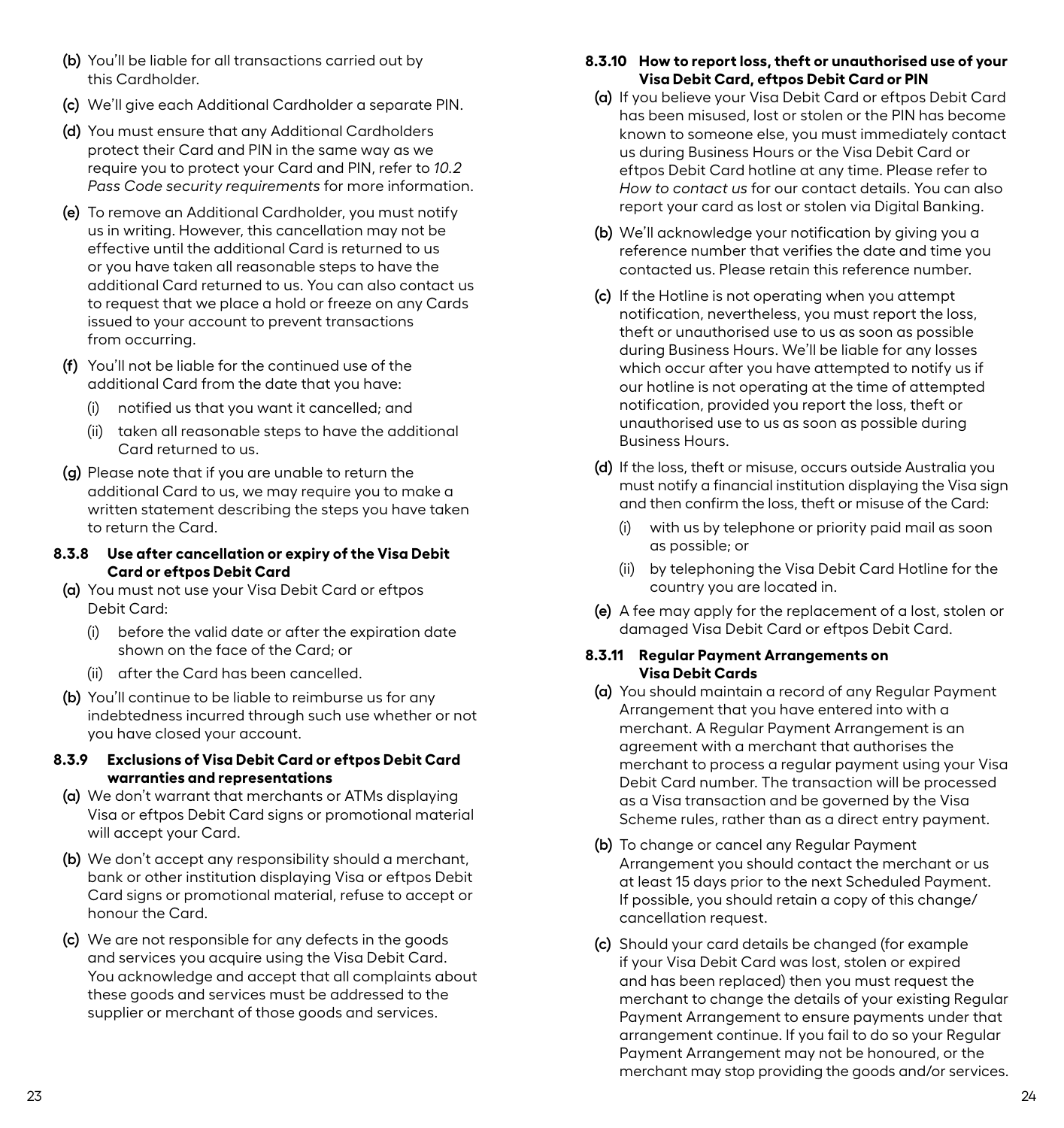- **(b)** You'll be liable for all transactions carried out by this Cardholder.
- **(c)** We'll give each Additional Cardholder a separate PIN.
- **(d)** You must ensure that any Additional Cardholders protect their Card and PIN in the same way as we require you to protect your Card and PIN, refer to *10.2 Pass Code security requirements* for more information.
- **(e)** To remove an Additional Cardholder, you must notify us in writing. However, this cancellation may not be effective until the additional Card is returned to us or you have taken all reasonable steps to have the additional Card returned to us. You can also contact us to request that we place a hold or freeze on any Cards issued to your account to prevent transactions from occurring.
- **(f)** You'll not be liable for the continued use of the additional Card from the date that you have:
	- (i) notified us that you want it cancelled; and
	- (ii) taken all reasonable steps to have the additional Card returned to us.
- **(g)** Please note that if you are unable to return the additional Card to us, we may require you to make a written statement describing the steps you have taken to return the Card.
- **8.3.8 Use after cancellation or expiry of the Visa Debit Card or eftpos Debit Card**
- **(a)** You must not use your Visa Debit Card or eftpos Debit Card:
	- (i) before the valid date or after the expiration date shown on the face of the Card; or
	- (ii) after the Card has been cancelled.
- **(b)** You'll continue to be liable to reimburse us for any indebtedness incurred through such use whether or not you have closed your account.

# **8.3.9 Exclusions of Visa Debit Card or eftpos Debit Card warranties and representations**

- **(a)** We don't warrant that merchants or ATMs displaying Visa or eftpos Debit Card signs or promotional material will accept your Card.
- **(b)** We don't accept any responsibility should a merchant, bank or other institution displaying Visa or eftpos Debit Card signs or promotional material, refuse to accept or honour the Card.
- **(c)** We are not responsible for any defects in the goods and services you acquire using the Visa Debit Card. You acknowledge and accept that all complaints about these goods and services must be addressed to the supplier or merchant of those goods and services.

# **8.3.10 How to report loss, theft or unauthorised use of your Visa Debit Card, eftpos Debit Card or PIN**

- **(a)** If you believe your Visa Debit Card or eftpos Debit Card has been misused, lost or stolen or the PIN has become known to someone else, you must immediately contact us during Business Hours or the Visa Debit Card or eftpos Debit Card hotline at any time. Please refer to *How to contact us* for our contact details. You can also report your card as lost or stolen via Digital Banking.
- **(b)** We'll acknowledge your notification by giving you a reference number that verifies the date and time you contacted us. Please retain this reference number.
- **(c)** If the Hotline is not operating when you attempt notification, nevertheless, you must report the loss, theft or unauthorised use to us as soon as possible during Business Hours. We'll be liable for any losses which occur after you have attempted to notify us if our hotline is not operating at the time of attempted notification, provided you report the loss, theft or unauthorised use to us as soon as possible during Business Hours.
- **(d)** If the loss, theft or misuse, occurs outside Australia you must notify a financial institution displaying the Visa sign and then confirm the loss, theft or misuse of the Card:
	- (i) with us by telephone or priority paid mail as soon as possible; or
	- (ii) by telephoning the Visa Debit Card Hotline for the country you are located in.
- **(e)** A fee may apply for the replacement of a lost, stolen or damaged Visa Debit Card or eftpos Debit Card.

# **8.3.11 Regular Payment Arrangements on Visa Debit Cards**

- **(a)** You should maintain a record of any Regular Payment Arrangement that you have entered into with a merchant. A Regular Payment Arrangement is an agreement with a merchant that authorises the merchant to process a regular payment using your Visa Debit Card number. The transaction will be processed as a Visa transaction and be governed by the Visa Scheme rules, rather than as a direct entry payment.
- **(b)** To change or cancel any Regular Payment Arrangement you should contact the merchant or us at least 15 days prior to the next Scheduled Payment. If possible, you should retain a copy of this change/ cancellation request.
- **(c)** Should your card details be changed (for example if your Visa Debit Card was lost, stolen or expired and has been replaced) then you must request the merchant to change the details of your existing Regular Payment Arrangement to ensure payments under that arrangement continue. If you fail to do so your Regular Payment Arrangement may not be honoured, or the merchant may stop providing the goods and/or services.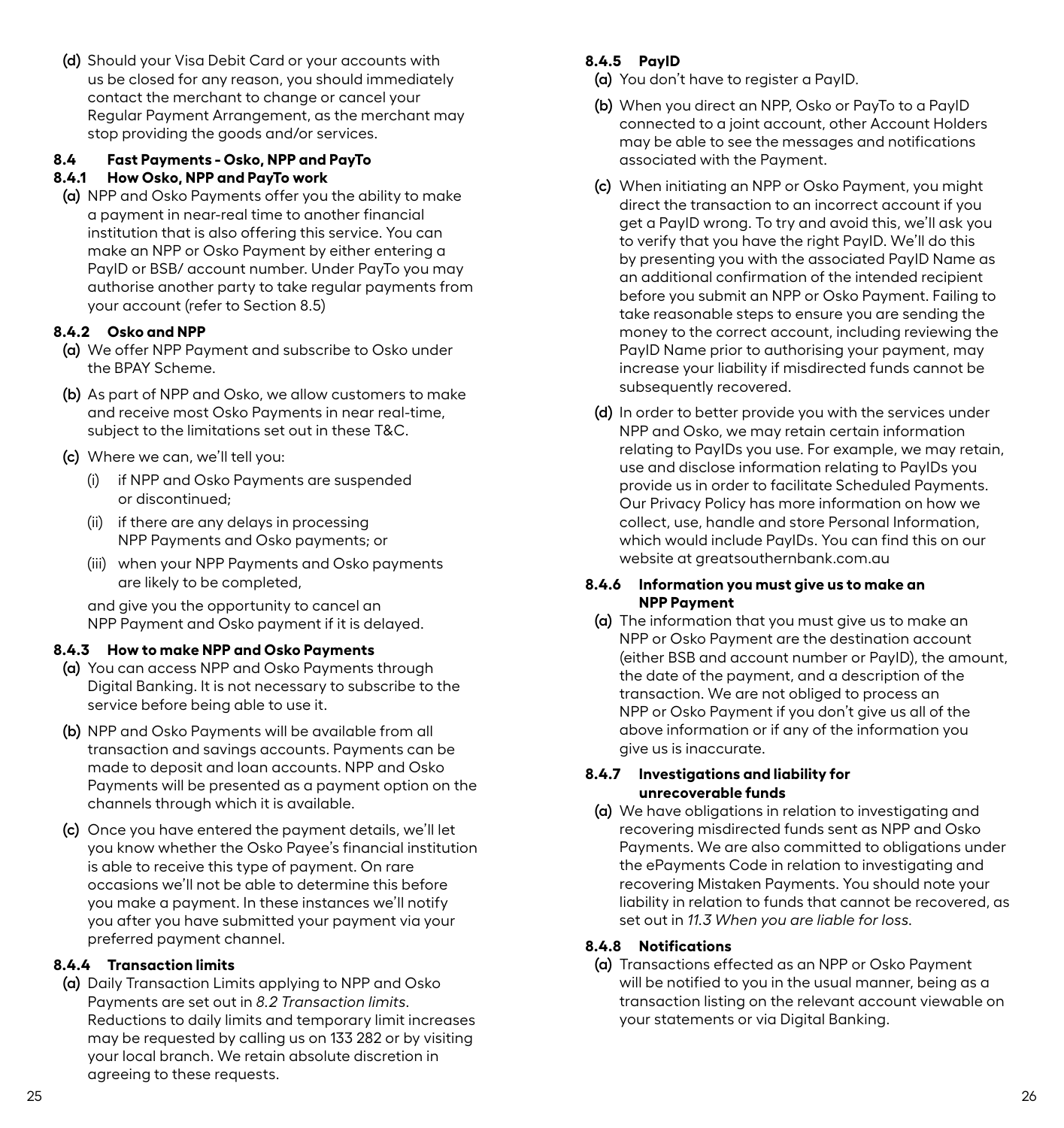<span id="page-15-0"></span>**(d)** Should your Visa Debit Card or your accounts with us be closed for any reason, you should immediately contact the merchant to change or cancel your Regular Payment Arrangement, as the merchant may stop providing the goods and/or services.

# **8.4 Fast Payments - Osko, NPP and PayTo**

#### **8.4.1 How Osko, NPP and PayTo work**

**(a)** NPP and Osko Payments offer you the ability to make a payment in near-real time to another financial institution that is also offering this service. You can make an NPP or Osko Payment by either entering a PayID or BSB/ account number. Under PayTo you may authorise another party to take regular payments from your account (refer to Section 8.5)

### **8.4.2 Osko and NPP**

- **(a)** We offer NPP Payment and subscribe to Osko under the BPAY Scheme.
- **(b)** As part of NPP and Osko, we allow customers to make and receive most Osko Payments in near real-time, subject to the limitations set out in these T&C.
- **(c)** Where we can, we'll tell you:
	- (i) if NPP and Osko Payments are suspended or discontinued;
	- (ii) if there are any delays in processing NPP Payments and Osko payments; or
	- (iii) when your NPP Payments and Osko payments are likely to be completed,

and give you the opportunity to cancel an NPP Payment and Osko payment if it is delayed.

### **8.4.3 How to make NPP and Osko Payments**

- **(a)** You can access NPP and Osko Payments through Digital Banking. It is not necessary to subscribe to the service before being able to use it.
- **(b)** NPP and Osko Payments will be available from all transaction and savings accounts. Payments can be made to deposit and loan accounts. NPP and Osko Payments will be presented as a payment option on the channels through which it is available.
- **(c)** Once you have entered the payment details, we'll let you know whether the Osko Payee's financial institution is able to receive this type of payment. On rare occasions we'll not be able to determine this before you make a payment. In these instances we'll notify you after you have submitted your payment via your preferred payment channel.

### **8.4.4 Transaction limits**

**(a)** Daily Transaction Limits applying to NPP and Osko Payments are set out in *8.2 Transaction limits*. Reductions to daily limits and temporary limit increases may be requested by calling us on 133 282 or by visiting your local branch. We retain absolute discretion in agreeing to these requests.

# **8.4.5 PayID**

- **(a)** You don't have to register a PayID.
- **(b)** When you direct an NPP, Osko or PayTo to a PayID connected to a joint account, other Account Holders may be able to see the messages and notifications associated with the Payment.
- **(c)** When initiating an NPP or Osko Payment, you might direct the transaction to an incorrect account if you get a PayID wrong. To try and avoid this, we'll ask you to verify that you have the right PayID. We'll do this by presenting you with the associated PayID Name as an additional confirmation of the intended recipient before you submit an NPP or Osko Payment. Failing to take reasonable steps to ensure you are sending the money to the correct account, including reviewing the PayID Name prior to authorising your payment, may increase your liability if misdirected funds cannot be subsequently recovered.
- **(d)** In order to better provide you with the services under NPP and Osko, we may retain certain information relating to PayIDs you use. For example, we may retain, use and disclose information relating to PayIDs you provide us in order to facilitate Scheduled Payments. Our Privacy Policy has more information on how we collect, use, handle and store Personal Information, which would include PayIDs. You can find this on our website at greatsouthernbank.com.au

#### **8.4.6 Information you must give us to make an NPP Payment**

**(a)** The information that you must give us to make an NPP or Osko Payment are the destination account (either BSB and account number or PayID), the amount, the date of the payment, and a description of the transaction. We are not obliged to process an NPP or Osko Payment if you don't give us all of the above information or if any of the information you give us is inaccurate.

#### **8.4.7 Investigations and liability for unrecoverable funds**

**(a)** We have obligations in relation to investigating and recovering misdirected funds sent as NPP and Osko Payments. We are also committed to obligations under the ePayments Code in relation to investigating and recovering Mistaken Payments. You should note your liability in relation to funds that cannot be recovered, as set out in *11.3 When you are liable for loss.* 

# **8.4.8 Notifications**

**(a)** Transactions effected as an NPP or Osko Payment will be notified to you in the usual manner, being as a transaction listing on the relevant account viewable on your statements or via Digital Banking.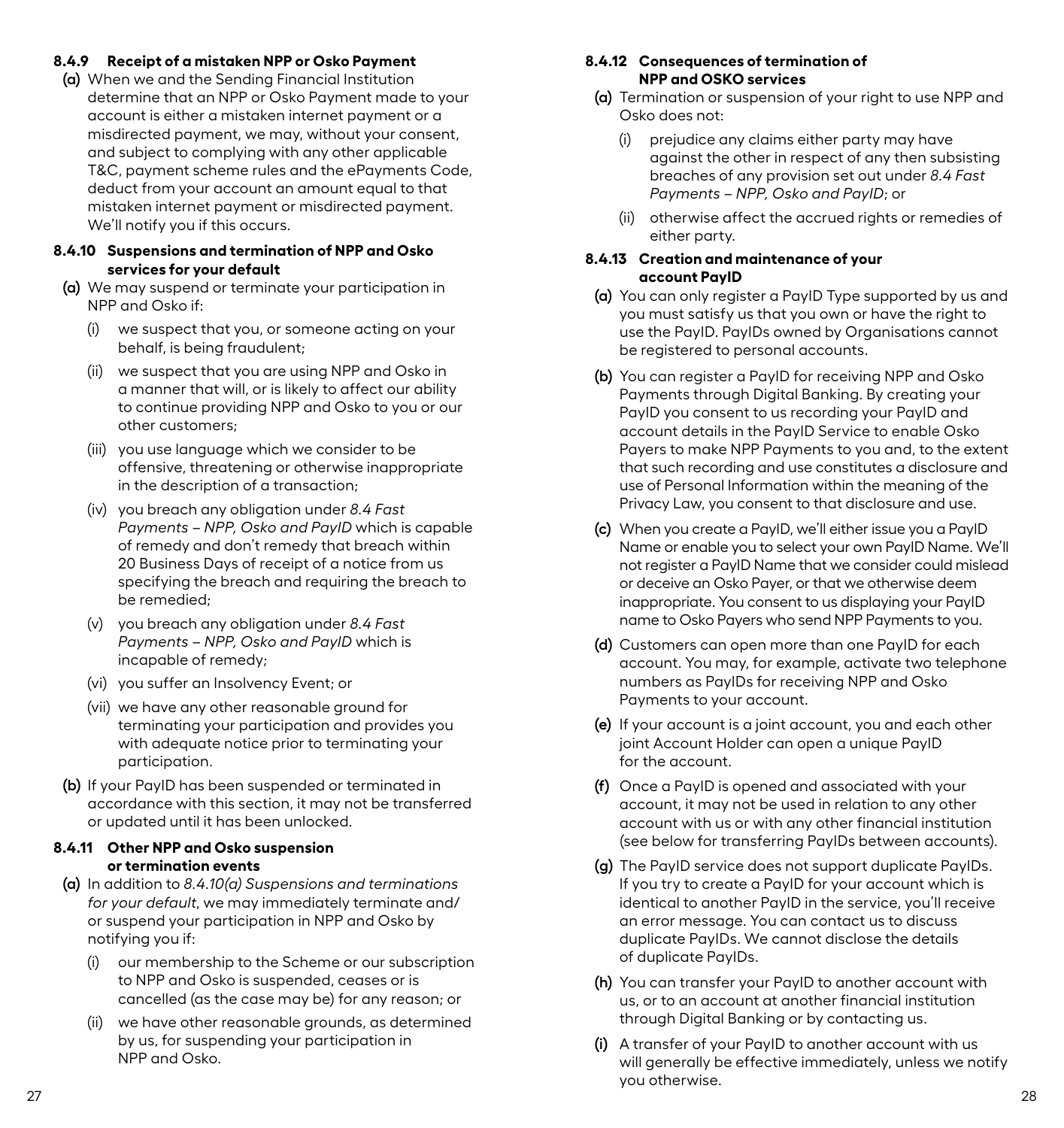#### **8.4.9 Receipt of a mistaken NPP or Osko Payment**

**(a)** When we and the Sending Financial Institution determine that an NPP or Osko Payment made to your account is either a mistaken internet payment or a misdirected payment, we may, without your consent, and subject to complying with any other applicable T&C, payment scheme rules and the ePayments Code, deduct from your account an amount equal to that mistaken internet payment or misdirected payment. We'll notify you if this occurs.

#### **8.4.10 Suspensions and termination of NPP and Osko services for your default**

- **(a)** We may suspend or terminate your participation in NPP and Osko if:
	- (i) we suspect that you, or someone acting on your behalf, is being fraudulent;
	- (ii) we suspect that you are using NPP and Osko in a manner that will, or is likely to affect our ability to continue providing NPP and Osko to you or our other customers;
	- (iii) you use language which we consider to be offensive, threatening or otherwise inappropriate in the description of a transaction;
	- (iv) you breach any obligation under *8.4 Fast Payments – NPP, Osko and PayID* which is capable of remedy and don't remedy that breach within 20 Business Days of receipt of a notice from us specifying the breach and requiring the breach to be remedied;
	- (v) you breach any obligation under *8.4 Fast Payments – NPP, Osko and PayID* which is incapable of remedy;
	- (vi) you suffer an Insolvency Event; or
	- (vii) we have any other reasonable ground for terminating your participation and provides you with adequate notice prior to terminating your participation.
- **(b)** If your PayID has been suspended or terminated in accordance with this section, it may not be transferred or updated until it has been unlocked.

# **8.4.11 Other NPP and Osko suspension or termination events**

- **(a)** In addition to *8.4.10(a) Suspensions and terminations for your default*, we may immediately terminate and/ or suspend your participation in NPP and Osko by notifying you if:
	- our membership to the Scheme or our subscription to NPP and Osko is suspended, ceases or is cancelled (as the case may be) for any reason; or
	- (ii) we have other reasonable grounds, as determined by us, for suspending your participation in NPP and Osko.

#### **8.4.12 Consequences of termination of NPP and OSKO services**

- **(a)** Termination or suspension of your right to use NPP and Osko does not:
	- (i) prejudice any claims either party may have against the other in respect of any then subsisting breaches of any provision set out under *8.4 Fast Payments – NPP, Osko and PayID*; or
	- (ii) otherwise affect the accrued rights or remedies of either party.

#### **8.4.13 Creation and maintenance of your account PayID**

- **(a)** You can only register a PayID Type supported by us and you must satisfy us that you own or have the right to use the PayID. PayIDs owned by Organisations cannot be registered to personal accounts.
- **(b)** You can register a PayID for receiving NPP and Osko Payments through Digital Banking. By creating your PayID you consent to us recording your PayID and account details in the PayID Service to enable Osko Payers to make NPP Payments to you and, to the extent that such recording and use constitutes a disclosure and use of Personal Information within the meaning of the Privacy Law, you consent to that disclosure and use.
- **(c)** When you create a PayID, we'll either issue you a PayID Name or enable you to select your own PayID Name. We'll not register a PayID Name that we consider could mislead or deceive an Osko Payer, or that we otherwise deem inappropriate. You consent to us displaying your PayID name to Osko Payers who send NPP Payments to you.
- **(d)** Customers can open more than one PayID for each account. You may, for example, activate two telephone numbers as PayIDs for receiving NPP and Osko Payments to your account.
- **(e)** If your account is a joint account, you and each other joint Account Holder can open a unique PayID for the account.
- **(f)** Once a PayID is opened and associated with your account, it may not be used in relation to any other account with us or with any other financial institution (see below for transferring PayIDs between accounts).
- **(g)** The PayID service does not support duplicate PayIDs. If you try to create a PayID for your account which is identical to another PayID in the service, you'll receive an error message. You can contact us to discuss duplicate PayIDs. We cannot disclose the details of duplicate PayIDs.
- **(h)** You can transfer your PayID to another account with us, or to an account at another financial institution through Digital Banking or by contacting us.
- **(i)** A transfer of your PayID to another account with us will generally be effective immediately, unless we notify you otherwise.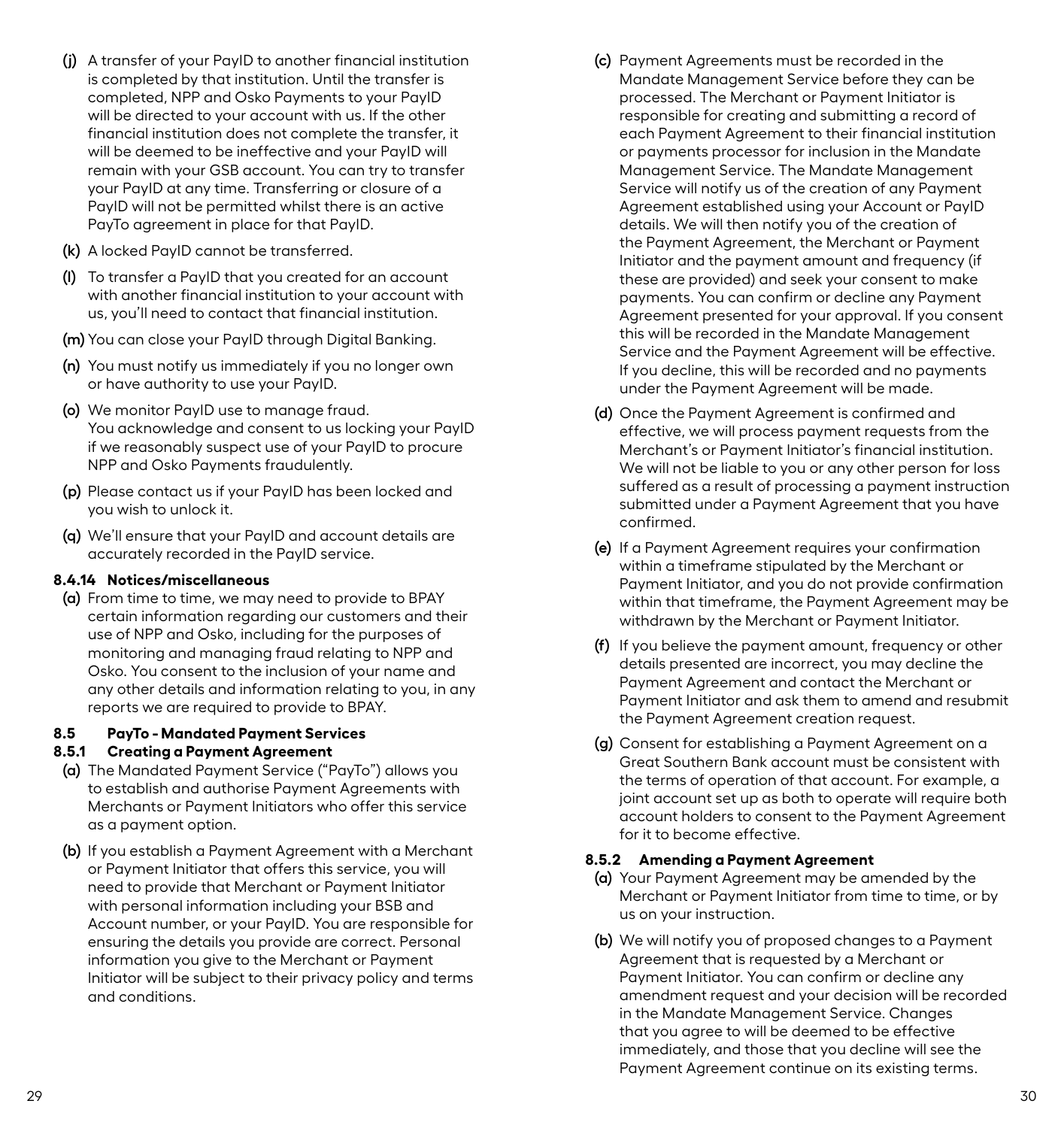- <span id="page-17-0"></span>**(j)** A transfer of your PayID to another financial institution is completed by that institution. Until the transfer is completed, NPP and Osko Payments to your PayID will be directed to your account with us. If the other financial institution does not complete the transfer, it will be deemed to be ineffective and your PayID will remain with your GSB account. You can try to transfer your PayID at any time. Transferring or closure of a PayID will not be permitted whilst there is an active PayTo agreement in place for that PayID.
- **(k)** A locked PayID cannot be transferred.
- **(l)** To transfer a PayID that you created for an account with another financial institution to your account with us, you'll need to contact that financial institution.
- **(m)** You can close your PayID through Digital Banking.
- **(n)** You must notify us immediately if you no longer own or have authority to use your PayID.
- **(o)** We monitor PayID use to manage fraud. You acknowledge and consent to us locking your PayID if we reasonably suspect use of your PayID to procure NPP and Osko Payments fraudulently.
- **(p)** Please contact us if your PayID has been locked and you wish to unlock it.
- **(q)** We'll ensure that your PayID and account details are accurately recorded in the PayID service.

### **8.4.14 Notices/miscellaneous**

**(a)** From time to time, we may need to provide to BPAY certain information regarding our customers and their use of NPP and Osko, including for the purposes of monitoring and managing fraud relating to NPP and Osko. You consent to the inclusion of your name and any other details and information relating to you, in any reports we are required to provide to BPAY.

### **8.5 PayTo - Mandated Payment Services**

### **8.5.1 Creating a Payment Agreement**

- **(a)** The Mandated Payment Service ("PayTo") allows you to establish and authorise Payment Agreements with Merchants or Payment Initiators who offer this service as a payment option.
- **(b)** If you establish a Payment Agreement with a Merchant or Payment Initiator that offers this service, you will need to provide that Merchant or Payment Initiator with personal information including your BSB and Account number, or your PayID. You are responsible for ensuring the details you provide are correct. Personal information you give to the Merchant or Payment Initiator will be subject to their privacy policy and terms and conditions.
- **(c)** Payment Agreements must be recorded in the Mandate Management Service before they can be processed. The Merchant or Payment Initiator is responsible for creating and submitting a record of each Payment Agreement to their financial institution or payments processor for inclusion in the Mandate Management Service. The Mandate Management Service will notify us of the creation of any Payment Agreement established using your Account or PayID details. We will then notify you of the creation of the Payment Agreement, the Merchant or Payment Initiator and the payment amount and frequency (if these are provided) and seek your consent to make payments. You can confirm or decline any Payment Agreement presented for your approval. If you consent this will be recorded in the Mandate Management Service and the Payment Agreement will be effective. If you decline, this will be recorded and no payments under the Payment Agreement will be made.
- **(d)** Once the Payment Agreement is confirmed and effective, we will process payment requests from the Merchant's or Payment Initiator's financial institution. We will not be liable to you or any other person for loss suffered as a result of processing a payment instruction submitted under a Payment Agreement that you have confirmed.
- **(e)** If a Payment Agreement requires your confirmation within a timeframe stipulated by the Merchant or Payment Initiator, and you do not provide confirmation within that timeframe, the Payment Agreement may be withdrawn by the Merchant or Payment Initiator.
- **(f)** If you believe the payment amount, frequency or other details presented are incorrect, you may decline the Payment Agreement and contact the Merchant or Payment Initiator and ask them to amend and resubmit the Payment Agreement creation request.
- **(g)** Consent for establishing a Payment Agreement on a Great Southern Bank account must be consistent with the terms of operation of that account. For example, a joint account set up as both to operate will require both account holders to consent to the Payment Agreement for it to become effective.

#### **8.5.2 Amending a Payment Agreement**

- **(a)** Your Payment Agreement may be amended by the Merchant or Payment Initiator from time to time, or by us on your instruction.
- **(b)** We will notify you of proposed changes to a Payment Agreement that is requested by a Merchant or Payment Initiator. You can confirm or decline any amendment request and your decision will be recorded in the Mandate Management Service. Changes that you agree to will be deemed to be effective immediately, and those that you decline will see the Payment Agreement continue on its existing terms.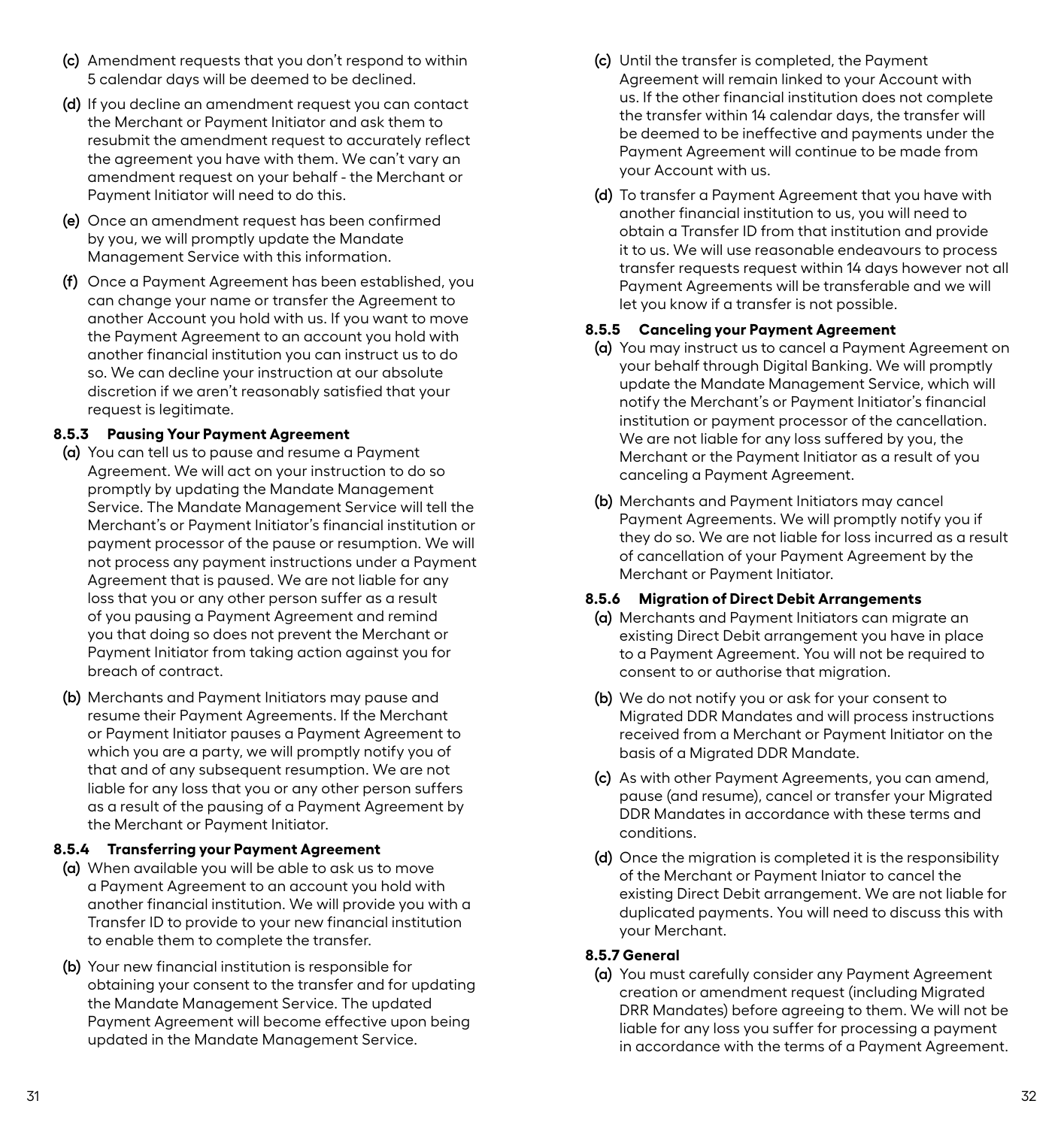- **(c)** Amendment requests that you don't respond to within 5 calendar days will be deemed to be declined.
- **(d)** If you decline an amendment request you can contact the Merchant or Payment Initiator and ask them to resubmit the amendment request to accurately reflect the agreement you have with them. We can't vary an amendment request on your behalf - the Merchant or Payment Initiator will need to do this.
- **(e)** Once an amendment request has been confirmed by you, we will promptly update the Mandate Management Service with this information.
- **(f)** Once a Payment Agreement has been established, you can change your name or transfer the Agreement to another Account you hold with us. If you want to move the Payment Agreement to an account you hold with another financial institution you can instruct us to do so. We can decline your instruction at our absolute discretion if we aren't reasonably satisfied that your request is legitimate.

# **8.5.3 Pausing Your Payment Agreement**

- **(a)** You can tell us to pause and resume a Payment Agreement. We will act on your instruction to do so promptly by updating the Mandate Management Service. The Mandate Management Service will tell the Merchant's or Payment Initiator's financial institution or payment processor of the pause or resumption. We will not process any payment instructions under a Payment Agreement that is paused. We are not liable for any loss that you or any other person suffer as a result of you pausing a Payment Agreement and remind you that doing so does not prevent the Merchant or Payment Initiator from taking action against you for breach of contract.
- **(b)** Merchants and Payment Initiators may pause and resume their Payment Agreements. If the Merchant or Payment Initiator pauses a Payment Agreement to which you are a party, we will promptly notify you of that and of any subsequent resumption. We are not liable for any loss that you or any other person suffers as a result of the pausing of a Payment Agreement by the Merchant or Payment Initiator.

# **8.5.4 Transferring your Payment Agreement**

- **(a)** When available you will be able to ask us to move a Payment Agreement to an account you hold with another financial institution. We will provide you with a Transfer ID to provide to your new financial institution to enable them to complete the transfer.
- **(b)** Your new financial institution is responsible for obtaining your consent to the transfer and for updating the Mandate Management Service. The updated Payment Agreement will become effective upon being updated in the Mandate Management Service.
- **(c)** Until the transfer is completed, the Payment Agreement will remain linked to your Account with us. If the other financial institution does not complete the transfer within 14 calendar days, the transfer will be deemed to be ineffective and payments under the Payment Agreement will continue to be made from your Account with us.
- **(d)** To transfer a Payment Agreement that you have with another financial institution to us, you will need to obtain a Transfer ID from that institution and provide it to us. We will use reasonable endeavours to process transfer requests request within 14 days however not all Payment Agreements will be transferable and we will let you know if a transfer is not possible.

# **8.5.5 Canceling your Payment Agreement**

- **(a)** You may instruct us to cancel a Payment Agreement on your behalf through Digital Banking. We will promptly update the Mandate Management Service, which will notify the Merchant's or Payment Initiator's financial institution or payment processor of the cancellation. We are not liable for any loss suffered by you, the Merchant or the Payment Initiator as a result of you canceling a Payment Agreement.
- **(b)** Merchants and Payment Initiators may cancel Payment Agreements. We will promptly notify you if they do so. We are not liable for loss incurred as a result of cancellation of your Payment Agreement by the Merchant or Payment Initiator.

# **8.5.6 Migration of Direct Debit Arrangements**

- **(a)** Merchants and Payment Initiators can migrate an existing Direct Debit arrangement you have in place to a Payment Agreement. You will not be required to consent to or authorise that migration.
- **(b)** We do not notify you or ask for your consent to Migrated DDR Mandates and will process instructions received from a Merchant or Payment Initiator on the basis of a Migrated DDR Mandate.
- **(c)** As with other Payment Agreements, you can amend, pause (and resume), cancel or transfer your Migrated DDR Mandates in accordance with these terms and conditions.
- **(d)** Once the migration is completed it is the responsibility of the Merchant or Payment Iniator to cancel the existing Direct Debit arrangement. We are not liable for duplicated payments. You will need to discuss this with your Merchant.

# **8.5.7 General**

**(a)** You must carefully consider any Payment Agreement creation or amendment request (including Migrated DRR Mandates) before agreeing to them. We will not be liable for any loss you suffer for processing a payment in accordance with the terms of a Payment Agreement.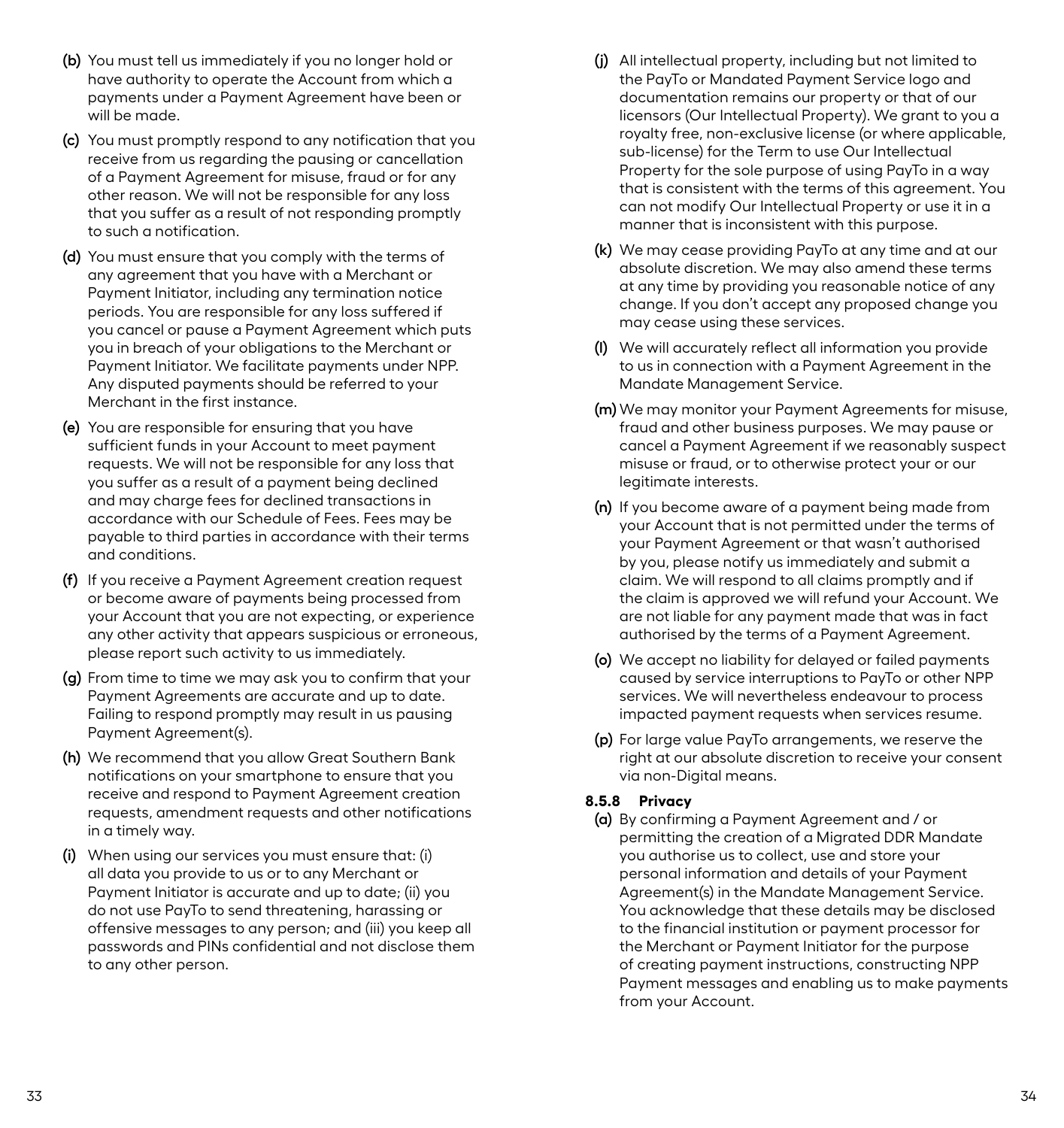- **(b)** You must tell us immediately if you no longer hold or have authority to operate the Account from which a payments under a Payment Agreement have been or will be made.
- **(c)** You must promptly respond to any notification that you receive from us regarding the pausing or cancellation of a Payment Agreement for misuse, fraud or for any other reason. We will not be responsible for any loss that you suffer as a result of not responding promptly to such a notification.
- **(d)** You must ensure that you comply with the terms of any agreement that you have with a Merchant or Payment Initiator, including any termination notice periods. You are responsible for any loss suffered if you cancel or pause a Payment Agreement which puts you in breach of your obligations to the Merchant or Payment Initiator. We facilitate payments under NPP. Any disputed payments should be referred to your Merchant in the first instance.
- **(e)** You are responsible for ensuring that you have sufficient funds in your Account to meet payment requests. We will not be responsible for any loss that you suffer as a result of a payment being declined and may charge fees for declined transactions in accordance with our Schedule of Fees. Fees may be payable to third parties in accordance with their terms and conditions.
- **(f)** If you receive a Payment Agreement creation request or become aware of payments being processed from your Account that you are not expecting, or experience any other activity that appears suspicious or erroneous, please report such activity to us immediately.
- **(g)** From time to time we may ask you to confirm that your Payment Agreements are accurate and up to date. Failing to respond promptly may result in us pausing Payment Agreement(s).
- **(h)** We recommend that you allow Great Southern Bank notifications on your smartphone to ensure that you receive and respond to Payment Agreement creation requests, amendment requests and other notifications in a timely way.
- **(i)** When using our services you must ensure that: (i) all data you provide to us or to any Merchant or Payment Initiator is accurate and up to date; (ii) you do not use PayTo to send threatening, harassing or offensive messages to any person; and (iii) you keep all passwords and PINs confidential and not disclose them to any other person.
- **(j)** All intellectual property, including but not limited to the PayTo or Mandated Payment Service logo and documentation remains our property or that of our licensors (Our Intellectual Property). We grant to you a royalty free, non-exclusive license (or where applicable, sub-license) for the Term to use Our Intellectual Property for the sole purpose of using PayTo in a way that is consistent with the terms of this agreement. You can not modify Our Intellectual Property or use it in a manner that is inconsistent with this purpose.
- **(k)** We may cease providing PayTo at any time and at our absolute discretion. We may also amend these terms at any time by providing you reasonable notice of any change. If you don't accept any proposed change you may cease using these services.
- **(l)** We will accurately reflect all information you provide to us in connection with a Payment Agreement in the Mandate Management Service.
- **(m)** We may monitor your Payment Agreements for misuse, fraud and other business purposes. We may pause or cancel a Payment Agreement if we reasonably suspect misuse or fraud, or to otherwise protect your or our legitimate interests.
- **(n)** If you become aware of a payment being made from your Account that is not permitted under the terms of your Payment Agreement or that wasn't authorised by you, please notify us immediately and submit a claim. We will respond to all claims promptly and if the claim is approved we will refund your Account. We are not liable for any payment made that was in fact authorised by the terms of a Payment Agreement.
- **(o)** We accept no liability for delayed or failed payments caused by service interruptions to PayTo or other NPP services. We will nevertheless endeavour to process impacted payment requests when services resume.
- **(p)** For large value PayTo arrangements, we reserve the right at our absolute discretion to receive your consent via non-Digital means.

### **8.5.8 Privacy**

**(a)** By confirming a Payment Agreement and / or permitting the creation of a Migrated DDR Mandate you authorise us to collect, use and store your personal information and details of your Payment Agreement(s) in the Mandate Management Service. You acknowledge that these details may be disclosed to the financial institution or payment processor for the Merchant or Payment Initiator for the purpose of creating payment instructions, constructing NPP Payment messages and enabling us to make payments from your Account.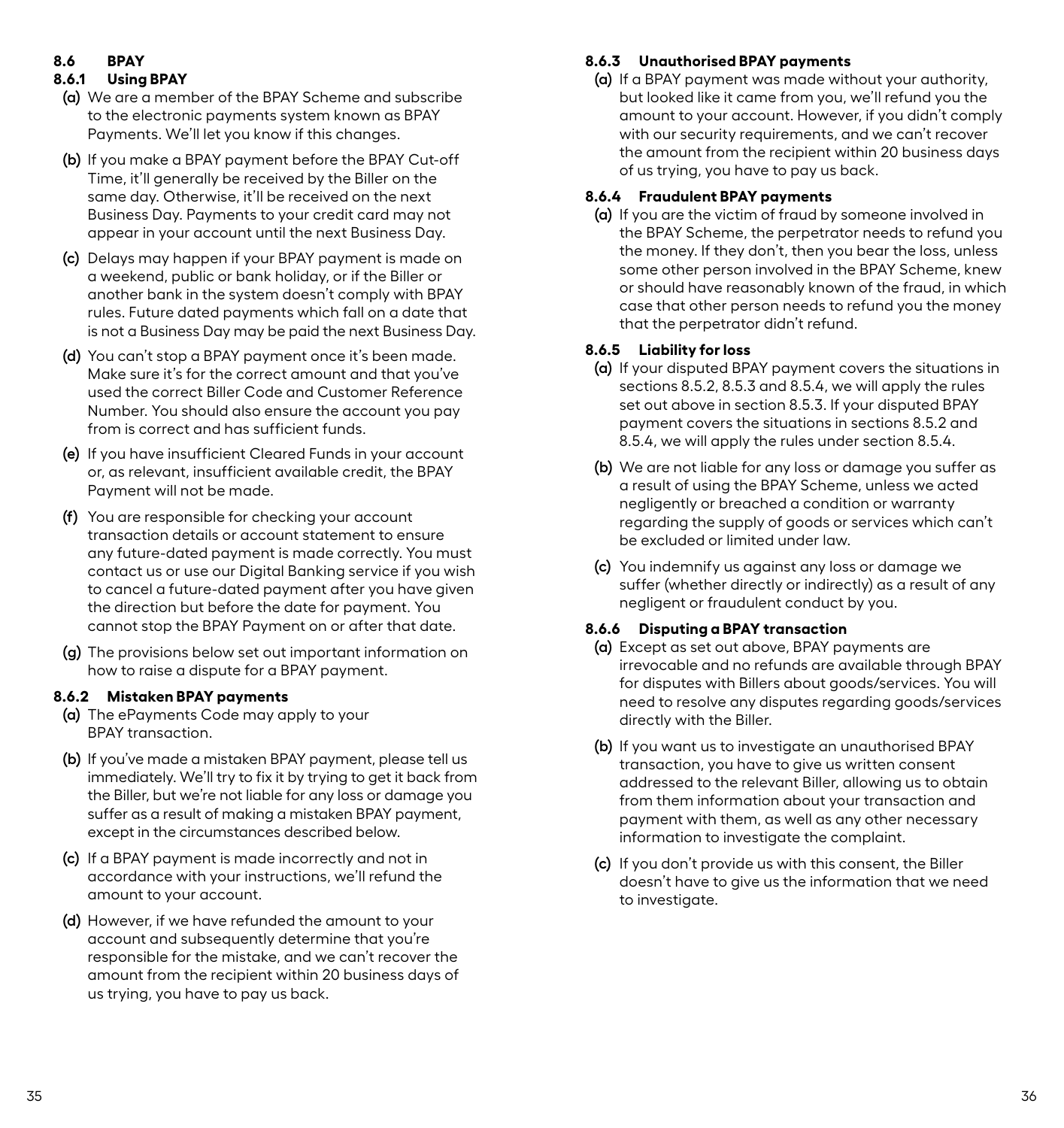# <span id="page-20-0"></span>**8.6 BPAY**

# **8.6.1 Using BPAY**

- **(a)** We are a member of the BPAY Scheme and subscribe to the electronic payments system known as BPAY Payments. We'll let you know if this changes.
- **(b)** If you make a BPAY payment before the BPAY Cut-off Time, it'll generally be received by the Biller on the same day. Otherwise, it'll be received on the next Business Day. Payments to your credit card may not appear in your account until the next Business Day.
- **(c)** Delays may happen if your BPAY payment is made on a weekend, public or bank holiday, or if the Biller or another bank in the system doesn't comply with BPAY rules. Future dated payments which fall on a date that is not a Business Day may be paid the next Business Day.
- **(d)** You can't stop a BPAY payment once it's been made. Make sure it's for the correct amount and that you've used the correct Biller Code and Customer Reference Number. You should also ensure the account you pay from is correct and has sufficient funds.
- **(e)** If you have insufficient Cleared Funds in your account or, as relevant, insufficient available credit, the BPAY Payment will not be made.
- **(f)** You are responsible for checking your account transaction details or account statement to ensure any future-dated payment is made correctly. You must contact us or use our Digital Banking service if you wish to cancel a future-dated payment after you have given the direction but before the date for payment. You cannot stop the BPAY Payment on or after that date.
- **(g)** The provisions below set out important information on how to raise a dispute for a BPAY payment.

# **8.6.2 Mistaken BPAY payments**

- **(a)** The ePayments Code may apply to your BPAY transaction.
- **(b)** If you've made a mistaken BPAY payment, please tell us immediately. We'll try to fix it by trying to get it back from the Biller, but we're not liable for any loss or damage you suffer as a result of making a mistaken BPAY payment, except in the circumstances described below.
- **(c)** If a BPAY payment is made incorrectly and not in accordance with your instructions, we'll refund the amount to your account.
- **(d)** However, if we have refunded the amount to your account and subsequently determine that you're responsible for the mistake, and we can't recover the amount from the recipient within 20 business days of us trying, you have to pay us back.

# **8.6.3 Unauthorised BPAY payments**

**(a)** If a BPAY payment was made without your authority, but looked like it came from you, we'll refund you the amount to your account. However, if you didn't comply with our security requirements, and we can't recover the amount from the recipient within 20 business days of us trying, you have to pay us back.

# **8.6.4 Fraudulent BPAY payments**

**(a)** If you are the victim of fraud by someone involved in the BPAY Scheme, the perpetrator needs to refund you the money. If they don't, then you bear the loss, unless some other person involved in the BPAY Scheme, knew or should have reasonably known of the fraud, in which case that other person needs to refund you the money that the perpetrator didn't refund.

# **8.6.5 Liability for loss**

- **(a)** If your disputed BPAY payment covers the situations in sections 8.5.2, 8.5.3 and 8.5.4, we will apply the rules set out above in section 8.5.3. If your disputed BPAY payment covers the situations in sections 8.5.2 and 8.5.4, we will apply the rules under section 8.5.4.
- **(b)** We are not liable for any loss or damage you suffer as a result of using the BPAY Scheme, unless we acted negligently or breached a condition or warranty regarding the supply of goods or services which can't be excluded or limited under law.
- **(c)** You indemnify us against any loss or damage we suffer (whether directly or indirectly) as a result of any negligent or fraudulent conduct by you.

# **8.6.6 Disputing a BPAY transaction**

- **(a)** Except as set out above, BPAY payments are irrevocable and no refunds are available through BPAY for disputes with Billers about goods/services. You will need to resolve any disputes regarding goods/services directly with the Biller.
- **(b)** If you want us to investigate an unauthorised BPAY transaction, you have to give us written consent addressed to the relevant Biller, allowing us to obtain from them information about your transaction and payment with them, as well as any other necessary information to investigate the complaint.
- **(c)** If you don't provide us with this consent, the Biller doesn't have to give us the information that we need to investigate.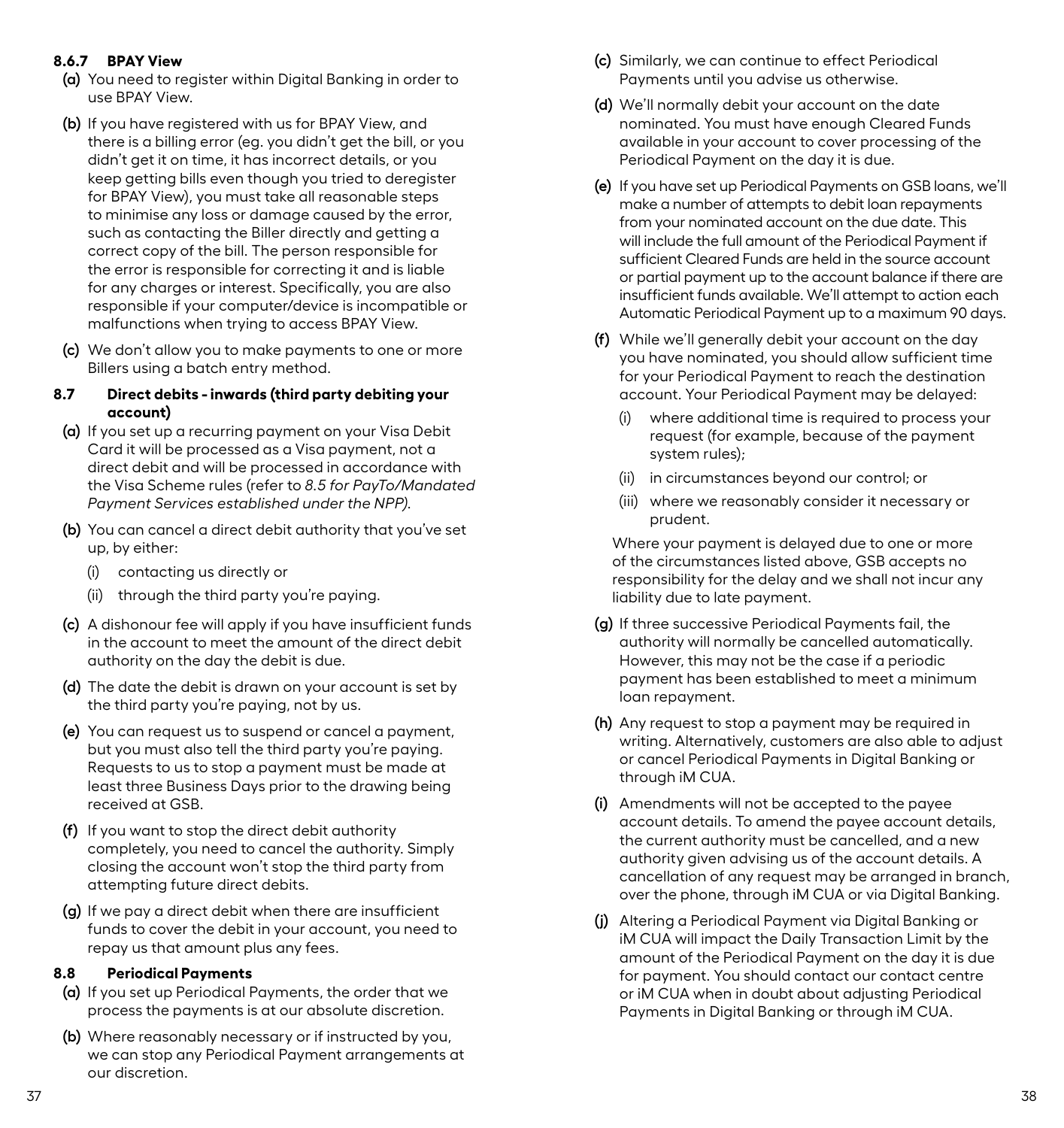# <span id="page-21-0"></span>**8.6.7 BPAY View**

- **(a)** You need to register within Digital Banking in order to use BPAY View.
- **(b)** If you have registered with us for BPAY View, and there is a billing error (eg. you didn't get the bill, or you didn't get it on time, it has incorrect details, or you keep getting bills even though you tried to deregister for BPAY View), you must take all reasonable steps to minimise any loss or damage caused by the error, such as contacting the Biller directly and getting a correct copy of the bill. The person responsible for the error is responsible for correcting it and is liable for any charges or interest. Specifically, you are also responsible if your computer/device is incompatible or malfunctions when trying to access BPAY View.
- **(c)** We don't allow you to make payments to one or more Billers using a batch entry method.

#### **8.7 Direct debits - inwards (third party debiting your account)**

- **(a)** If you set up a recurring payment on your Visa Debit Card it will be processed as a Visa payment, not a direct debit and will be processed in accordance with the Visa Scheme rules (refer to *8.5 for PayTo/Mandated Payment Services established under the NPP).*
- **(b)** You can cancel a direct debit authority that you've set up, by either:
	- (i) contacting us directly or
	- (ii) through the third party you're paying.
- **(c)** A dishonour fee will apply if you have insufficient funds in the account to meet the amount of the direct debit authority on the day the debit is due.
- **(d)** The date the debit is drawn on your account is set by the third party you're paying, not by us.
- **(e)** You can request us to suspend or cancel a payment, but you must also tell the third party you're paying. Requests to us to stop a payment must be made at least three Business Days prior to the drawing being received at GSB.
- **(f)** If you want to stop the direct debit authority completely, you need to cancel the authority. Simply closing the account won't stop the third party from attempting future direct debits.
- **(g)** If we pay a direct debit when there are insufficient funds to cover the debit in your account, you need to repay us that amount plus any fees.

# **8.8 Periodical Payments**

- **(a)** If you set up Periodical Payments, the order that we process the payments is at our absolute discretion.
- **(b)** Where reasonably necessary or if instructed by you, we can stop any Periodical Payment arrangements at our discretion.
- **(c)** Similarly, we can continue to effect Periodical Payments until you advise us otherwise.
- **(d)** We'll normally debit your account on the date nominated. You must have enough Cleared Funds available in your account to cover processing of the Periodical Payment on the day it is due.
- **(e)** If you have set up Periodical Payments on GSB loans, we'll make a number of attempts to debit loan repayments from your nominated account on the due date. This will include the full amount of the Periodical Payment if sufficient Cleared Funds are held in the source account or partial payment up to the account balance if there are insufficient funds available. We'll attempt to action each Automatic Periodical Payment up to a maximum 90 days.
- **(f)** While we'll generally debit your account on the day you have nominated, you should allow sufficient time for your Periodical Payment to reach the destination account. Your Periodical Payment may be delayed:
	- (i) where additional time is required to process your request (for example, because of the payment system rules);
	- (ii) in circumstances beyond our control; or
	- (iii) where we reasonably consider it necessary or prudent.

Where your payment is delayed due to one or more of the circumstances listed above, GSB accepts no responsibility for the delay and we shall not incur any liability due to late payment.

- **(g)** If three successive Periodical Payments fail, the authority will normally be cancelled automatically. However, this may not be the case if a periodic payment has been established to meet a minimum loan repayment.
- **(h)** Any request to stop a payment may be required in writing. Alternatively, customers are also able to adjust or cancel Periodical Payments in Digital Banking or through iM CUA.
- **(i)** Amendments will not be accepted to the payee account details. To amend the payee account details, the current authority must be cancelled, and a new authority given advising us of the account details. A cancellation of any request may be arranged in branch, over the phone, through iM CUA or via Digital Banking.
- **(j)** Altering a Periodical Payment via Digital Banking or iM CUA will impact the Daily Transaction Limit by the amount of the Periodical Payment on the day it is due for payment. You should contact our contact centre or iM CUA when in doubt about adjusting Periodical Payments in Digital Banking or through iM CUA.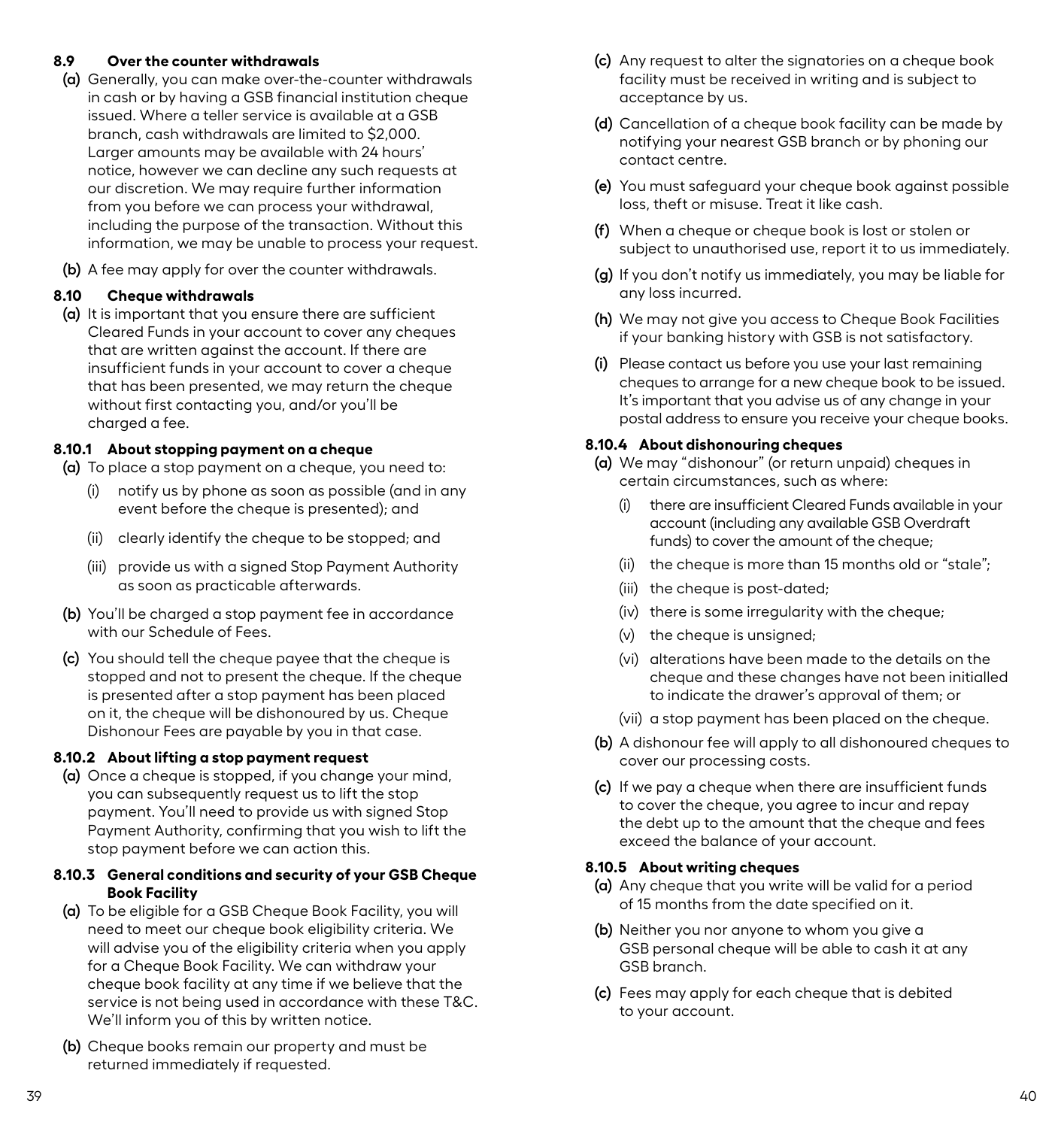# <span id="page-22-0"></span>**8.9 Over the counter withdrawals**

- **(a)** Generally, you can make over-the-counter withdrawals in cash or by having a GSB financial institution cheque issued. Where a teller service is available at a GSB branch, cash withdrawals are limited to \$2,000. Larger amounts may be available with 24 hours' notice, however we can decline any such requests at our discretion. We may require further information from you before we can process your withdrawal, including the purpose of the transaction. Without this information, we may be unable to process your request.
- **(b)** A fee may apply for over the counter withdrawals.

# **8.10 Cheque withdrawals**

**(a)** It is important that you ensure there are sufficient Cleared Funds in your account to cover any cheques that are written against the account. If there are insufficient funds in your account to cover a cheque that has been presented, we may return the cheque without first contacting you, and/or you'll be charged a fee.

### **8.10.1 About stopping payment on a cheque**

**(a)** To place a stop payment on a cheque, you need to:

- (i) notify us by phone as soon as possible (and in any event before the cheque is presented); and
- (ii) clearly identify the cheque to be stopped; and
- (iii) provide us with a signed Stop Payment Authority as soon as practicable afterwards.
- **(b)** You'll be charged a stop payment fee in accordance with our Schedule of Fees.
- **(c)** You should tell the cheque payee that the cheque is stopped and not to present the cheque. If the cheque is presented after a stop payment has been placed on it, the cheque will be dishonoured by us. Cheque Dishonour Fees are payable by you in that case.

### **8.10.2 About lifting a stop payment request**

**(a)** Once a cheque is stopped, if you change your mind, you can subsequently request us to lift the stop payment. You'll need to provide us with signed Stop Payment Authority, confirming that you wish to lift the stop payment before we can action this.

#### **8.10.3 General conditions and security of your GSB Cheque Book Facility**

- **(a)** To be eligible for a GSB Cheque Book Facility, you will need to meet our cheque book eligibility criteria. We will advise you of the eligibility criteria when you apply for a Cheque Book Facility. We can withdraw your cheque book facility at any time if we believe that the service is not being used in accordance with these T&C. We'll inform you of this by written notice.
- **(b)** Cheque books remain our property and must be returned immediately if requested.
- **(c)** Any request to alter the signatories on a cheque book facility must be received in writing and is subject to acceptance by us.
- **(d)** Cancellation of a cheque book facility can be made by notifying your nearest GSB branch or by phoning our contact centre.
- **(e)** You must safeguard your cheque book against possible loss, theft or misuse. Treat it like cash.
- **(f)** When a cheque or cheque book is lost or stolen or subject to unauthorised use, report it to us immediately.
- **(g)** If you don't notify us immediately, you may be liable for any loss incurred.
- **(h)** We may not give you access to Cheque Book Facilities if your banking history with GSB is not satisfactory.
- **(i)** Please contact us before you use your last remaining cheques to arrange for a new cheque book to be issued. It's important that you advise us of any change in your postal address to ensure you receive your cheque books.

#### **8.10.4 About dishonouring cheques**

- **(a)** We may "dishonour" (or return unpaid) cheques in certain circumstances, such as where:
	- (i) there are insufficient Cleared Funds available in your account (including any available GSB Overdraft funds) to cover the amount of the cheque;
	- (ii) the cheque is more than 15 months old or "stale";
	- (iii) the cheque is post-dated;
	- $(iv)$  there is some irregularity with the cheque:
	- $(v)$  the cheque is unsigned:
	- (vi) alterations have been made to the details on the cheque and these changes have not been initialled to indicate the drawer's approval of them; or
	- (vii) a stop payment has been placed on the cheque.
- **(b)** A dishonour fee will apply to all dishonoured cheques to cover our processing costs.
- **(c)** If we pay a cheque when there are insufficient funds to cover the cheque, you agree to incur and repay the debt up to the amount that the cheque and fees exceed the balance of your account.

#### **8.10.5 About writing cheques**

- **(a)** Any cheque that you write will be valid for a period of 15 months from the date specified on it.
- **(b)** Neither you nor anyone to whom you give a GSB personal cheque will be able to cash it at any GSB branch.
- **(c)** Fees may apply for each cheque that is debited to your account.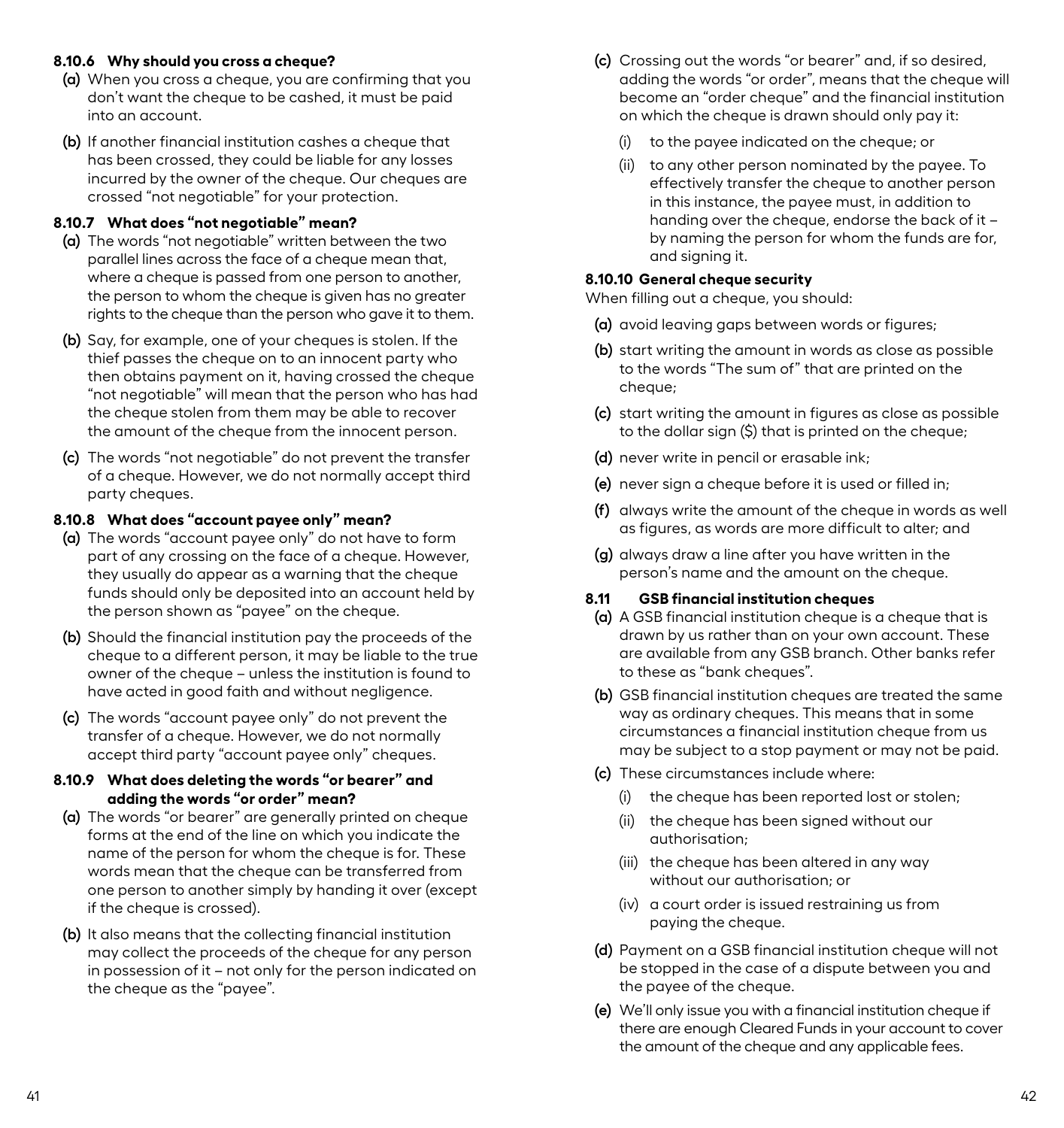#### <span id="page-23-0"></span>**8.10.6 Why should you cross a cheque?**

- **(a)** When you cross a cheque, you are confirming that you don't want the cheque to be cashed, it must be paid into an account.
- **(b)** If another financial institution cashes a cheque that has been crossed, they could be liable for any losses incurred by the owner of the cheque. Our cheques are crossed "not negotiable" for your protection.

#### **8.10.7 What does "not negotiable" mean?**

- **(a)** The words "not negotiable" written between the two parallel lines across the face of a cheque mean that, where a cheque is passed from one person to another. the person to whom the cheque is given has no greater rights to the cheque than the person who gave it to them.
- **(b)** Say, for example, one of your cheques is stolen. If the thief passes the cheque on to an innocent party who then obtains payment on it, having crossed the cheque "not negotiable" will mean that the person who has had the cheque stolen from them may be able to recover the amount of the cheque from the innocent person.
- **(c)** The words "not negotiable" do not prevent the transfer of a cheque. However, we do not normally accept third party cheques.

#### **8.10.8 What does "account payee only" mean?**

- **(a)** The words "account payee only" do not have to form part of any crossing on the face of a cheque. However, they usually do appear as a warning that the cheque funds should only be deposited into an account held by the person shown as "payee" on the cheque.
- **(b)** Should the financial institution pay the proceeds of the cheque to a different person, it may be liable to the true owner of the cheque – unless the institution is found to have acted in good faith and without negligence.
- **(c)** The words "account payee only" do not prevent the transfer of a cheque. However, we do not normally accept third party "account payee only" cheques.

#### **8.10.9 What does deleting the words "or bearer" and adding the words "or order" mean?**

- **(a)** The words "or bearer" are generally printed on cheque forms at the end of the line on which you indicate the name of the person for whom the cheque is for. These words mean that the cheque can be transferred from one person to another simply by handing it over (except if the cheque is crossed).
- **(b)** It also means that the collecting financial institution may collect the proceeds of the cheque for any person in possession of it – not only for the person indicated on the cheque as the "payee".
- **(c)** Crossing out the words "or bearer" and, if so desired, adding the words "or order", means that the cheque will become an "order cheque" and the financial institution on which the cheque is drawn should only pay it:
	- (i) to the payee indicated on the cheque; or
	- (ii) to any other person nominated by the payee. To effectively transfer the cheque to another person in this instance, the payee must, in addition to handing over the cheque, endorse the back of it by naming the person for whom the funds are for, and signing it.

# **8.10.10 General cheque security**

When filling out a cheque, you should:

- **(a)** avoid leaving gaps between words or figures;
- **(b)** start writing the amount in words as close as possible to the words "The sum of" that are printed on the cheque;
- **(c)** start writing the amount in figures as close as possible to the dollar sign (\$) that is printed on the cheque;
- **(d)** never write in pencil or erasable ink;
- **(e)** never sign a cheque before it is used or filled in;
- **(f)** always write the amount of the cheque in words as well as figures, as words are more difficult to alter; and
- **(g)** always draw a line after you have written in the person's name and the amount on the cheque.

# **8.11 GSB financial institution cheques**

- **(a)** A GSB financial institution cheque is a cheque that is drawn by us rather than on your own account. These are available from any GSB branch. Other banks refer to these as "bank cheques".
- **(b)** GSB financial institution cheques are treated the same way as ordinary cheques. This means that in some circumstances a financial institution cheque from us may be subject to a stop payment or may not be paid.
- **(c)** These circumstances include where:
	- (i) the cheque has been reported lost or stolen;
	- (ii) the cheque has been signed without our authorisation;
	- (iii) the cheque has been altered in any way without our authorisation; or
	- (iv) a court order is issued restraining us from paying the cheque.
- **(d)** Payment on a GSB financial institution cheque will not be stopped in the case of a dispute between you and the payee of the cheque.
- **(e)** We'll only issue you with a financial institution cheque if there are enough Cleared Funds in your account to cover the amount of the cheque and any applicable fees.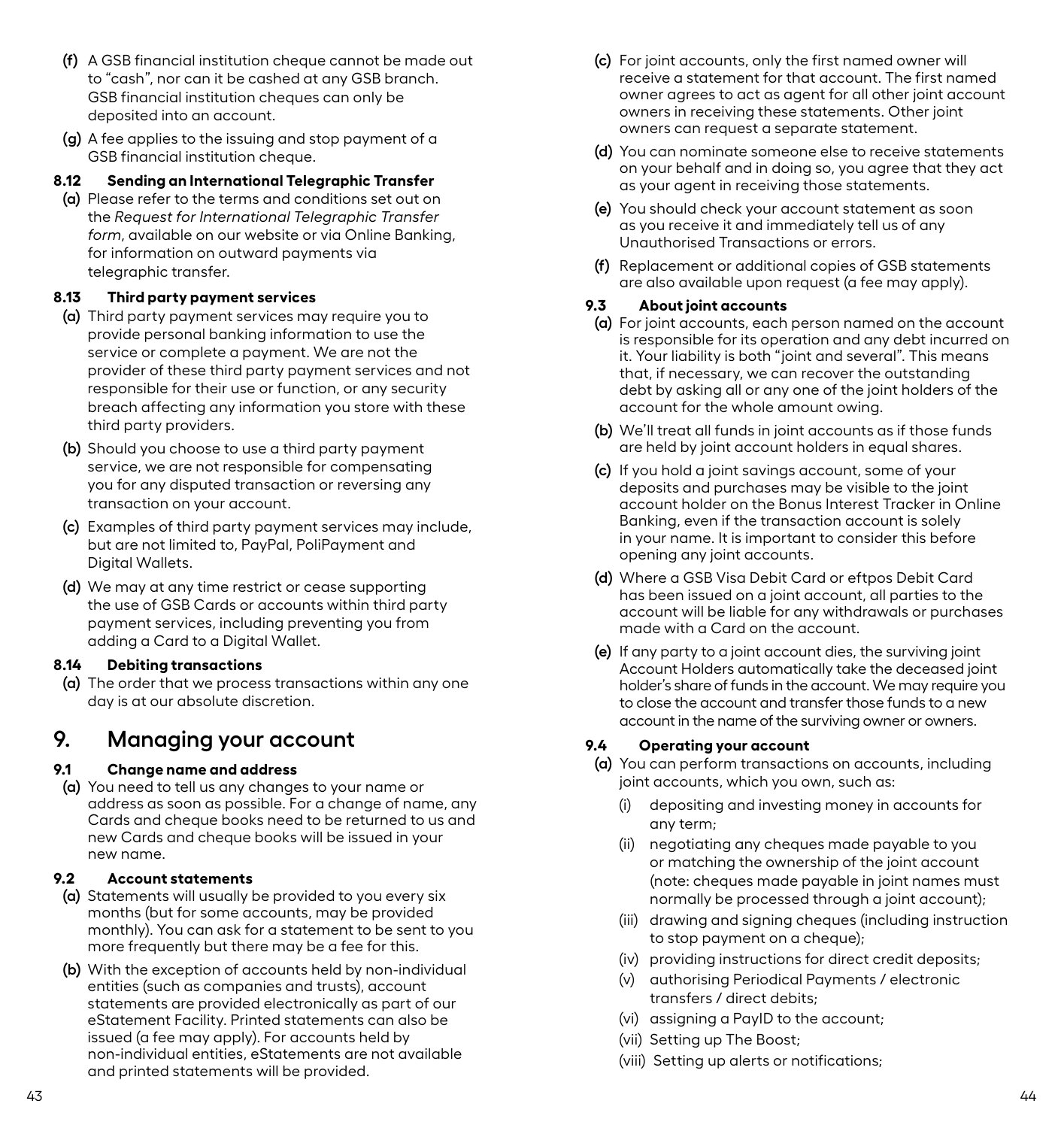- <span id="page-24-0"></span>**(f)** A GSB financial institution cheque cannot be made out to "cash", nor can it be cashed at any GSB branch. GSB financial institution cheques can only be deposited into an account.
- **(g)** A fee applies to the issuing and stop payment of a GSB financial institution cheque.

# **8.12 Sending an International Telegraphic Transfer**

**(a)** Please refer to the terms and conditions set out on the *Request for International Telegraphic Transfer form*, available on our website or via Online Banking, for information on outward payments via telegraphic transfer.

# **8.13 Third party payment services**

- **(a)** Third party payment services may require you to provide personal banking information to use the service or complete a payment. We are not the provider of these third party payment services and not responsible for their use or function, or any security breach affecting any information you store with these third party providers.
- **(b)** Should you choose to use a third party payment service, we are not responsible for compensating you for any disputed transaction or reversing any transaction on your account.
- **(c)** Examples of third party payment services may include, but are not limited to, PayPal, PoliPayment and Digital Wallets.
- **(d)** We may at any time restrict or cease supporting the use of GSB Cards or accounts within third party payment services, including preventing you from adding a Card to a Digital Wallet.

# **8.14 Debiting transactions**

**(a)** The order that we process transactions within any one day is at our absolute discretion.

# **9. Managing your account**

# **9.1 Change name and address**

**(a)** You need to tell us any changes to your name or address as soon as possible. For a change of name, any Cards and cheque books need to be returned to us and new Cards and cheque books will be issued in your new name.

# **9.2 Account statements**

- **(a)** Statements will usually be provided to you every six months (but for some accounts, may be provided monthly). You can ask for a statement to be sent to you more frequently but there may be a fee for this.
- **(b)** With the exception of accounts held by non-individual entities (such as companies and trusts), account statements are provided electronically as part of our eStatement Facility. Printed statements can also be issued (a fee may apply). For accounts held by non-individual entities, eStatements are not available and printed statements will be provided.
- **(c)** For joint accounts, only the first named owner will receive a statement for that account. The first named owner agrees to act as agent for all other joint account owners in receiving these statements. Other joint owners can request a separate statement.
- **(d)** You can nominate someone else to receive statements on your behalf and in doing so, you agree that they act as your agent in receiving those statements.
- **(e)** You should check your account statement as soon as you receive it and immediately tell us of any Unauthorised Transactions or errors.
- **(f)** Replacement or additional copies of GSB statements are also available upon request (a fee may apply).

# **9.3 About joint accounts**

- **(a)** For joint accounts, each person named on the account is responsible for its operation and any debt incurred on it. Your liability is both "joint and several". This means that, if necessary, we can recover the outstanding debt by asking all or any one of the joint holders of the account for the whole amount owing.
- **(b)** We'll treat all funds in joint accounts as if those funds are held by joint account holders in equal shares.
- **(c)** If you hold a joint savings account, some of your deposits and purchases may be visible to the joint account holder on the Bonus Interest Tracker in Online Banking, even if the transaction account is solely in your name. It is important to consider this before opening any joint accounts.
- **(d)** Where a GSB Visa Debit Card or eftpos Debit Card has been issued on a joint account, all parties to the account will be liable for any withdrawals or purchases made with a Card on the account.
- **(e)** If any party to a joint account dies, the surviving joint Account Holders automatically take the deceased joint holder's share of funds in the account. We may require you to close the account and transfer those funds to a new account in the name of the surviving owner or owners.

# **9.4 Operating your account**

- **(a)** You can perform transactions on accounts, including joint accounts, which you own, such as:
	- (i) depositing and investing money in accounts for any term;
	- (ii) negotiating any cheques made payable to you or matching the ownership of the joint account (note: cheques made payable in joint names must normally be processed through a joint account);
	- (iii) drawing and signing cheques (including instruction to stop payment on a cheque);
	- (iv) providing instructions for direct credit deposits;
	- (v) authorising Periodical Payments / electronic transfers / direct debits;
	- (vi) assigning a PayID to the account;
	- (vii) Setting up The Boost;
	- (viii) Setting up alerts or notifications;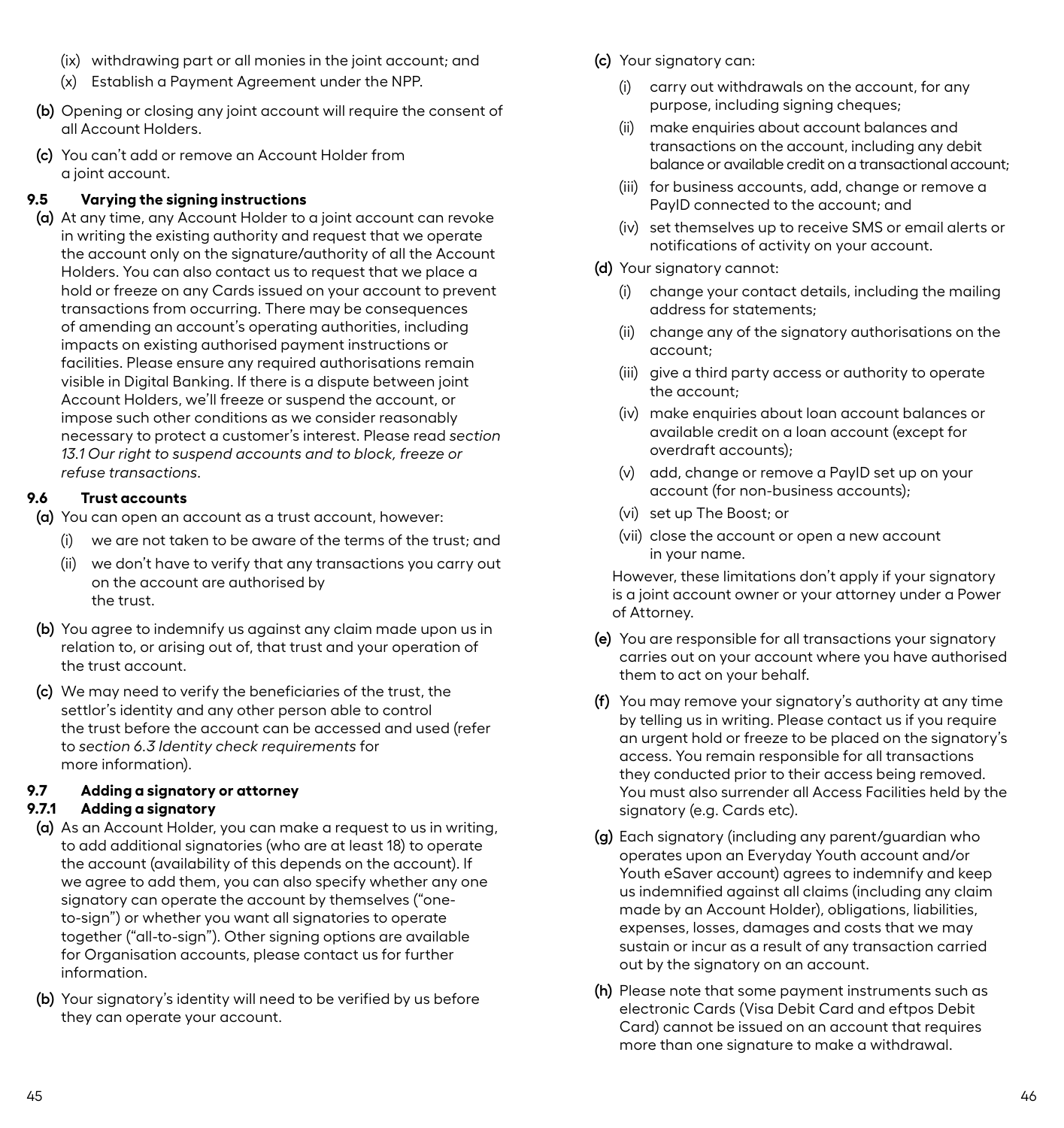- <span id="page-25-0"></span>(ix) withdrawing part or all monies in the joint account; and
- (x) Establish a Payment Agreement under the NPP.
- **(b)** Opening or closing any joint account will require the consent of all Account Holders.
- **(c)** You can't add or remove an Account Holder from a joint account.

# **9.5 Varying the signing instructions**

**(a)** At any time, any Account Holder to a joint account can revoke in writing the existing authority and request that we operate the account only on the signature/authority of all the Account Holders. You can also contact us to request that we place a hold or freeze on any Cards issued on your account to prevent transactions from occurring. There may be consequences of amending an account's operating authorities, including impacts on existing authorised payment instructions or facilities. Please ensure any required authorisations remain visible in Digital Banking. If there is a dispute between joint Account Holders, we'll freeze or suspend the account, or impose such other conditions as we consider reasonably necessary to protect a customer's interest. Please read *section 13.1 Our right to suspend accounts and to block, freeze or refuse transactions.* 

# **9.6 Trust accounts**

**(a)** You can open an account as a trust account, however:

- (i) we are not taken to be aware of the terms of the trust; and
- (ii) we don't have to verify that any transactions you carry out on the account are authorised by the trust.
- **(b)** You agree to indemnify us against any claim made upon us in relation to, or arising out of, that trust and your operation of the trust account.
- **(c)** We may need to verify the beneficiaries of the trust, the settlor's identity and any other person able to control the trust before the account can be accessed and used (refer to *section 6.3 Identity check requirements* for more information).

# **9.7 Adding a signatory or attorney**

# **9.7.1 Adding a signatory**

- **(a)** As an Account Holder, you can make a request to us in writing, to add additional signatories (who are at least 18) to operate the account (availability of this depends on the account). If we agree to add them, you can also specify whether any one signatory can operate the account by themselves ("oneto-sign") or whether you want all signatories to operate together ("all-to-sign"). Other signing options are available for Organisation accounts, please contact us for further information.
- **(b)** Your signatory's identity will need to be verified by us before they can operate your account.
- **(c)** Your signatory can:
	- (i) carry out withdrawals on the account, for any purpose, including signing cheques;
	- (ii) make enquiries about account balances and transactions on the account, including any debit balance or available credit on a transactional account;
	- (iii) for business accounts, add, change or remove a PayID connected to the account; and
	- (iv) set themselves up to receive SMS or email alerts or notifications of activity on your account.
- **(d)** Your signatory cannot:
	- (i) change your contact details, including the mailing address for statements;
	- (ii) change any of the signatory authorisations on the account;
	- (iii) give a third party access or authority to operate the account;
	- (iv) make enquiries about loan account balances or available credit on a loan account (except for overdraft accounts);
	- (v) add, change or remove a PayID set up on your account (for non-business accounts);
	- (vi) set up The Boost; or
	- (vii) close the account or open a new account in your name.

However, these limitations don't apply if your signatory is a joint account owner or your attorney under a Power of Attorney.

- **(e)** You are responsible for all transactions your signatory carries out on your account where you have authorised them to act on your behalf.
- **(f)** You may remove your signatory's authority at any time by telling us in writing. Please contact us if you require an urgent hold or freeze to be placed on the signatory's access. You remain responsible for all transactions they conducted prior to their access being removed. You must also surrender all Access Facilities held by the signatory (e.g. Cards etc).
- **(g)** Each signatory (including any parent/guardian who operates upon an Everyday Youth account and/or Youth eSaver account) agrees to indemnify and keep us indemnified against all claims (including any claim made by an Account Holder), obligations, liabilities, expenses, losses, damages and costs that we may sustain or incur as a result of any transaction carried out by the signatory on an account.
- **(h)** Please note that some payment instruments such as electronic Cards (Visa Debit Card and eftpos Debit Card) cannot be issued on an account that requires more than one signature to make a withdrawal.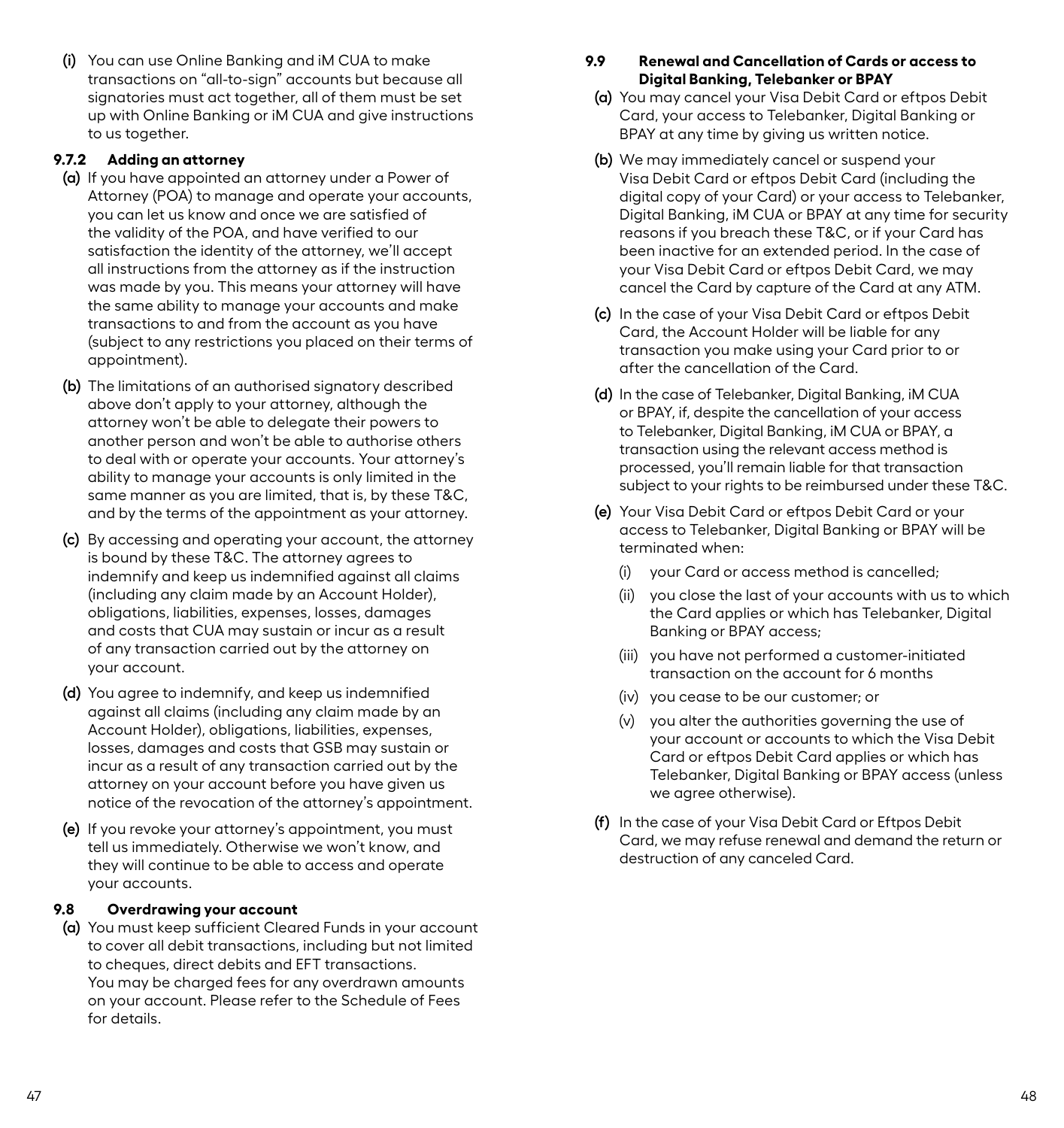<span id="page-26-0"></span>**(i)** You can use Online Banking and iM CUA to make transactions on "all-to-sign" accounts but because all signatories must act together, all of them must be set up with Online Banking or iM CUA and give instructions to us together.

### **9.7.2 Adding an attorney**

- **(a)** If you have appointed an attorney under a Power of Attorney (POA) to manage and operate your accounts, you can let us know and once we are satisfied of the validity of the POA, and have verified to our satisfaction the identity of the attorney, we'll accept all instructions from the attorney as if the instruction was made by you. This means your attorney will have the same ability to manage your accounts and make transactions to and from the account as you have (subject to any restrictions you placed on their terms of appointment).
- **(b)** The limitations of an authorised signatory described above don't apply to your attorney, although the attorney won't be able to delegate their powers to another person and won't be able to authorise others to deal with or operate your accounts. Your attorney's ability to manage your accounts is only limited in the same manner as you are limited, that is, by these T&C, and by the terms of the appointment as your attorney.
- **(c)** By accessing and operating your account, the attorney is bound by these T&C. The attorney agrees to indemnify and keep us indemnified against all claims (including any claim made by an Account Holder), obligations, liabilities, expenses, losses, damages and costs that CUA may sustain or incur as a result of any transaction carried out by the attorney on your account.
- **(d)** You agree to indemnify, and keep us indemnified against all claims (including any claim made by an Account Holder), obligations, liabilities, expenses, losses, damages and costs that GSB may sustain or incur as a result of any transaction carried out by the attorney on your account before you have given us notice of the revocation of the attorney's appointment.
- **(e)** If you revoke your attorney's appointment, you must tell us immediately. Otherwise we won't know, and they will continue to be able to access and operate your accounts.

### **9.8 Overdrawing your account**

**(a)** You must keep sufficient Cleared Funds in your account to cover all debit transactions, including but not limited to cheques, direct debits and EFT transactions. You may be charged fees for any overdrawn amounts on your account. Please refer to the Schedule of Fees for details.

# **9.9 Renewal and Cancellation of Cards or access to Digital Banking, Telebanker or BPAY**

- **(a)** You may cancel your Visa Debit Card or eftpos Debit Card, your access to Telebanker, Digital Banking or BPAY at any time by giving us written notice.
- **(b)** We may immediately cancel or suspend your Visa Debit Card or eftpos Debit Card (including the digital copy of your Card) or your access to Telebanker, Digital Banking, iM CUA or BPAY at any time for security reasons if you breach these T&C, or if your Card has been inactive for an extended period. In the case of your Visa Debit Card or eftpos Debit Card, we may cancel the Card by capture of the Card at any ATM.
- **(c)** In the case of your Visa Debit Card or eftpos Debit Card, the Account Holder will be liable for any transaction you make using your Card prior to or after the cancellation of the Card.
- **(d)** In the case of Telebanker, Digital Banking, iM CUA or BPAY, if, despite the cancellation of your access to Telebanker, Digital Banking, iM CUA or BPAY, a transaction using the relevant access method is processed, you'll remain liable for that transaction subject to your rights to be reimbursed under these T&C.
- **(e)** Your Visa Debit Card or eftpos Debit Card or your access to Telebanker, Digital Banking or BPAY will be terminated when:
	- (i) your Card or access method is cancelled;
	- (ii) you close the last of your accounts with us to which the Card applies or which has Telebanker, Digital Banking or BPAY access;
	- (iii) you have not performed a customer-initiated transaction on the account for 6 months
	- (iv) you cease to be our customer; or
	- (v) you alter the authorities governing the use of your account or accounts to which the Visa Debit Card or eftpos Debit Card applies or which has Telebanker, Digital Banking or BPAY access (unless we agree otherwise).
- **(f)** In the case of your Visa Debit Card or Eftpos Debit Card, we may refuse renewal and demand the return or destruction of any canceled Card.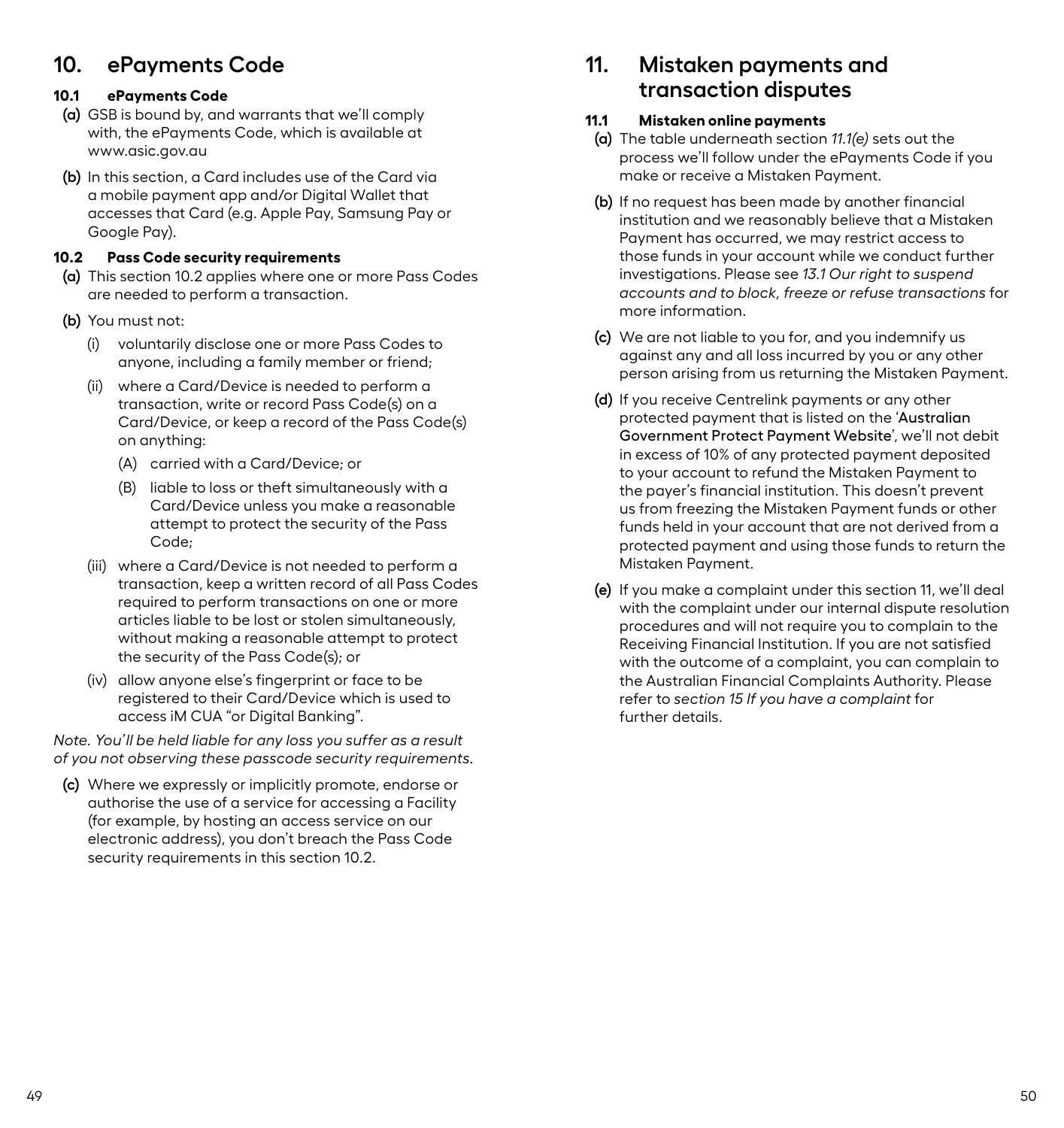# <span id="page-27-0"></span>**10. ePayments Code**

# **10.1 ePayments Code**

- **(a)** GSB is bound by, and warrants that we'll comply with, the ePayments Code, which is available at www.asic.gov.au
- **(b)** In this section, a Card includes use of the Card via a mobile payment app and/or Digital Wallet that accesses that Card (e.g. Apple Pay, Samsung Pay or Google Pay).

# **10.2 Pass Code security requirements**

- **(a)** This section 10.2 applies where one or more Pass Codes are needed to perform a transaction.
- **(b)** You must not:
	- (i) voluntarily disclose one or more Pass Codes to anyone, including a family member or friend;
	- (ii) where a Card/Device is needed to perform a transaction, write or record Pass Code(s) on a Card/Device, or keep a record of the Pass Code(s) on anything:
		- (A) carried with a Card/Device; or
		- (B) liable to loss or theft simultaneously with a Card/Device unless you make a reasonable attempt to protect the security of the Pass Code;
	- (iii) where a Card/Device is not needed to perform a transaction, keep a written record of all Pass Codes required to perform transactions on one or more articles liable to be lost or stolen simultaneously, without making a reasonable attempt to protect the security of the Pass Code(s); or
	- (iv) allow anyone else's fingerprint or face to be registered to their Card/Device which is used to access iM CUA "or Digital Banking".

*Note. You'll be held liable for any loss you suffer as a result of you not observing these passcode security requirements.*

**(c)** Where we expressly or implicitly promote, endorse or authorise the use of a service for accessing a Facility (for example, by hosting an access service on our electronic address), you don't breach the Pass Code security requirements in this section 10.2.

# **11. Mistaken payments and transaction disputes**

### **11.1 Mistaken online payments**

- **(a)** The table underneath section *11.1(e)* sets out the process we'll follow under the ePayments Code if you make or receive a Mistaken Payment.
- **(b)** If no request has been made by another financial institution and we reasonably believe that a Mistaken Payment has occurred, we may restrict access to those funds in your account while we conduct further investigations. Please see *13.1 Our right to suspend accounts and to block, freeze or refuse transactions* for more information.
- **(c)** We are not liable to you for, and you indemnify us against any and all loss incurred by you or any other person arising from us returning the Mistaken Payment.
- **(d)** If you receive Centrelink payments or any other protected payment that is listed on the '[Australian](https://www.servicesaustralia.gov.au/individuals/topics/overdrawn-bank-account/29351)  [Government Protect Payment Website](https://www.servicesaustralia.gov.au/individuals/topics/overdrawn-bank-account/29351)', we'll not debit in excess of 10% of any protected payment deposited to your account to refund the Mistaken Payment to the payer's financial institution. This doesn't prevent us from freezing the Mistaken Payment funds or other funds held in your account that are not derived from a protected payment and using those funds to return the Mistaken Payment.
- **(e)** If you make a complaint under this section 11, we'll deal with the complaint under our internal dispute resolution procedures and will not require you to complain to the Receiving Financial Institution. If you are not satisfied with the outcome of a complaint, you can complain to the Australian Financial Complaints Authority. Please refer to *section 15 If you have a complaint* for further details.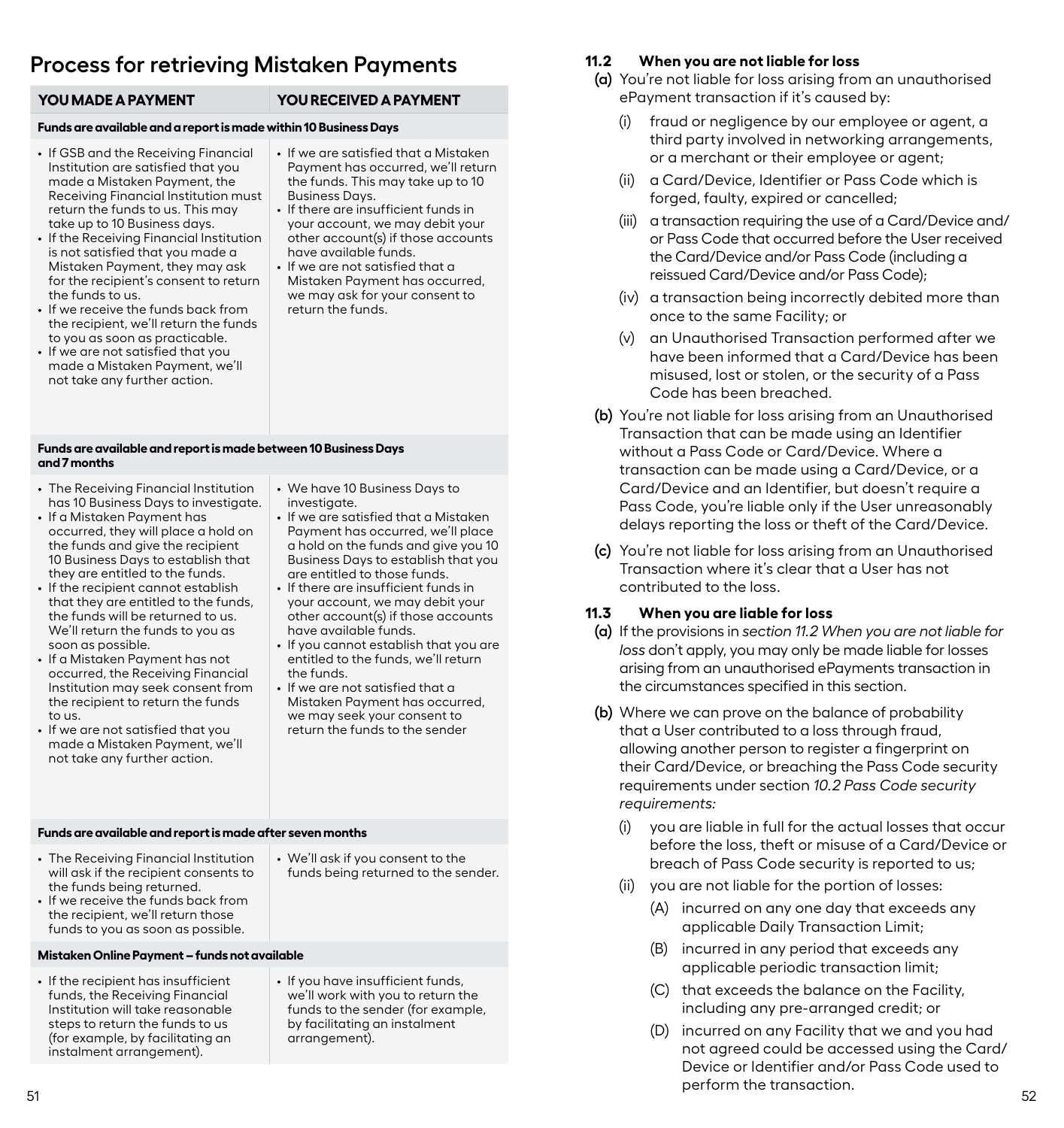# <span id="page-28-0"></span>**Process for retrieving Mistaken Payments**

#### **YOU MADE A PAYMENT YOU RECEIVED A PAYMENT**

Business Days.

have available funds. • If we are not satisfied that a Mistaken Payment has occurred, we may ask for your consent to

return the funds.

• If we are satisfied that a Mistaken Payment has occurred, we'll return the funds. This may take up to 10

• If there are insufficient funds in your account, we may debit your other account(s) if those accounts

#### **Funds are available and a report is made within 10 Business Days**

- If GSB and the Receiving Financial Institution are satisfied that you made a Mistaken Payment, the Receiving Financial Institution must return the funds to us. This may take up to 10 Business days.
- If the Receiving Financial Institution is not satisfied that you made a Mistaken Payment, they may ask for the recipient's consent to return the funds to us.
- If we receive the funds back from the recipient, we'll return the funds to you as soon as practicable.
- If we are not satisfied that you made a Mistaken Payment, we'll not take any further action.
- **Funds are available and report is made between 10 Business Days and 7 months**
- The Receiving Financial Institution has 10 Business Days to investigate.
- If a Mistaken Payment has occurred, they will place a hold on the funds and give the recipient 10 Business Days to establish that they are entitled to the funds.
- If the recipient cannot establish that they are entitled to the funds, the funds will be returned to us. We'll return the funds to you as soon as possible.
- If a Mistaken Payment has not occurred, the Receiving Financial Institution may seek consent from the recipient to return the funds to us.
- If we are not satisfied that you made a Mistaken Payment, we'll not take any further action.
- We have 10 Business Days to investigate.
- If we are satisfied that a Mistaken Payment has occurred, we'll place a hold on the funds and give you 10 Business Days to establish that you are entitled to those funds.
- If there are insufficient funds in your account, we may debit your other account(s) if those accounts have available funds.
- If you cannot establish that you are entitled to the funds, we'll return the funds.
- If we are not satisfied that a Mistaken Payment has occurred, we may seek your consent to return the funds to the sender

#### **Funds are available and report is made after seven months**

- The Receiving Financial Institution will ask if the recipient consents to the funds being returned.
- We'll ask if you consent to the funds being returned to the sender.
- If we receive the funds back from the recipient, we'll return those funds to you as soon as possible.
- **Mistaken Online Payment funds not available**
- If the recipient has insufficient funds, the Receiving Financial Institution will take reasonable steps to return the funds to us (for example, by facilitating an instalment arrangement).
- If you have insufficient funds, we'll work with you to return the funds to the sender (for example, by facilitating an instalment arrangement).

### **11.2 When you are not liable for loss**

- **(a)** You're not liable for loss arising from an unauthorised ePayment transaction if it's caused by:
	- (i) fraud or negligence by our employee or agent, a third party involved in networking arrangements, or a merchant or their employee or agent;
	- (ii) a Card/Device, Identifier or Pass Code which is forged, faulty, expired or cancelled;
	- (iii) a transaction requiring the use of a Card/Device and/ or Pass Code that occurred before the User received the Card/Device and/or Pass Code (including a reissued Card/Device and/or Pass Code);
	- (iv) a transaction being incorrectly debited more than once to the same Facility; or
	- (v) an Unauthorised Transaction performed after we have been informed that a Card/Device has been misused, lost or stolen, or the security of a Pass Code has been breached.
- **(b)** You're not liable for loss arising from an Unauthorised Transaction that can be made using an Identifier without a Pass Code or Card/Device. Where a transaction can be made using a Card/Device, or a Card/Device and an Identifier, but doesn't require a Pass Code, you're liable only if the User unreasonably delays reporting the loss or theft of the Card/Device.
- **(c)** You're not liable for loss arising from an Unauthorised Transaction where it's clear that a User has not contributed to the loss.

### **11.3 When you are liable for loss**

- **(a)** If the provisions in *section 11.2 When you are not liable for loss* don't apply, you may only be made liable for losses arising from an unauthorised ePayments transaction in the circumstances specified in this section.
- **(b)** Where we can prove on the balance of probability that a User contributed to a loss through fraud, allowing another person to register a fingerprint on their Card/Device, or breaching the Pass Code security requirements under section *10.2 Pass Code security requirements:*
	- (i) you are liable in full for the actual losses that occur before the loss, theft or misuse of a Card/Device or breach of Pass Code security is reported to us;
	- (ii) you are not liable for the portion of losses:
		- (A) incurred on any one day that exceeds any applicable Daily Transaction Limit;
		- (B) incurred in any period that exceeds any applicable periodic transaction limit;
		- (C) that exceeds the balance on the Facility, including any pre-arranged credit; or
- 51 **51 12.000** *S* **12.000** *S* **12.000** *S* **12.000** *S* **12.000** *S* **<b>12.000** *S* **52.000** *S* **52.000** *S* **52.000** *S* **52.000** *S* **52.000** *S* **52.000** *S* **52.000** *S* **52.000** *S* **52.000** *S* **52.000** *S* **52.000** (D) incurred on any Facility that we and you had not agreed could be accessed using the Card/ Device or Identifier and/or Pass Code used to perform the transaction.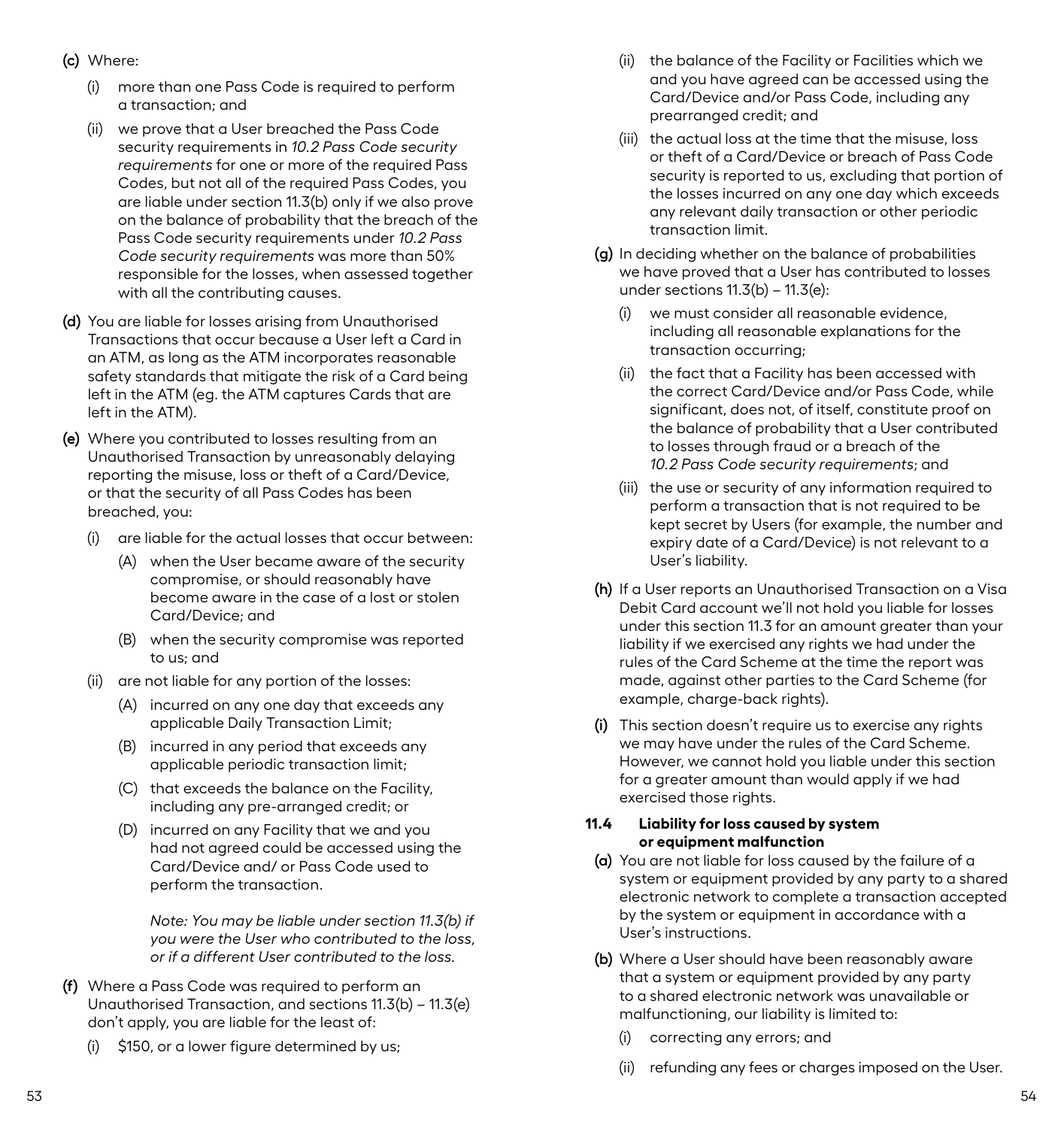- <span id="page-29-0"></span>**(c)** Where:
	- (i) more than one Pass Code is required to perform a transaction; and
	- (ii) we prove that a User breached the Pass Code security requirements in *10.2 Pass Code security requirements* for one or more of the required Pass Codes, but not all of the required Pass Codes, you are liable under section 11.3(b) only if we also prove on the balance of probability that the breach of the Pass Code security requirements under *10.2 Pass Code security requirements* was more than 50% responsible for the losses, when assessed together with all the contributing causes.
- **(d)** You are liable for losses arising from Unauthorised Transactions that occur because a User left a Card in an ATM, as long as the ATM incorporates reasonable safety standards that mitigate the risk of a Card being left in the ATM (eg. the ATM captures Cards that are left in the ATM).
- **(e)** Where you contributed to losses resulting from an Unauthorised Transaction by unreasonably delaying reporting the misuse, loss or theft of a Card/Device, or that the security of all Pass Codes has been breached, you:
	- are liable for the actual losses that occur between:
		- (A) when the User became aware of the security compromise, or should reasonably have become aware in the case of a lost or stolen Card/Device; and
		- (B) when the security compromise was reported to us; and
	- (ii) are not liable for any portion of the losses:
		- (A) incurred on any one day that exceeds any applicable Daily Transaction Limit;
		- (B) incurred in any period that exceeds any applicable periodic transaction limit;
		- (C) that exceeds the balance on the Facility, including any pre-arranged credit; or
		- (D) incurred on any Facility that we and you had not agreed could be accessed using the Card/Device and/ or Pass Code used to perform the transaction.

*Note: You may be liable under section 11.3(b) if you were the User who contributed to the loss, or if a different User contributed to the loss.*

- **(f)** Where a Pass Code was required to perform an Unauthorised Transaction, and sections 11.3(b) – 11.3(e) don't apply, you are liable for the least of:
	- (i) \$150, or a lower figure determined by us;
- (ii) the balance of the Facility or Facilities which we and you have agreed can be accessed using the Card/Device and/or Pass Code, including any prearranged credit; and
- (iii) the actual loss at the time that the misuse, loss or theft of a Card/Device or breach of Pass Code security is reported to us, excluding that portion of the losses incurred on any one day which exceeds any relevant daily transaction or other periodic transaction limit.
- **(g)** In deciding whether on the balance of probabilities we have proved that a User has contributed to losses under sections 11.3(b) – 11.3(e):
	- (i) we must consider all reasonable evidence, including all reasonable explanations for the transaction occurring;
	- (ii) the fact that a Facility has been accessed with the correct Card/Device and/or Pass Code, while significant, does not, of itself, constitute proof on the balance of probability that a User contributed to losses through fraud or a breach of the *10.2 Pass Code security requirements*; and
	- (iii) the use or security of any information required to perform a transaction that is not required to be kept secret by Users (for example, the number and expiry date of a Card/Device) is not relevant to a User's liability.
- **(h)** If a User reports an Unauthorised Transaction on a Visa Debit Card account we'll not hold you liable for losses under this section 11.3 for an amount greater than your liability if we exercised any rights we had under the rules of the Card Scheme at the time the report was made, against other parties to the Card Scheme (for example, charge-back rights).
- **(i)** This section doesn't require us to exercise any rights we may have under the rules of the Card Scheme. However, we cannot hold you liable under this section for a greater amount than would apply if we had exercised those rights.

#### **11.4 Liability for loss caused by system or equipment malfunction**

- **(a)** You are not liable for loss caused by the failure of a system or equipment provided by any party to a shared electronic network to complete a transaction accepted by the system or equipment in accordance with a User's instructions.
- **(b)** Where a User should have been reasonably aware that a system or equipment provided by any party to a shared electronic network was unavailable or malfunctioning, our liability is limited to:
	- correcting any errors; and
	- (ii) refunding any fees or charges imposed on the User.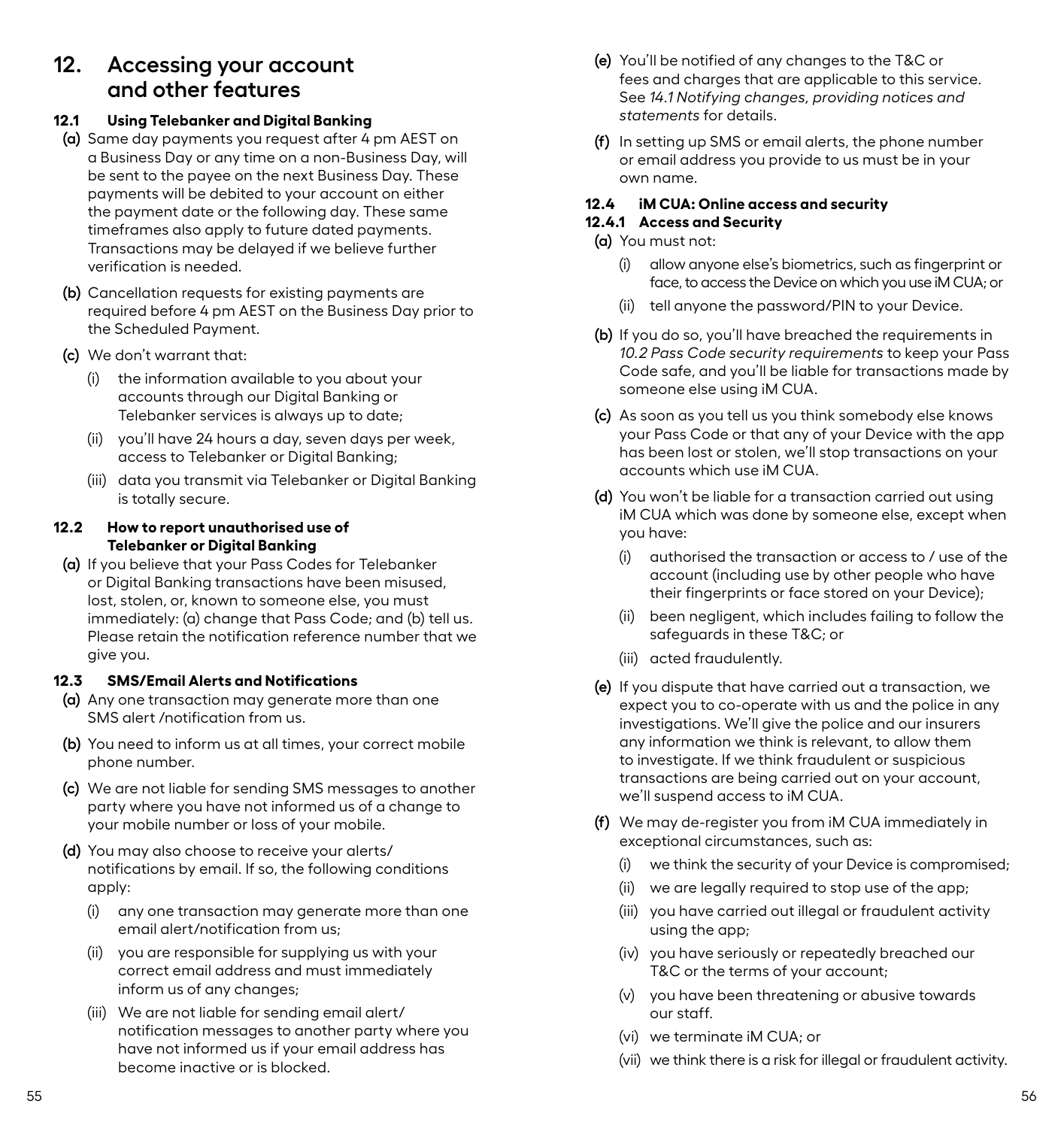# <span id="page-30-0"></span>**12. Accessing your account and other features**

# **12.1 Using Telebanker and Digital Banking**

- **(a)** Same day payments you request after 4 pm AEST on a Business Day or any time on a non-Business Day, will be sent to the payee on the next Business Day. These payments will be debited to your account on either the payment date or the following day. These same timeframes also apply to future dated payments. Transactions may be delayed if we believe further verification is needed.
- **(b)** Cancellation requests for existing payments are required before 4 pm AEST on the Business Day prior to the Scheduled Payment.
- **(c)** We don't warrant that:
	- (i) the information available to you about your accounts through our Digital Banking or Telebanker services is always up to date;
	- (ii) you'll have 24 hours a day, seven days per week, access to Telebanker or Digital Banking;
	- (iii) data you transmit via Telebanker or Digital Banking is totally secure.

# **12.2 How to report unauthorised use of Telebanker or Digital Banking**

**(a)** If you believe that your Pass Codes for Telebanker or Digital Banking transactions have been misused, lost, stolen, or, known to someone else, you must immediately: (a) change that Pass Code; and (b) tell us. Please retain the notification reference number that we give you.

# **12.3 SMS/Email Alerts and Notifications**

- **(a)** Any one transaction may generate more than one SMS alert /notification from us.
- **(b)** You need to inform us at all times, your correct mobile phone number.
- **(c)** We are not liable for sending SMS messages to another party where you have not informed us of a change to your mobile number or loss of your mobile.
- **(d)** You may also choose to receive your alerts/ notifications by email. If so, the following conditions apply:
	- (i) any one transaction may generate more than one email alert/notification from us;
	- (ii) you are responsible for supplying us with your correct email address and must immediately inform us of any changes;
	- (iii) We are not liable for sending email alert/ notification messages to another party where you have not informed us if your email address has become inactive or is blocked.
- **(e)** You'll be notified of any changes to the T&C or fees and charges that are applicable to this service. See *14.1 Notifying changes, providing notices and statements* for details.
- **(f)** In setting up SMS or email alerts, the phone number or email address you provide to us must be in your own name.

# **12.4 iM CUA: Online access and security**

# **12.4.1 Access and Security**

- **(a)** You must not:
	- (i) allow anyone else's biometrics, such as fingerprint or face, to access the Device on which you use iM CUA; or
	- (ii) tell anyone the password/PIN to your Device.
- **(b)** If you do so, you'll have breached the requirements in *10.2 Pass Code security requirements* to keep your Pass Code safe, and you'll be liable for transactions made by someone else using iM CUA.
- **(c)** As soon as you tell us you think somebody else knows your Pass Code or that any of your Device with the app has been lost or stolen, we'll stop transactions on your accounts which use iM CUA.
- **(d)** You won't be liable for a transaction carried out using iM CUA which was done by someone else, except when you have:
	- (i) authorised the transaction or access to / use of the account (including use by other people who have their fingerprints or face stored on your Device);
	- (ii) been negligent, which includes failing to follow the safeguards in these T&C; or
	- (iii) acted fraudulently.
- **(e)** If you dispute that have carried out a transaction, we expect you to co-operate with us and the police in any investigations. We'll give the police and our insurers any information we think is relevant, to allow them to investigate. If we think fraudulent or suspicious transactions are being carried out on your account, we'll suspend access to iM CUA.
- **(f)** We may de-register you from iM CUA immediately in exceptional circumstances, such as:
	- we think the security of your Device is compromised;
	- (ii) we are legally required to stop use of the app;
	- (iii) you have carried out illegal or fraudulent activity using the app;
	- (iv) you have seriously or repeatedly breached our T&C or the terms of your account;
	- (v) you have been threatening or abusive towards our staff.
	- (vi) we terminate iM CUA; or
	- (vii) we think there is a risk for illegal or fraudulent activity.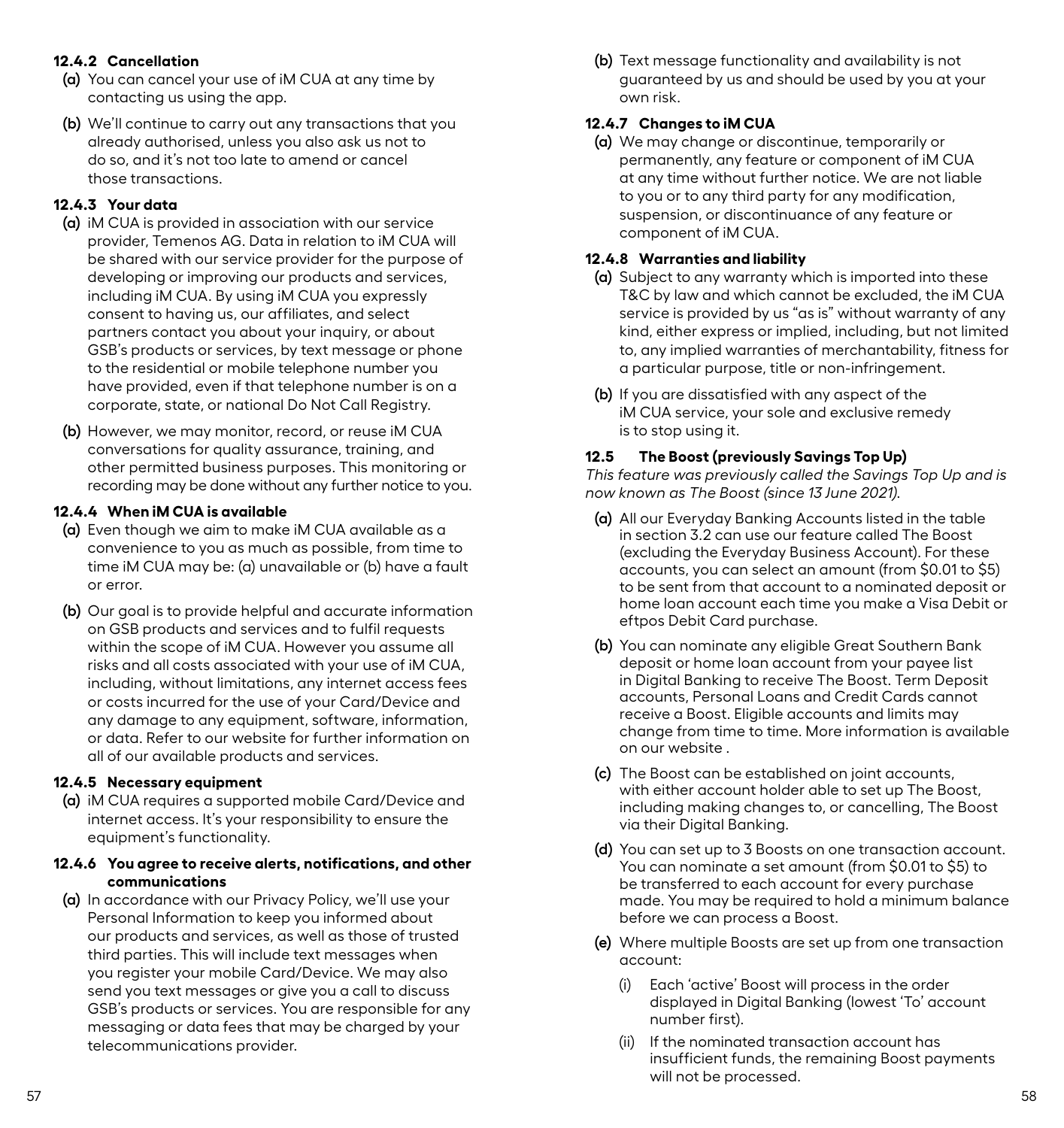# <span id="page-31-0"></span>**12.4.2 Cancellation**

- **(a)** You can cancel your use of iM CUA at any time by contacting us using the app.
- **(b)** We'll continue to carry out any transactions that you already authorised, unless you also ask us not to do so, and it's not too late to amend or cancel those transactions.

# **12.4.3 Your data**

- **(a)** iM CUA is provided in association with our service provider, Temenos AG. Data in relation to iM CUA will be shared with our service provider for the purpose of developing or improving our products and services, including iM CUA. By using iM CUA you expressly consent to having us, our affiliates, and select partners contact you about your inquiry, or about GSB's products or services, by text message or phone to the residential or mobile telephone number you have provided, even if that telephone number is on a corporate, state, or national Do Not Call Registry.
- **(b)** However, we may monitor, record, or reuse iM CUA conversations for quality assurance, training, and other permitted business purposes. This monitoring or recording may be done without any further notice to you.

#### **12.4.4 When iM CUA is available**

- **(a)** Even though we aim to make iM CUA available as a convenience to you as much as possible, from time to time iM CUA may be: (a) unavailable or (b) have a fault or error.
- **(b)** Our goal is to provide helpful and accurate information on GSB products and services and to fulfil requests within the scope of iM CUA. However you assume all risks and all costs associated with your use of iM CUA, including, without limitations, any internet access fees or costs incurred for the use of your Card/Device and any damage to any equipment, software, information, or data. Refer to our website for further information on all of our available products and services.

### **12.4.5 Necessary equipment**

**(a)** iM CUA requires a supported mobile Card/Device and internet access. It's your responsibility to ensure the equipment's functionality.

# **12.4.6 You agree to receive alerts, notifications, and other communications**

**(a)** In accordance with our Privacy Policy, we'll use your Personal Information to keep you informed about our products and services, as well as those of trusted third parties. This will include text messages when you register your mobile Card/Device. We may also send you text messages or give you a call to discuss GSB's products or services. You are responsible for any messaging or data fees that may be charged by your telecommunications provider.

**(b)** Text message functionality and availability is not guaranteed by us and should be used by you at your own risk.

#### **12.4.7 Changes to iM CUA**

**(a)** We may change or discontinue, temporarily or permanently, any feature or component of iM CUA at any time without further notice. We are not liable to you or to any third party for any modification, suspension, or discontinuance of any feature or component of iM CUA.

#### **12.4.8 Warranties and liability**

- **(a)** Subject to any warranty which is imported into these T&C by law and which cannot be excluded, the iM CUA service is provided by us "as is" without warranty of any kind, either express or implied, including, but not limited to, any implied warranties of merchantability, fitness for a particular purpose, title or non-infringement.
- **(b)** If you are dissatisfied with any aspect of the iM CUA service, your sole and exclusive remedy is to stop using it.

#### **12.5 The Boost (previously Savings Top Up)**

*This feature was previously called the Savings Top Up and is now known as The Boost (since 13 June 2021).*

- **(a)** All our Everyday Banking Accounts listed in the table in section 3.2 can use our feature called The Boost (excluding the Everyday Business Account). For these accounts, you can select an amount (from \$0.01 to \$5) to be sent from that account to a nominated deposit or home loan account each time you make a Visa Debit or eftpos Debit Card purchase.
- **(b)** You can nominate any eligible Great Southern Bank deposit or home loan account from your payee list in Digital Banking to receive The Boost. Term Deposit accounts, Personal Loans and Credit Cards cannot receive a Boost. Eligible accounts and limits may change from time to time. More information is available on our website .
- **(c)** The Boost can be established on joint accounts, with either account holder able to set up The Boost. including making changes to, or cancelling, The Boost via their Digital Banking.
- **(d)** You can set up to 3 Boosts on one transaction account. You can nominate a set amount (from \$0.01 to \$5) to be transferred to each account for every purchase made. You may be required to hold a minimum balance before we can process a Boost.
- **(e)** Where multiple Boosts are set up from one transaction account:
	- (i) Each 'active' Boost will process in the order displayed in Digital Banking (lowest 'To' account number first).
	- (ii) If the nominated transaction account has insufficient funds, the remaining Boost payments will not be processed.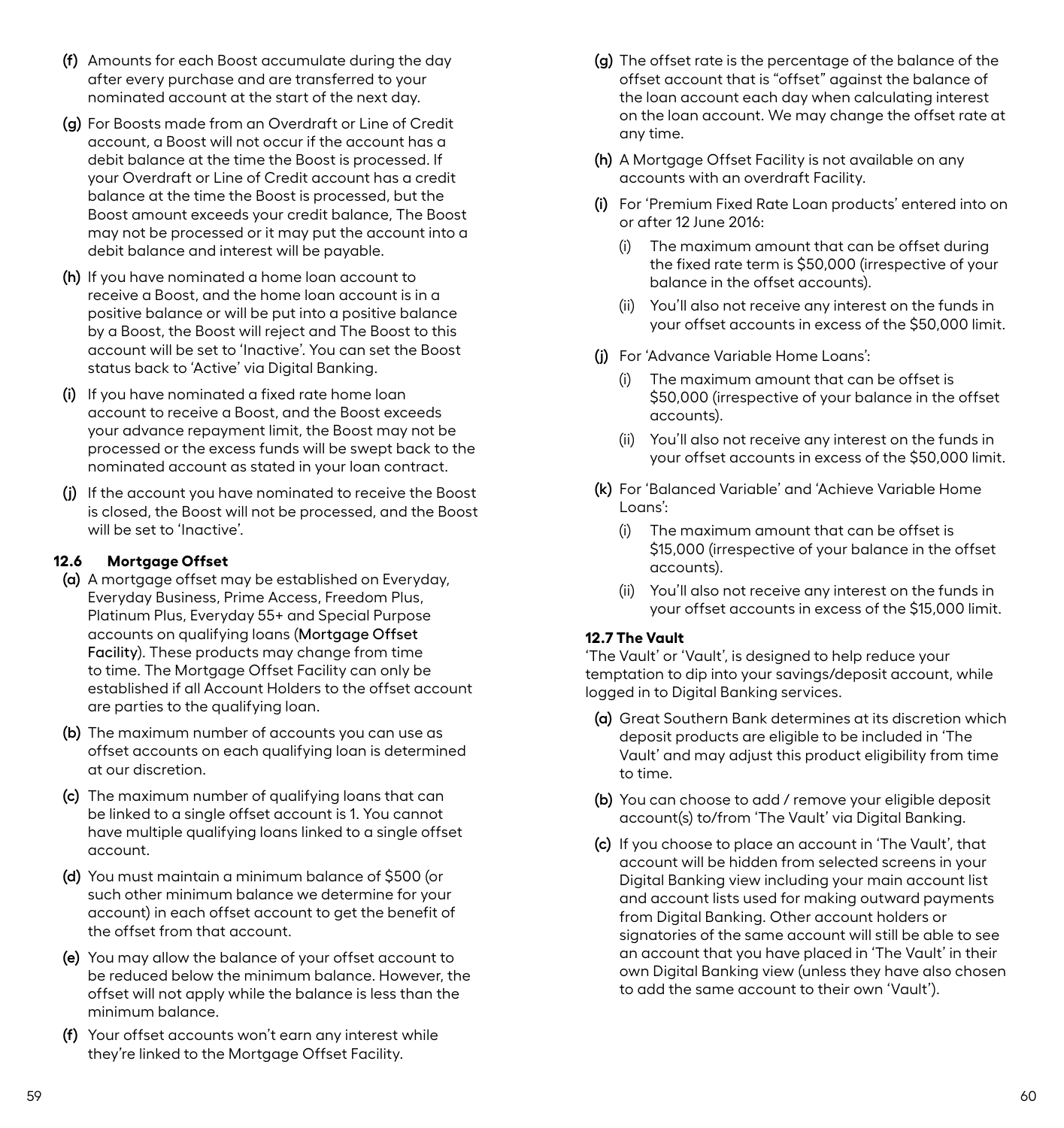- <span id="page-32-0"></span>**(f)** Amounts for each Boost accumulate during the day after every purchase and are transferred to your nominated account at the start of the next day.
- **(g)** For Boosts made from an Overdraft or Line of Credit account, a Boost will not occur if the account has a debit balance at the time the Boost is processed. If your Overdraft or Line of Credit account has a credit balance at the time the Boost is processed, but the Boost amount exceeds your credit balance, The Boost may not be processed or it may put the account into a debit balance and interest will be payable.
- **(h)** If you have nominated a home loan account to receive a Boost, and the home loan account is in a positive balance or will be put into a positive balance by a Boost, the Boost will reject and The Boost to this account will be set to 'Inactive'. You can set the Boost status back to 'Active' via Digital Banking.
- **(i)** If you have nominated a fixed rate home loan account to receive a Boost, and the Boost exceeds your advance repayment limit, the Boost may not be processed or the excess funds will be swept back to the nominated account as stated in your loan contract.
- **(j)** If the account you have nominated to receive the Boost is closed, the Boost will not be processed, and the Boost will be set to 'Inactive'.

# **12.6 Mortgage Offset**

- **(a)** A mortgage offset may be established on Everyday, Everyday Business, Prime Access, Freedom Plus, Platinum Plus, Everyday 55+ and Special Purpose accounts on qualifying loans (Mortgage Offset Facility). These products may change from time to time. The Mortgage Offset Facility can only be established if all Account Holders to the offset account are parties to the qualifying loan.
- **(b)** The maximum number of accounts you can use as offset accounts on each qualifying loan is determined at our discretion.
- **(c)** The maximum number of qualifying loans that can be linked to a single offset account is 1. You cannot have multiple qualifying loans linked to a single offset account.
- **(d)** You must maintain a minimum balance of \$500 (or such other minimum balance we determine for your account) in each offset account to get the benefit of the offset from that account.
- **(e)** You may allow the balance of your offset account to be reduced below the minimum balance. However, the offset will not apply while the balance is less than the minimum balance.
- **(f)** Your offset accounts won't earn any interest while they're linked to the Mortgage Offset Facility.
- **(g)** The offset rate is the percentage of the balance of the offset account that is "offset" against the balance of the loan account each day when calculating interest on the loan account. We may change the offset rate at any time.
- **(h)** A Mortgage Offset Facility is not available on any accounts with an overdraft Facility.
- **(i)** For 'Premium Fixed Rate Loan products' entered into on or after 12 June 2016:
	- (i) The maximum amount that can be offset during the fixed rate term is \$50,000 (irrespective of your balance in the offset accounts).
	- (ii) You'll also not receive any interest on the funds in your offset accounts in excess of the \$50,000 limit.
- **(j)** For 'Advance Variable Home Loans':
	- (i) The maximum amount that can be offset is \$50,000 (irrespective of your balance in the offset accounts).
	- (ii) You'll also not receive any interest on the funds in your offset accounts in excess of the \$50,000 limit.
- **(k)** For 'Balanced Variable' and 'Achieve Variable Home Loans':
	- (i) The maximum amount that can be offset is \$15,000 (irrespective of your balance in the offset accounts).
	- (ii) You'll also not receive any interest on the funds in your offset accounts in excess of the \$15,000 limit.

# **12.7 The Vault**

'The Vault' or 'Vault', is designed to help reduce your temptation to dip into your savings/deposit account, while logged in to Digital Banking services.

- **(a)** Great Southern Bank determines at its discretion which deposit products are eligible to be included in 'The Vault' and may adjust this product eligibility from time to time.
- **(b)** You can choose to add / remove your eligible deposit account(s) to/from 'The Vault' via Digital Banking.
- **(c)** If you choose to place an account in 'The Vault', that account will be hidden from selected screens in your Digital Banking view including your main account list and account lists used for making outward payments from Digital Banking. Other account holders or signatories of the same account will still be able to see an account that you have placed in 'The Vault' in their own Digital Banking view (unless they have also chosen to add the same account to their own 'Vault').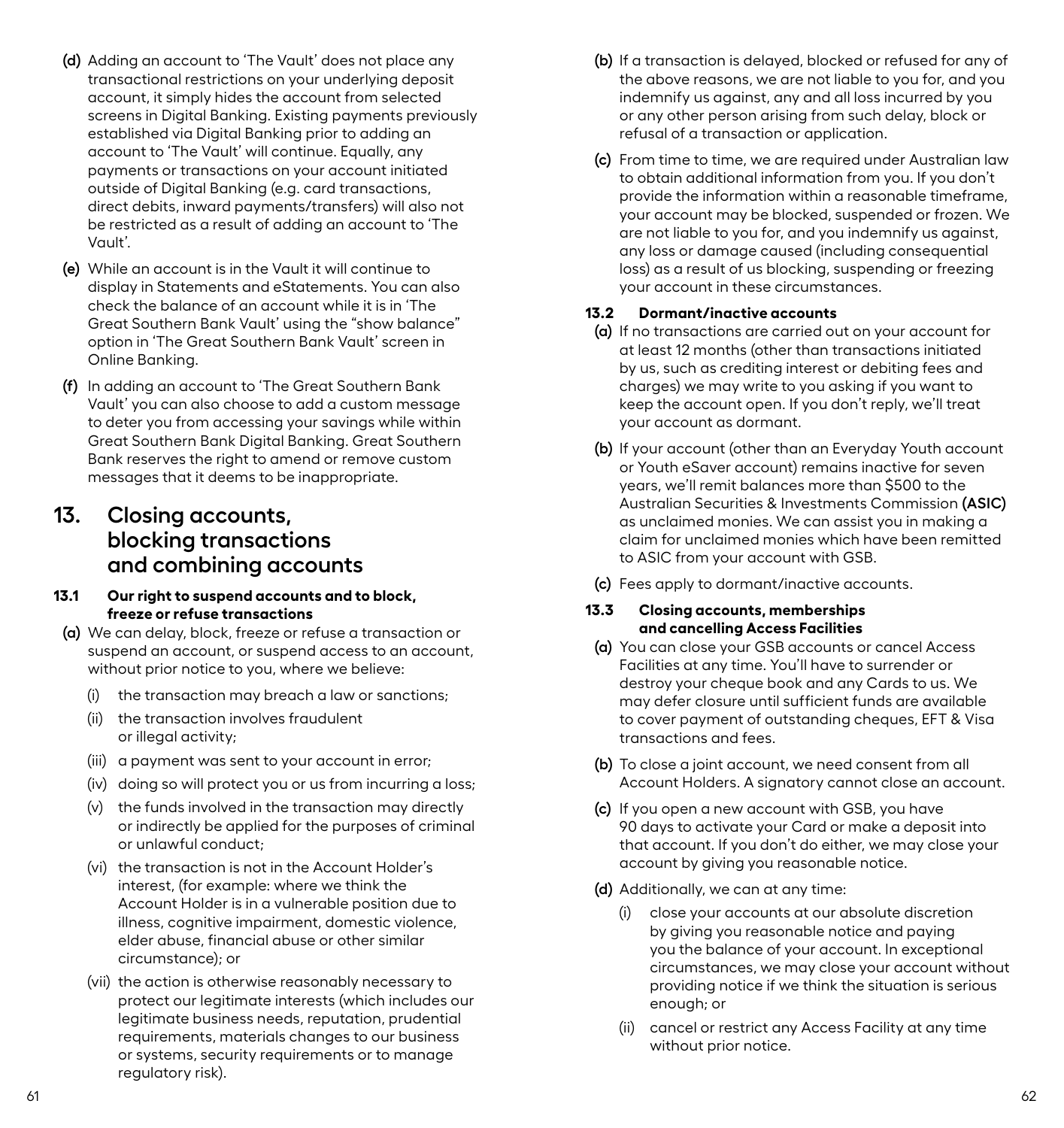- <span id="page-33-0"></span>**(d)** Adding an account to 'The Vault' does not place any transactional restrictions on your underlying deposit account, it simply hides the account from selected screens in Digital Banking. Existing payments previously established via Digital Banking prior to adding an account to 'The Vault' will continue. Equally, any payments or transactions on your account initiated outside of Digital Banking (e.g. card transactions, direct debits, inward payments/transfers) will also not be restricted as a result of adding an account to 'The Vault'.
- **(e)** While an account is in the Vault it will continue to display in Statements and eStatements. You can also check the balance of an account while it is in 'The Great Southern Bank Vault' using the "show balance" option in 'The Great Southern Bank Vault' screen in Online Banking.
- **(f)** In adding an account to 'The Great Southern Bank Vault' you can also choose to add a custom message to deter you from accessing your savings while within Great Southern Bank Digital Banking. Great Southern Bank reserves the right to amend or remove custom messages that it deems to be inappropriate.

# **13. Closing accounts, blocking transactions and combining accounts**

#### **13.1 Our right to suspend accounts and to block, freeze or refuse transactions**

- **(a)** We can delay, block, freeze or refuse a transaction or suspend an account, or suspend access to an account, without prior notice to you, where we believe:
	- (i) the transaction may breach a law or sanctions;
	- (ii) the transaction involves fraudulent or illegal activity;
	- (iii) a payment was sent to your account in error;
	- (iv) doing so will protect you or us from incurring a loss;
	- (v) the funds involved in the transaction may directly or indirectly be applied for the purposes of criminal or unlawful conduct;
	- (vi) the transaction is not in the Account Holder's interest, (for example: where we think the Account Holder is in a vulnerable position due to illness, cognitive impairment, domestic violence, elder abuse, financial abuse or other similar circumstance); or
	- (vii) the action is otherwise reasonably necessary to protect our legitimate interests (which includes our legitimate business needs, reputation, prudential requirements, materials changes to our business or systems, security requirements or to manage regulatory risk).
- **(b)** If a transaction is delayed, blocked or refused for any of the above reasons, we are not liable to you for, and you indemnify us against, any and all loss incurred by you or any other person arising from such delay, block or refusal of a transaction or application.
- **(c)** From time to time, we are required under Australian law to obtain additional information from you. If you don't provide the information within a reasonable timeframe, your account may be blocked, suspended or frozen. We are not liable to you for, and you indemnify us against, any loss or damage caused (including consequential loss) as a result of us blocking, suspending or freezing your account in these circumstances.

# **13.2 Dormant/inactive accounts**

- **(a)** If no transactions are carried out on your account for at least 12 months (other than transactions initiated by us, such as crediting interest or debiting fees and charges) we may write to you asking if you want to keep the account open. If you don't reply, we'll treat your account as dormant.
- **(b)** If your account (other than an Everyday Youth account or Youth eSaver account) remains inactive for seven years, we'll remit balances more than \$500 to the Australian Securities & Investments Commission **(ASIC)** as unclaimed monies. We can assist you in making a claim for unclaimed monies which have been remitted to ASIC from your account with GSB.
- **(c)** Fees apply to dormant/inactive accounts.

# **13.3 Closing accounts, memberships and cancelling Access Facilities**

- **(a)** You can close your GSB accounts or cancel Access Facilities at any time. You'll have to surrender or destroy your cheque book and any Cards to us. We may defer closure until sufficient funds are available to cover payment of outstanding cheques, EFT & Visa transactions and fees.
- **(b)** To close a joint account, we need consent from all Account Holders. A signatory cannot close an account.
- **(c)** If you open a new account with GSB, you have 90 days to activate your Card or make a deposit into that account. If you don't do either, we may close your account by giving you reasonable notice.
- **(d)** Additionally, we can at any time:
	- (i) close your accounts at our absolute discretion by giving you reasonable notice and paying you the balance of your account. In exceptional circumstances, we may close your account without providing notice if we think the situation is serious enough; or
	- (ii) cancel or restrict any Access Facility at any time without prior notice.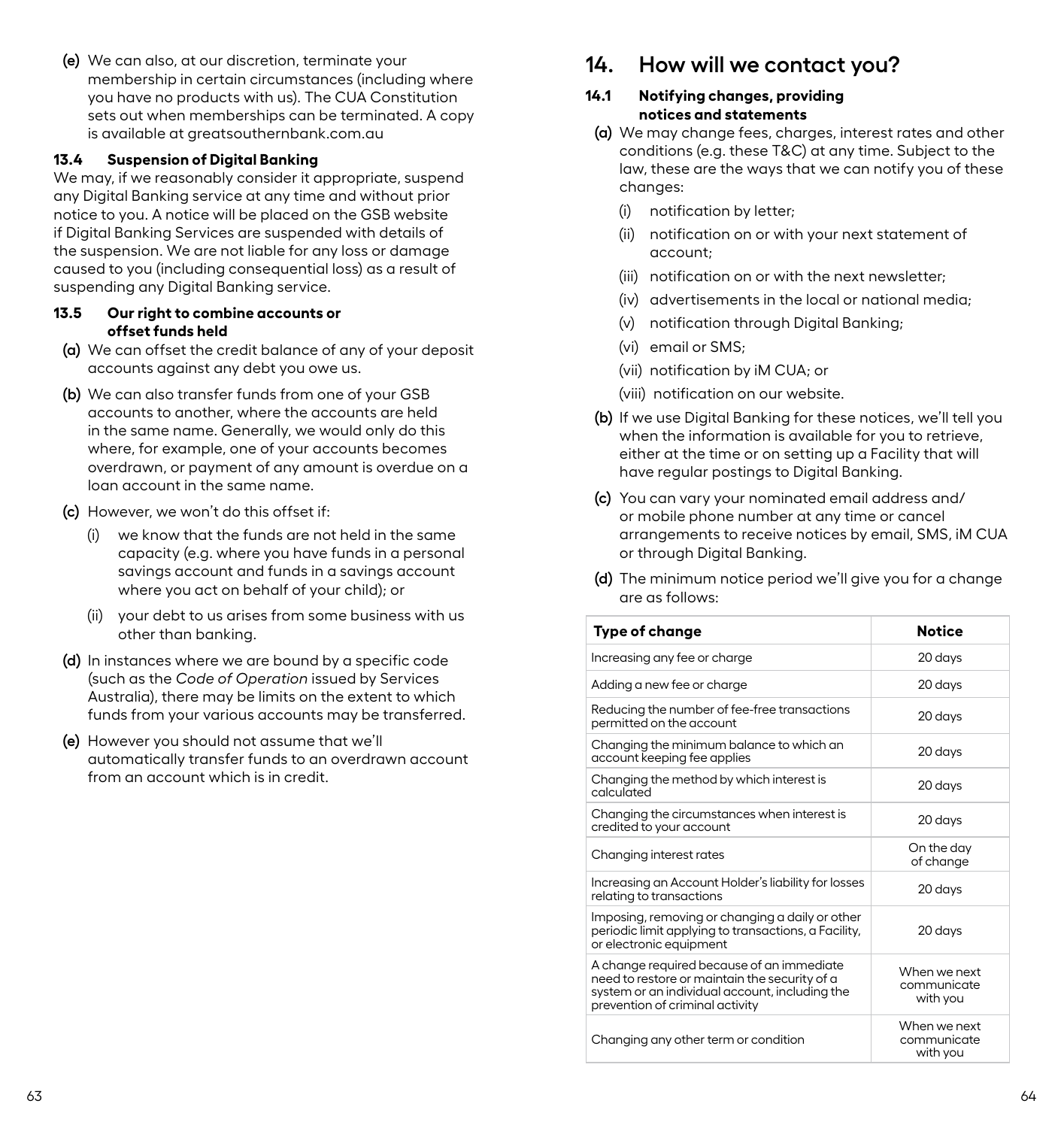<span id="page-34-0"></span>**(e)** We can also, at our discretion, terminate your membership in certain circumstances (including where you have no products with us). The CUA Constitution sets out when memberships can be terminated. A copy is available at greatsouthernbank.com.au

#### **13.4 Suspension of Digital Banking**

We may, if we reasonably consider it appropriate, suspend any Digital Banking service at any time and without prior notice to you. A notice will be placed on the GSB website if Digital Banking Services are suspended with details of the suspension. We are not liable for any loss or damage caused to you (including consequential loss) as a result of suspending any Digital Banking service.

#### **13.5 Our right to combine accounts or offset funds held**

- **(a)** We can offset the credit balance of any of your deposit accounts against any debt you owe us.
- **(b)** We can also transfer funds from one of your GSB accounts to another, where the accounts are held in the same name. Generally, we would only do this where, for example, one of your accounts becomes overdrawn, or payment of any amount is overdue on a loan account in the same name.
- **(c)** However, we won't do this offset if:
	- (i) we know that the funds are not held in the same capacity (e.g. where you have funds in a personal savings account and funds in a savings account where you act on behalf of your child); or
	- (ii) your debt to us arises from some business with us other than banking.
- **(d)** In instances where we are bound by a specific code (such as the *Code of Operation* issued by Services Australia), there may be limits on the extent to which funds from your various accounts may be transferred.
- **(e)** However you should not assume that we'll automatically transfer funds to an overdrawn account from an account which is in credit.

# **14. How will we contact you?**

#### **14.1 Notifying changes, providing notices and statements**

- **(a)** We may change fees, charges, interest rates and other conditions (e.g. these T&C) at any time. Subject to the law, these are the ways that we can notify you of these changes:
	- (i) notification by letter;
	- (ii) notification on or with your next statement of account;
	- (iii) notification on or with the next newsletter;
	- (iv) advertisements in the local or national media;
	- (v) notification through Digital Banking;
	- (vi) email or SMS;
	- (vii) notification by iM CUA; or
	- (viii) notification on our website.
- **(b)** If we use Digital Banking for these notices, we'll tell you when the information is available for you to retrieve. either at the time or on setting up a Facility that will have regular postings to Digital Banking.
- **(c)** You can vary your nominated email address and/ or mobile phone number at any time or cancel arrangements to receive notices by email, SMS, iM CUA or through Digital Banking.
- **(d)** The minimum notice period we'll give you for a change are as follows:

| Type of change                                                                                                                                                                  | <b>Notice</b>                           |
|---------------------------------------------------------------------------------------------------------------------------------------------------------------------------------|-----------------------------------------|
| Increasing any fee or charge                                                                                                                                                    | 20 days                                 |
| Adding a new fee or charge                                                                                                                                                      | 20 days                                 |
| Reducing the number of fee-free transactions<br>permitted on the account                                                                                                        | 20 days                                 |
| Changing the minimum balance to which an<br>account keeping fee applies                                                                                                         | 20 days                                 |
| Changing the method by which interest is<br>calculated                                                                                                                          | 20 days                                 |
| Changing the circumstances when interest is<br>credited to your account                                                                                                         | 20 days                                 |
| Changing interest rates                                                                                                                                                         | On the day<br>of change                 |
| Increasing an Account Holder's liability for losses<br>relating to transactions                                                                                                 | 20 days                                 |
| Imposing, removing or changing a daily or other<br>periodic limit applying to transactions, a Facility,<br>or electronic equipment                                              | 20 days                                 |
| A change required because of an immediate<br>need to restore or maintain the security of a<br>system or an individual account, including the<br>prevention of criminal activity | When we next<br>communicate<br>with you |
| Changing any other term or condition                                                                                                                                            | When we next<br>communicate<br>with you |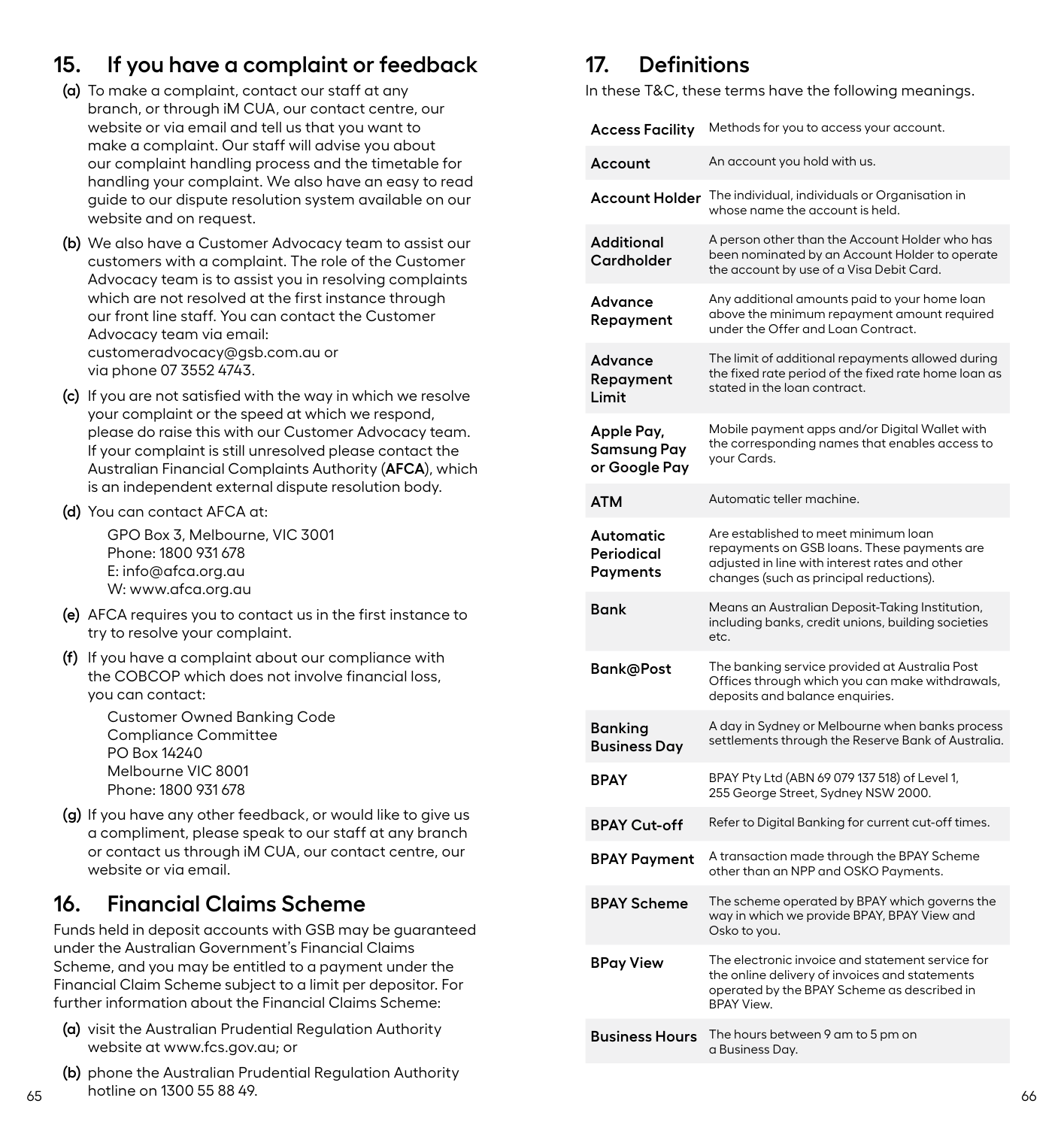# <span id="page-35-0"></span>**15. If you have a complaint or feedback**

- **(a)** To make a complaint, contact our staff at any branch, or through iM CUA, our contact centre, our website or via email and tell us that you want to make a complaint. Our staff will advise you about our complaint handling process and the timetable for handling your complaint. We also have an easy to read guide to our dispute resolution system available on our website and on request.
- **(b)** We also have a Customer Advocacy team to assist our customers with a complaint. The role of the Customer Advocacy team is to assist you in resolving complaints which are not resolved at the first instance through our front line staff. You can contact the Customer Advocacy team via email: customeradvocacy@gsb.com.au or via phone 07 3552 4743.
- **(c)** If you are not satisfied with the way in which we resolve your complaint or the speed at which we respond, please do raise this with our Customer Advocacy team. If your complaint is still unresolved please contact the Australian Financial Complaints Authority (**AFCA**), which is an independent external dispute resolution body.
- **(d)** You can contact AFCA at:

GPO Box 3, Melbourne, VIC 3001 Phone: 1800 931 678 E: info@afca.org.au W: www.afca.org.au

- **(e)** AFCA requires you to contact us in the first instance to try to resolve your complaint.
- **(f)** If you have a complaint about our compliance with the COBCOP which does not involve financial loss, you can contact:

Customer Owned Banking Code Compliance Committee PO Box 14240 Melbourne VIC 8001 Phone: 1800 931 678

**(g)** If you have any other feedback, or would like to give us a compliment, please speak to our staff at any branch or contact us through iM CUA, our contact centre, our website or via email.

# **16. Financial Claims Scheme**

Funds held in deposit accounts with GSB may be guaranteed under the Australian Government's Financial Claims Scheme, and you may be entitled to a payment under the Financial Claim Scheme subject to a limit per depositor. For further information about the Financial Claims Scheme:

- **(a)** visit the Australian Prudential Regulation Authority website at www.fcs.gov.au; or
- $65$  for the control of the control of the control of the control of the control of the control of the control of the control of the control of the control of the control of the control of the control of the control of th **(b)** phone the Australian Prudential Regulation Authority hotline on 1300 55 88 49.

# **17. Definitions**

In these T&C, these terms have the following meanings.

| Access Facility                            | Methods for you to access your account.                                                                                                                                          |
|--------------------------------------------|----------------------------------------------------------------------------------------------------------------------------------------------------------------------------------|
| Account                                    | An account you hold with us.                                                                                                                                                     |
| <b>Account Holder</b>                      | The individual, individuals or Organisation in<br>whose name the account is held.                                                                                                |
| Additional<br>Cardholder                   | A person other than the Account Holder who has<br>been nominated by an Account Holder to operate<br>the account by use of a Visa Debit Card.                                     |
| Advance<br>Repayment                       | Any additional amounts paid to your home loan<br>above the minimum repayment amount required<br>under the Offer and Loan Contract.                                               |
| Advance<br>Repayment<br>Limit              | The limit of additional repayments allowed during<br>the fixed rate period of the fixed rate home loan as<br>stated in the loan contract.                                        |
| Apple Pay,<br>Samsung Pay<br>or Google Pay | Mobile payment apps and/or Digital Wallet with<br>the corresponding names that enables access to<br>your Cards.                                                                  |
| ATM                                        | Automatic teller machine.                                                                                                                                                        |
| Automatic<br>Periodical<br>Payments        | Are established to meet minimum loan<br>repayments on GSB loans. These payments are<br>adjusted in line with interest rates and other<br>changes (such as principal reductions). |
| <b>Bank</b>                                | Means an Australian Deposit-Taking Institution,<br>including banks, credit unions, building societies<br>etc.                                                                    |
| Bank@Post                                  | The banking service provided at Australia Post<br>Offices through which you can make withdrawals,<br>deposits and balance enquiries.                                             |
| <b>Banking</b><br><b>Business Day</b>      | A day in Sydney or Melbourne when banks process<br>settlements through the Reserve Bank of Australia.                                                                            |
| <b>BPAY</b>                                | BPAY Pty Ltd (ABN 69 079 137 518) of Level 1,<br>255 George Street, Sydney NSW 2000.                                                                                             |
| <b>BPAY Cut-off</b>                        | Refer to Digital Banking for current cut-off times.                                                                                                                              |
| <b>BPAY Payment</b>                        | A transaction made through the BPAY Scheme<br>other than an NPP and OSKO Payments.                                                                                               |
| <b>BPAY Scheme</b>                         | The scheme operated by BPAY which governs the<br>way in which we provide BPAY, BPAY View and<br>Osko to you.                                                                     |
| <b>BPay View</b>                           | The electronic invoice and statement service for<br>the online delivery of invoices and statements<br>operated by the BPAY Scheme as described in<br><b>BPAY View.</b>           |
| <b>Business Hours</b>                      | The hours between 9 am to 5 pm on<br>a Business Day.                                                                                                                             |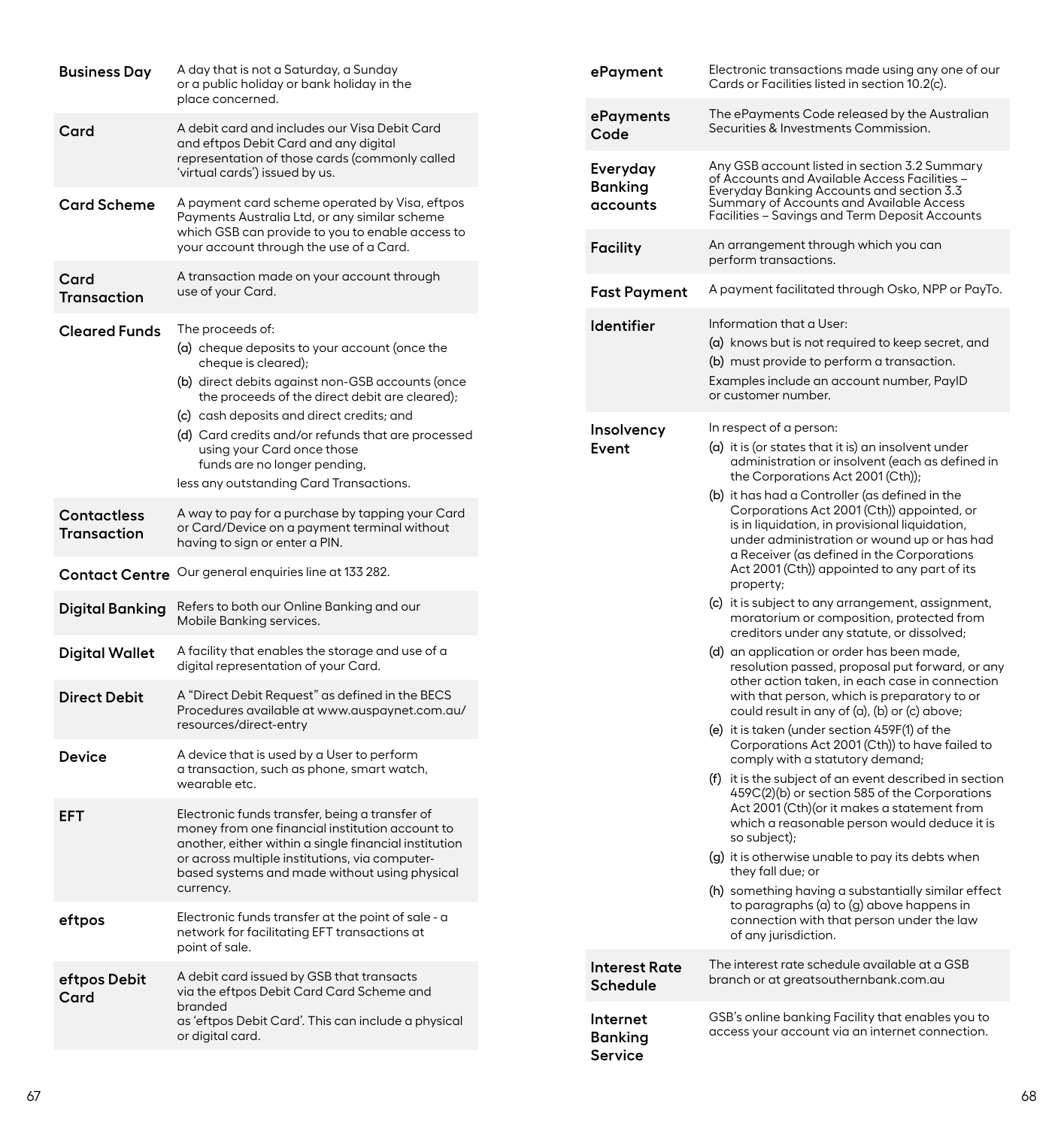| Business Day                             | A day that is not a Saturday, a Sunday<br>or a public holiday or bank holiday in the<br>place concerned.                                                                                                 |                            | ePayment                                | Electronic transactions made using any one of our<br>Cards or Facilities listed in section 10.2(c).                                                                                                                                         |
|------------------------------------------|----------------------------------------------------------------------------------------------------------------------------------------------------------------------------------------------------------|----------------------------|-----------------------------------------|---------------------------------------------------------------------------------------------------------------------------------------------------------------------------------------------------------------------------------------------|
| Card                                     | A debit card and includes our Visa Debit Card<br>and eftpos Debit Card and any digital                                                                                                                   | Code                       | ePayments                               | The ePayments Code released by the Australian<br>Securities & Investments Commission.                                                                                                                                                       |
|                                          | representation of those cards (commonly called<br>'virtual cards') issued by us.                                                                                                                         | Banking                    | Everyday                                | Any GSB account listed in section 3.2 Summary<br>of Accounts and Available Access Facilities -<br>Everyday Banking Accounts and section 3.3<br>Summary of Accounts and Available Access                                                     |
| Card Scheme                              | A payment card scheme operated by Visa, eftpos<br>Payments Australia Ltd, or any similar scheme<br>which GSB can provide to you to enable access to                                                      |                            | accounts                                | Facilities - Savings and Term Deposit Accounts                                                                                                                                                                                              |
| Card                                     | your account through the use of a Card.<br>A transaction made on your account through                                                                                                                    | Facility                   |                                         | An arrangement through which you can<br>perform transactions.                                                                                                                                                                               |
| Transaction                              | use of your Card.                                                                                                                                                                                        |                            | <b>Fast Payment</b>                     | A payment facilitated through Osko, NPP or PayTo.                                                                                                                                                                                           |
| <b>Cleared Funds</b>                     | The proceeds of:<br>(a) cheque deposits to your account (once the<br>cheque is cleared);<br>(b) direct debits against non-GSB accounts (once<br>the proceeds of the direct debit are cleared);           |                            | <b>Identifier</b>                       | Information that a User:<br>(a) knows but is not required to keep secret, and<br>(b) must provide to perform a transaction.<br>Examples include an account number, PayID<br>or customer number.                                             |
|                                          | (c) cash deposits and direct credits; and<br>(d) Card credits and/or refunds that are processed<br>using your Card once those<br>funds are no longer pending,<br>less any outstanding Card Transactions. | Event                      | Insolvency                              | In respect of a person:<br>(a) it is (or states that it is) an insolvent under<br>administration or insolvent (each as defined in<br>the Corporations Act 2001 (Cth));                                                                      |
| <b>Contactless</b><br><b>Transaction</b> | A way to pay for a purchase by tapping your Card<br>or Card/Device on a payment terminal without<br>having to sign or enter a PIN.                                                                       |                            |                                         | (b) it has had a Controller (as defined in the<br>Corporations Act 2001 (Cth)) appointed, or<br>is in liquidation, in provisional liquidation,<br>under administration or wound up or has had<br>a Receiver (as defined in the Corporations |
|                                          | Contact Centre Our general enquiries line at 133 282.                                                                                                                                                    |                            |                                         | Act 2001 (Cth)) appointed to any part of its<br>property;                                                                                                                                                                                   |
| <b>Digital Banking</b>                   | Refers to both our Online Banking and our<br>Mobile Banking services.                                                                                                                                    |                            |                                         | (c) it is subject to any arrangement, assignment,<br>moratorium or composition, protected from<br>creditors under any statute, or dissolved;                                                                                                |
| Digital Wallet                           | A facility that enables the storage and use of a<br>digital representation of your Card.                                                                                                                 |                            |                                         | (d) an application or order has been made,<br>resolution passed, proposal put forward, or any<br>other action taken, in each case in connection                                                                                             |
| <b>Direct Debit</b>                      | A "Direct Debit Request" as defined in the BECS<br>Procedures available at www.auspaynet.com.au/<br>resources/direct-entry                                                                               |                            |                                         | with that person, which is preparatory to or<br>could result in any of (a), (b) or (c) above;<br>(e) it is taken (under section 459F(1) of the                                                                                              |
| Device                                   | A device that is used by a User to perform<br>a transaction, such as phone, smart watch,                                                                                                                 |                            |                                         | Corporations Act 2001 (Cth)) to have failed to<br>comply with a statutory demand;                                                                                                                                                           |
| <b>EFT</b>                               | wearable etc.<br>Electronic funds transfer, being a transfer of<br>money from one financial institution account to                                                                                       |                            |                                         | (f) it is the subject of an event described in section<br>459C(2)(b) or section 585 of the Corporations<br>Act 2001 (Cth) (or it makes a statement from<br>which a reasonable person would deduce it is                                     |
|                                          | another, either within a single financial institution<br>or across multiple institutions, via computer-<br>based systems and made without using physical                                                 |                            |                                         | so subject);<br>(g) it is otherwise unable to pay its debts when<br>they fall due; or                                                                                                                                                       |
| ettpos                                   | currency.<br>Electronic funds transfer at the point of sale - a<br>network for facilitating EFT transactions at<br>point of sale.                                                                        |                            |                                         | (h) something having a substantially similar effect<br>to paragraphs (a) to (g) above happens in<br>connection with that person under the law<br>of any jurisdiction.                                                                       |
| eftpos Debit<br>Card                     | A debit card issued by GSB that transacts<br>via the eftpos Debit Card Card Scheme and                                                                                                                   |                            | <b>Interest Rate</b><br><b>Schedule</b> | The interest rate schedule available at a GSB<br>branch or at greatsouthernbank.com.au                                                                                                                                                      |
|                                          | branded<br>as 'eftpos Debit Card'. This can include a physical<br>or digital card.                                                                                                                       | Internet<br><b>Banking</b> |                                         | GSB's online banking Facility that enables you to<br>access your account via an internet connection.                                                                                                                                        |
|                                          |                                                                                                                                                                                                          | Service                    |                                         |                                                                                                                                                                                                                                             |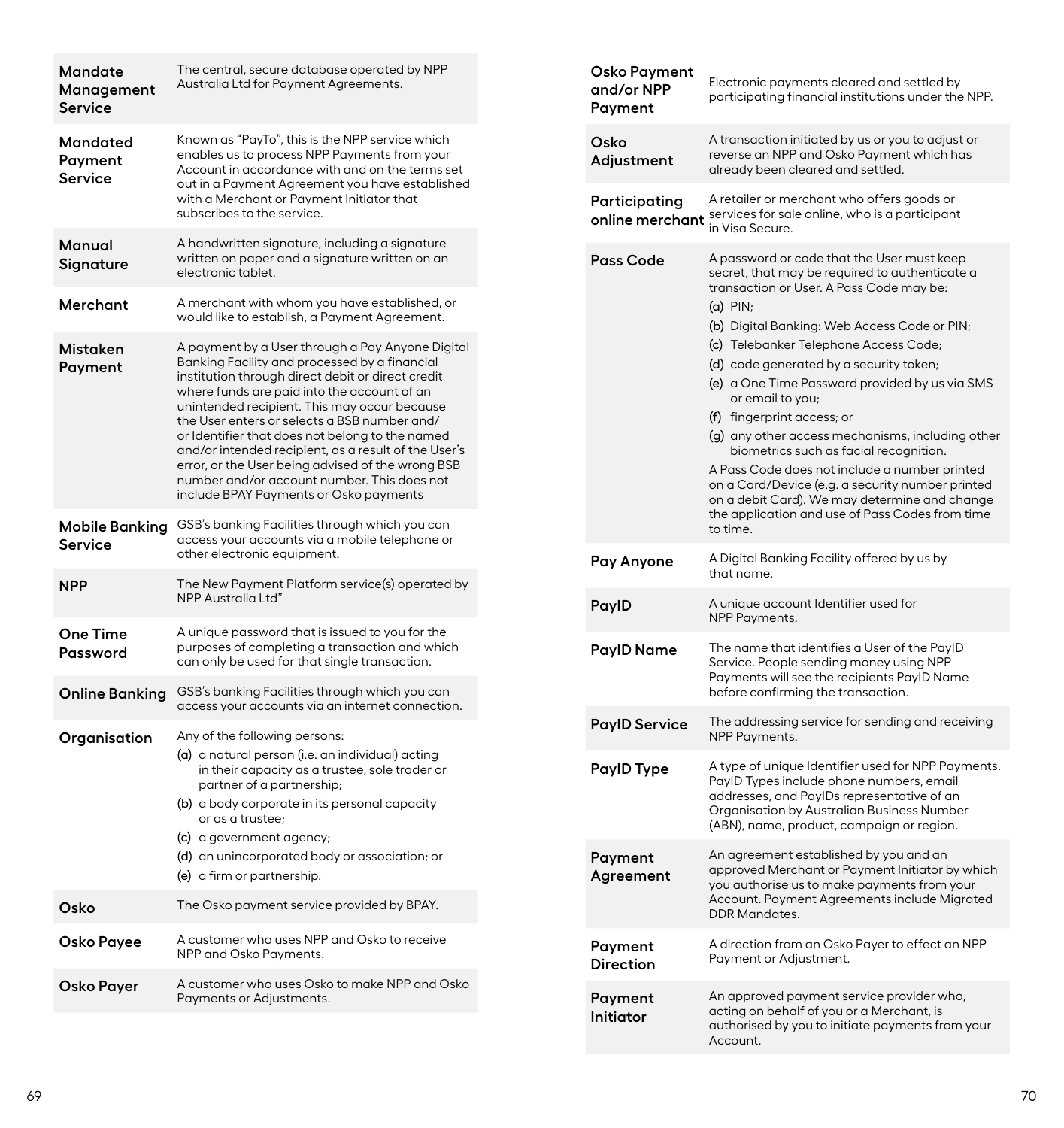| <b>Mandate</b><br>Management<br>Service | The central, secure database operated by NPP<br>Australia Ltd for Payment Agreements.                                                                                                                                                                                                                                                                                                                                                                                                                                                                          |
|-----------------------------------------|----------------------------------------------------------------------------------------------------------------------------------------------------------------------------------------------------------------------------------------------------------------------------------------------------------------------------------------------------------------------------------------------------------------------------------------------------------------------------------------------------------------------------------------------------------------|
| Mandated<br>Payment<br>Service          | Known as "PayTo", this is the NPP service which<br>enables us to process NPP Payments from your<br>Account in accordance with and on the terms set<br>out in a Payment Agreement you have established<br>with a Merchant or Payment Initiator that<br>subscribes to the service.                                                                                                                                                                                                                                                                               |
| Manual<br>Signature                     | A handwritten signature, including a signature<br>written on paper and a signature written on an<br>electronic tablet.                                                                                                                                                                                                                                                                                                                                                                                                                                         |
| Merchant                                | A merchant with whom you have established, or<br>would like to establish, a Payment Agreement.                                                                                                                                                                                                                                                                                                                                                                                                                                                                 |
| Mistaken<br>Payment                     | A payment by a User through a Pay Anyone Digital<br>Banking Facility and processed by a financial<br>institution through direct debit or direct credit<br>where funds are paid into the account of an<br>unintended recipient. This may occur because<br>the User enters or selects a BSB number and/<br>or Identifier that does not belong to the named<br>and/or intended recipient, as a result of the User's<br>error, or the User being advised of the wrong BSB<br>number and/or account number. This does not<br>include BPAY Payments or Osko payments |
| Mobile Banking<br>Service               | GSB's banking Facilities through which you can<br>access your accounts via a mobile telephone or<br>other electronic equipment.                                                                                                                                                                                                                                                                                                                                                                                                                                |
| NPP                                     | The New Payment Platform service(s) operated by<br>NPP Australia Ltd"                                                                                                                                                                                                                                                                                                                                                                                                                                                                                          |
| One Time<br>Password                    | A unique password that is issued to you for the<br>purposes of completing a transaction and which<br>can only be used for that single transaction.                                                                                                                                                                                                                                                                                                                                                                                                             |
| Online Banking                          | GSB's banking Facilities through which you can<br>access your accounts via an internet connection.                                                                                                                                                                                                                                                                                                                                                                                                                                                             |
| Organisation                            | Any of the following persons:<br>(a) a natural person (i.e. an individual) acting<br>in their capacity as a trustee, sole trader or<br>partner of a partnership;<br>(b) a body corporate in its personal capacity<br>or as a trustee;<br>(c) a government agency;<br>(d) an unincorporated body or association; or<br>(e) a firm or partnership.                                                                                                                                                                                                               |
| Osko                                    | The Osko payment service provided by BPAY.                                                                                                                                                                                                                                                                                                                                                                                                                                                                                                                     |
| Osko Payee                              | A customer who uses NPP and Osko to receive<br>NPP and Osko Payments.                                                                                                                                                                                                                                                                                                                                                                                                                                                                                          |
| Osko Payer                              | A customer who uses Osko to make NPP and Osko<br>Payments or Adjustments.                                                                                                                                                                                                                                                                                                                                                                                                                                                                                      |
|                                         |                                                                                                                                                                                                                                                                                                                                                                                                                                                                                                                                                                |

| Osko Payment<br>and/or NPP<br>Payment | Electronic payments cleared and settled by<br>participating financial institutions under the NPP.                                                                                                                                                                                                                                                                                                                                                                                                                                                                                                                                                                                                                 |  |  |
|---------------------------------------|-------------------------------------------------------------------------------------------------------------------------------------------------------------------------------------------------------------------------------------------------------------------------------------------------------------------------------------------------------------------------------------------------------------------------------------------------------------------------------------------------------------------------------------------------------------------------------------------------------------------------------------------------------------------------------------------------------------------|--|--|
| Osko<br>Adjustment                    | A transaction initiated by us or you to adjust or<br>reverse an NPP and Osko Payment which has<br>already been cleared and settled.                                                                                                                                                                                                                                                                                                                                                                                                                                                                                                                                                                               |  |  |
| Participating                         | A retailer or merchant who offers goods or<br>online merchant services for sale online, who is a participant<br>in Visa Secure.                                                                                                                                                                                                                                                                                                                                                                                                                                                                                                                                                                                   |  |  |
| Pass Code                             | A password or code that the User must keep<br>secret, that may be required to authenticate a<br>transaction or User. A Pass Code may be:<br>$(a)$ PIN;<br>(b) Digital Banking: Web Access Code or PIN;<br>(c) Telebanker Telephone Access Code;<br>(d) code generated by a security token;<br>(e) a One Time Password provided by us via SMS<br>or email to you;<br>(f) fingerprint access; or<br>(g) any other access mechanisms, including other<br>biometrics such as facial recognition.<br>A Pass Code does not include a number printed<br>on a Card/Device (e.g. a security number printed<br>on a debit Card). We may determine and change<br>the application and use of Pass Codes from time<br>to time. |  |  |
| Pay Anyone                            | A Digital Banking Facility offered by us by<br>that name.                                                                                                                                                                                                                                                                                                                                                                                                                                                                                                                                                                                                                                                         |  |  |
| PaylD                                 | A unique account Identifier used for<br>NPP Payments.                                                                                                                                                                                                                                                                                                                                                                                                                                                                                                                                                                                                                                                             |  |  |
| PayID Name                            | The name that identifies a User of the PayID<br>Service. People sending money using NPP<br>Payments will see the recipients PayID Name<br>before confirming the transaction.                                                                                                                                                                                                                                                                                                                                                                                                                                                                                                                                      |  |  |
| <b>PayID Service</b>                  | The addressing service for sending and receiving<br>NPP Payments.                                                                                                                                                                                                                                                                                                                                                                                                                                                                                                                                                                                                                                                 |  |  |
| PaylD Type                            | A type of unique Identifier used for NPP Payments.<br>PayID Types include phone numbers, email<br>addresses, and PayIDs representative of an<br>Organisation by Australian Business Number<br>(ABN), name, product, campaign or region.                                                                                                                                                                                                                                                                                                                                                                                                                                                                           |  |  |
| Payment<br>Agreement                  | An agreement established by you and an<br>approved Merchant or Payment Initiator by which<br>you authorise us to make payments from your<br>Account. Payment Agreements include Migrated<br><b>DDR Mandates.</b>                                                                                                                                                                                                                                                                                                                                                                                                                                                                                                  |  |  |
| Payment<br>Direction                  | A direction from an Osko Payer to effect an NPP<br>Payment or Adjustment.                                                                                                                                                                                                                                                                                                                                                                                                                                                                                                                                                                                                                                         |  |  |
| Payment<br>Initiator                  | An approved payment service provider who,<br>acting on behalf of you or a Merchant, is<br>authorised by you to initiate payments from your<br>Account.                                                                                                                                                                                                                                                                                                                                                                                                                                                                                                                                                            |  |  |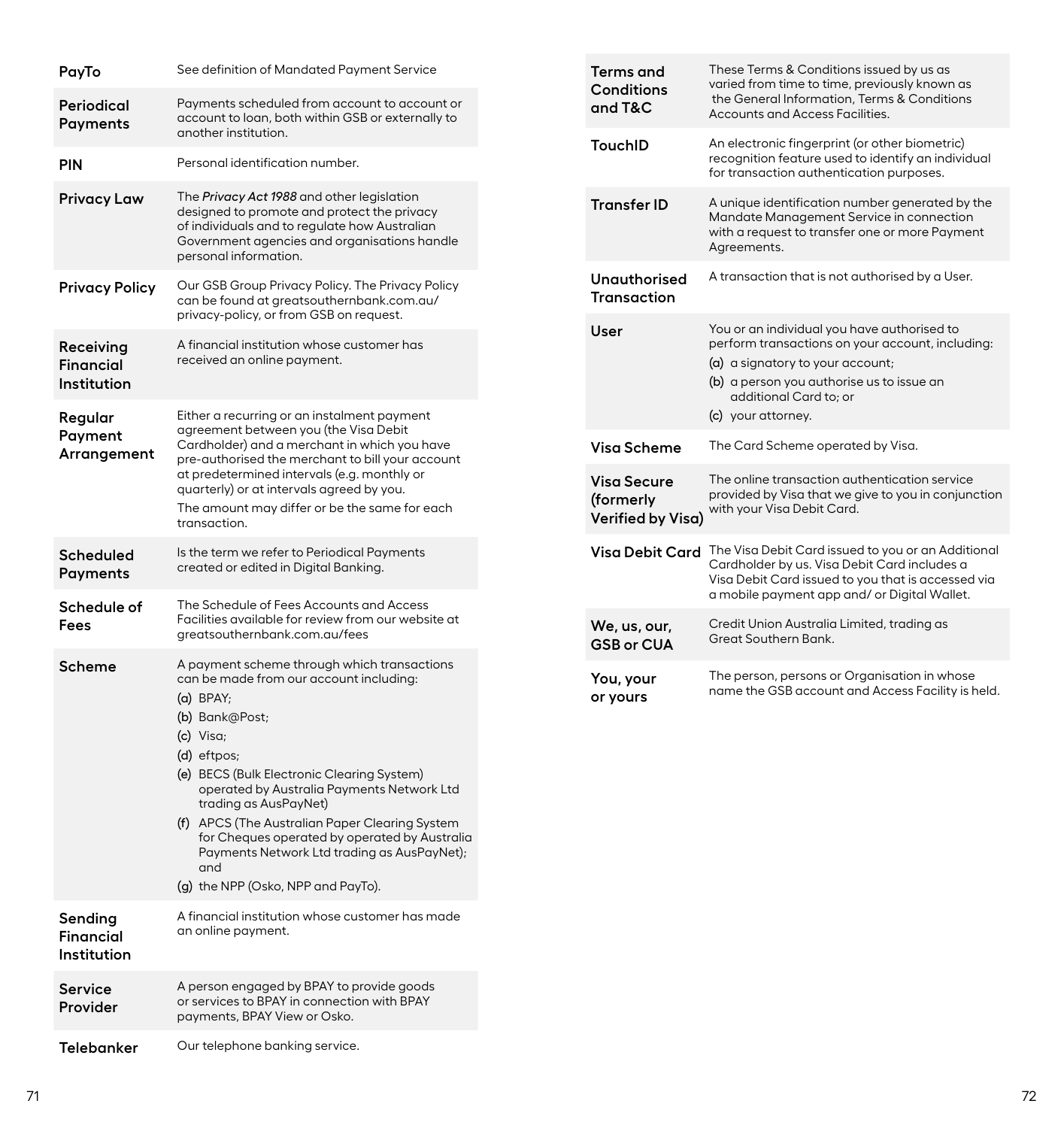| PayTo                                            | See definition of Mandated Payment Service                                                                                                                                                                                                                                                                                                                                                                                                                              |         | Terms and<br>Conditions                       | These Terms & Conditions issued by us as<br>varied from time to time, previously known as<br>the General Information, Terms & Conditions<br>Accounts and Access Facilities.                                                      |
|--------------------------------------------------|-------------------------------------------------------------------------------------------------------------------------------------------------------------------------------------------------------------------------------------------------------------------------------------------------------------------------------------------------------------------------------------------------------------------------------------------------------------------------|---------|-----------------------------------------------|----------------------------------------------------------------------------------------------------------------------------------------------------------------------------------------------------------------------------------|
| Periodical<br>Payments                           | Payments scheduled from account to account or<br>account to loan, both within GSB or externally to<br>another institution.                                                                                                                                                                                                                                                                                                                                              | and T&C |                                               |                                                                                                                                                                                                                                  |
| <b>PIN</b>                                       | Personal identification number.                                                                                                                                                                                                                                                                                                                                                                                                                                         |         |                                               | An electronic fingerprint (or other biometric)<br>recognition feature used to identify an individual<br>for transaction authentication purposes.                                                                                 |
| <b>Privacy Law</b>                               | The Privacy Act 1988 and other legislation<br>designed to promote and protect the privacy<br>of individuals and to regulate how Australian<br>Government agencies and organisations handle<br>personal information.                                                                                                                                                                                                                                                     |         | <b>Transfer ID</b>                            | A unique identification number generated by the<br>Mandate Management Service in connection<br>with a request to transfer one or more Payment<br>Agreements.                                                                     |
| <b>Privacy Policy</b>                            | Our GSB Group Privacy Policy. The Privacy Policy<br>can be found at greatsouthernbank.com.au/<br>privacy-policy, or from GSB on request.                                                                                                                                                                                                                                                                                                                                |         | <b>Unauthorised</b><br><b>Transaction</b>     | A transaction that is not authorised by a User.                                                                                                                                                                                  |
| Receiving<br>Financial<br>Institution<br>Regular | A financial institution whose customer has<br>received an online payment.<br>Either a recurring or an instalment payment                                                                                                                                                                                                                                                                                                                                                |         | User                                          | You or an individual you have authorised to<br>perform transactions on your account, including:<br>(a) a signatory to your account;<br>(b) a person you authorise us to issue an<br>additional Card to; or<br>(c) your attorney. |
| Payment<br>Arrangement                           | agreement between you (the Visa Debit<br>Cardholder) and a merchant in which you have<br>pre-authorised the merchant to bill your account<br>at predetermined intervals (e.g. monthly or<br>quarterly) or at intervals agreed by you.<br>The amount may differ or be the same for each<br>transaction.                                                                                                                                                                  |         | Visa Scheme                                   | The Card Scheme operated by Visa.                                                                                                                                                                                                |
|                                                  |                                                                                                                                                                                                                                                                                                                                                                                                                                                                         |         | Visa Secure<br>(formerly<br>Verified by Visa) | The online transaction authentication service<br>provided by Visa that we give to you in conjunction<br>with your Visa Debit Card.                                                                                               |
| <b>Scheduled</b><br>Payments                     | Is the term we refer to Periodical Payments<br>created or edited in Digital Banking.                                                                                                                                                                                                                                                                                                                                                                                    |         |                                               | Visa Debit Card The Visa Debit Card issued to you or an Additional<br>Cardholder by us. Visa Debit Card includes a<br>Visa Debit Card issued to you that is accessed via<br>a mobile payment app and/ or Digital Wallet.         |
| Schedule of<br>Fees                              | The Schedule of Fees Accounts and Access<br>Facilities available for review from our website at<br>greatsouthernbank.com.au/fees                                                                                                                                                                                                                                                                                                                                        |         | We, us, our,<br><b>GSB or CUA</b>             | Credit Union Australia Limited, trading as<br>Great Southern Bank.                                                                                                                                                               |
| Scheme                                           | A payment scheme through which transactions<br>can be made from our account including:<br>$(a)$ BPAY;<br>(b) Bank@Post;<br>(c) Visa;<br>(d) eftpos;<br>(e) BECS (Bulk Electronic Clearing System)<br>operated by Australia Payments Network Ltd<br>trading as AusPayNet)<br>(f) APCS (The Australian Paper Clearing System<br>for Cheques operated by operated by Australia<br>Payments Network Ltd trading as AusPayNet);<br>and<br>(g) the NPP (Osko, NPP and PayTo). |         | You, your<br>or yours                         | The person, persons or Organisation in whose<br>name the GSB account and Access Facility is held.                                                                                                                                |
| Sending<br>Financial<br>Institution              | A financial institution whose customer has made<br>an online payment.                                                                                                                                                                                                                                                                                                                                                                                                   |         |                                               |                                                                                                                                                                                                                                  |
| Service<br>Provider                              | A person engaged by BPAY to provide goods<br>or services to BPAY in connection with BPAY<br>payments, BPAY View or Osko.                                                                                                                                                                                                                                                                                                                                                |         |                                               |                                                                                                                                                                                                                                  |
| <b>Telebanker</b>                                | Our telephone banking service.                                                                                                                                                                                                                                                                                                                                                                                                                                          |         |                                               |                                                                                                                                                                                                                                  |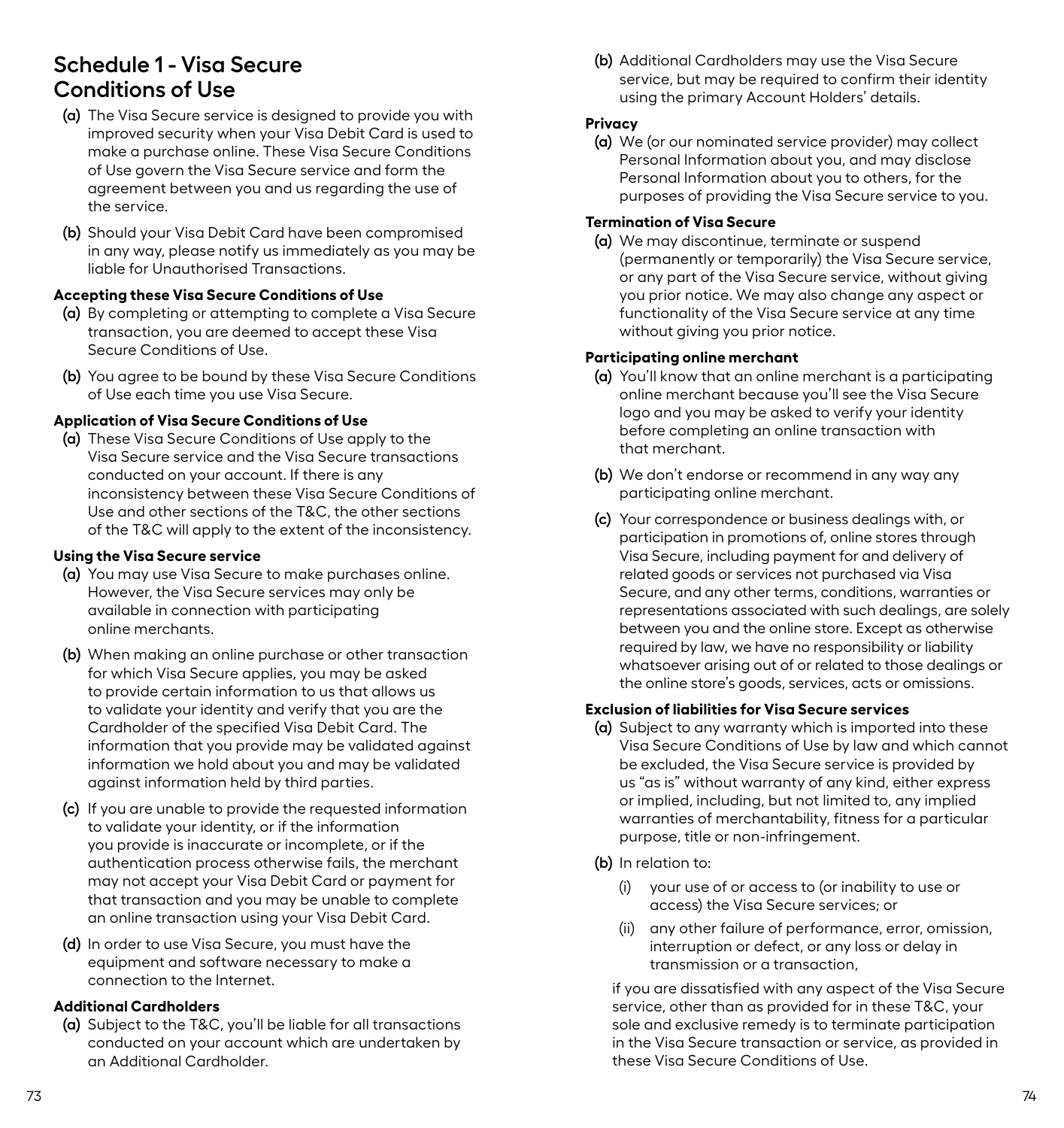# <span id="page-39-0"></span>**Schedule 1 - Visa Secure Conditions of Use**

- **(a)** The Visa Secure service is designed to provide you with improved security when your Visa Debit Card is used to make a purchase online. These Visa Secure Conditions of Use govern the Visa Secure service and form the agreement between you and us regarding the use of the service.
- **(b)** Should your Visa Debit Card have been compromised in any way, please notify us immediately as you may be liable for Unauthorised Transactions.

### **Accepting these Visa Secure Conditions of Use**

- **(a)** By completing or attempting to complete a Visa Secure transaction, you are deemed to accept these Visa Secure Conditions of Use.
- **(b)** You agree to be bound by these Visa Secure Conditions of Use each time you use Visa Secure.

### **Application of Visa Secure Conditions of Use**

**(a)** These Visa Secure Conditions of Use apply to the Visa Secure service and the Visa Secure transactions conducted on your account. If there is any inconsistency between these Visa Secure Conditions of Use and other sections of the T&C, the other sections of the T&C will apply to the extent of the inconsistency.

# **Using the Visa Secure service**

- **(a)** You may use Visa Secure to make purchases online. However, the Visa Secure services may only be available in connection with participating online merchants.
- **(b)** When making an online purchase or other transaction for which Visa Secure applies, you may be asked to provide certain information to us that allows us to validate your identity and verify that you are the Cardholder of the specified Visa Debit Card. The information that you provide may be validated against information we hold about you and may be validated against information held by third parties.
- **(c)** If you are unable to provide the requested information to validate your identity, or if the information you provide is inaccurate or incomplete, or if the authentication process otherwise fails, the merchant may not accept your Visa Debit Card or payment for that transaction and you may be unable to complete an online transaction using your Visa Debit Card.
- **(d)** In order to use Visa Secure, you must have the equipment and software necessary to make a connection to the Internet.

# **Additional Cardholders**

**(a)** Subject to the T&C, you'll be liable for all transactions conducted on your account which are undertaken by an Additional Cardholder.

**(b)** Additional Cardholders may use the Visa Secure service, but may be required to confirm their identity using the primary Account Holders' details.

### **Privacy**

**(a)** We (or our nominated service provider) may collect Personal Information about you, and may disclose Personal Information about you to others, for the purposes of providing the Visa Secure service to you.

#### **Termination of Visa Secure**

**(a)** We may discontinue, terminate or suspend (permanently or temporarily) the Visa Secure service, or any part of the Visa Secure service, without giving you prior notice. We may also change any aspect or functionality of the Visa Secure service at any time without giving you prior notice.

#### **Participating online merchant**

- **(a)** You'll know that an online merchant is a participating online merchant because you'll see the Visa Secure logo and you may be asked to verify your identity before completing an online transaction with that merchant.
- **(b)** We don't endorse or recommend in any way any participating online merchant.
- **(c)** Your correspondence or business dealings with, or participation in promotions of, online stores through Visa Secure, including payment for and delivery of related goods or services not purchased via Visa Secure, and any other terms, conditions, warranties or representations associated with such dealings, are solely between you and the online store. Except as otherwise required by law, we have no responsibility or liability whatsoever arising out of or related to those dealings or the online store's goods, services, acts or omissions.

### **Exclusion of liabilities for Visa Secure services**

- **(a)** Subject to any warranty which is imported into these Visa Secure Conditions of Use by law and which cannot be excluded, the Visa Secure service is provided by us "as is" without warranty of any kind, either express or implied, including, but not limited to, any implied warranties of merchantability, fitness for a particular purpose, title or non-infringement.
- **(b)** In relation to:
	- (i) your use of or access to (or inability to use or access) the Visa Secure services; or
	- (ii) any other failure of performance, error, omission, interruption or defect, or any loss or delay in transmission or a transaction,

if you are dissatisfied with any aspect of the Visa Secure service, other than as provided for in these T&C, your sole and exclusive remedy is to terminate participation in the Visa Secure transaction or service, as provided in these Visa Secure Conditions of Use.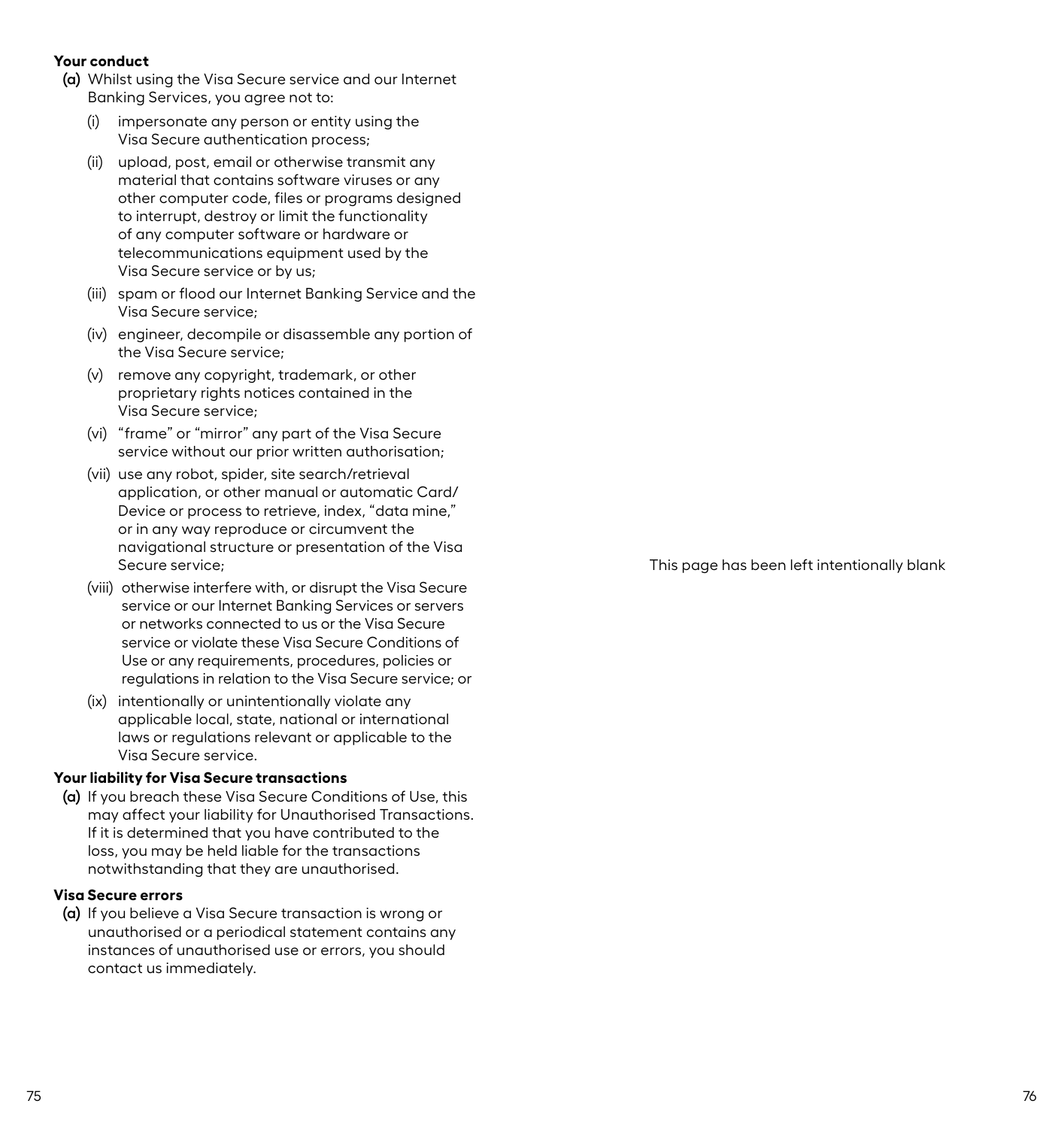#### **Your conduct**

- **(a)** Whilst using the Visa Secure service and our Internet Banking Services, you agree not to:
	- (i) impersonate any person or entity using the Visa Secure authentication process;
	- (ii) upload, post, email or otherwise transmit any material that contains software viruses or any other computer code, files or programs designed to interrupt, destroy or limit the functionality of any computer software or hardware or telecommunications equipment used by the Visa Secure service or by us;
	- (iii) spam or flood our Internet Banking Service and the Visa Secure service;
	- (iv) engineer, decompile or disassemble any portion of the Visa Secure service;
	- (v) remove any copyright, trademark, or other proprietary rights notices contained in the Visa Secure service;
	- (vi) "frame" or "mirror" any part of the Visa Secure service without our prior written authorisation;
	- (vii) use any robot, spider, site search/retrieval application, or other manual or automatic Card/ Device or process to retrieve, index, "data mine," or in any way reproduce or circumvent the navigational structure or presentation of the Visa Secure service;
	- (viii) otherwise interfere with, or disrupt the Visa Secure service or our Internet Banking Services or servers or networks connected to us or the Visa Secure service or violate these Visa Secure Conditions of Use or any requirements, procedures, policies or regulations in relation to the Visa Secure service; or
	- (ix) intentionally or unintentionally violate any applicable local, state, national or international laws or regulations relevant or applicable to the Visa Secure service.

#### **Your liability for Visa Secure transactions**

**(a)** If you breach these Visa Secure Conditions of Use, this may affect your liability for Unauthorised Transactions. If it is determined that you have contributed to the loss, you may be held liable for the transactions notwithstanding that they are unauthorised.

#### **Visa Secure errors**

**(a)** If you believe a Visa Secure transaction is wrong or unauthorised or a periodical statement contains any instances of unauthorised use or errors, you should contact us immediately.

This page has been left intentionally blank